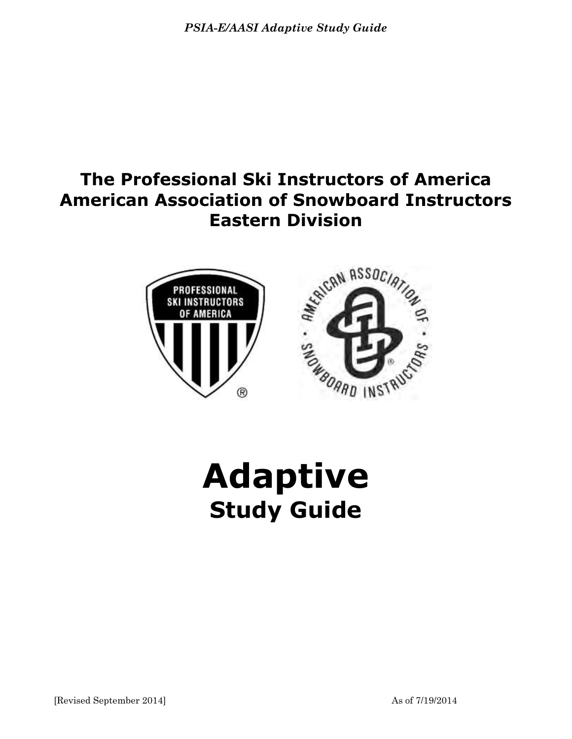# **The Professional Ski Instructors of America American Association of Snowboard Instructors Eastern Division**



**Adaptive Study Guide**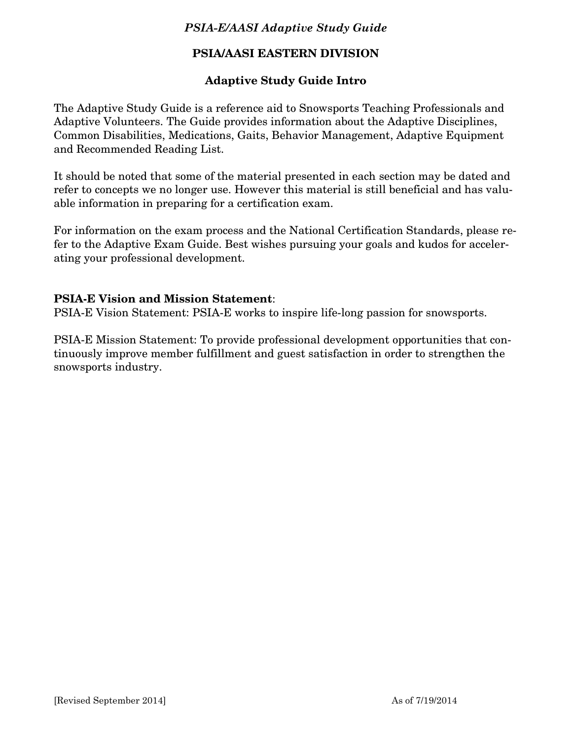## **PSIA/AASI EASTERN DIVISION**

## **Adaptive Study Guide Intro**

The Adaptive Study Guide is a reference aid to Snowsports Teaching Professionals and Adaptive Volunteers. The Guide provides information about the Adaptive Disciplines, Common Disabilities, Medications, Gaits, Behavior Management, Adaptive Equipment and Recommended Reading List.

It should be noted that some of the material presented in each section may be dated and refer to concepts we no longer use. However this material is still beneficial and has valuable information in preparing for a certification exam.

For information on the exam process and the National Certification Standards, please refer to the Adaptive Exam Guide. Best wishes pursuing your goals and kudos for accelerating your professional development.

## **PSIA-E Vision and Mission Statement**:

PSIA-E Vision Statement: PSIA-E works to inspire life-long passion for snowsports.

PSIA-E Mission Statement: To provide professional development opportunities that continuously improve member fulfillment and guest satisfaction in order to strengthen the snowsports industry.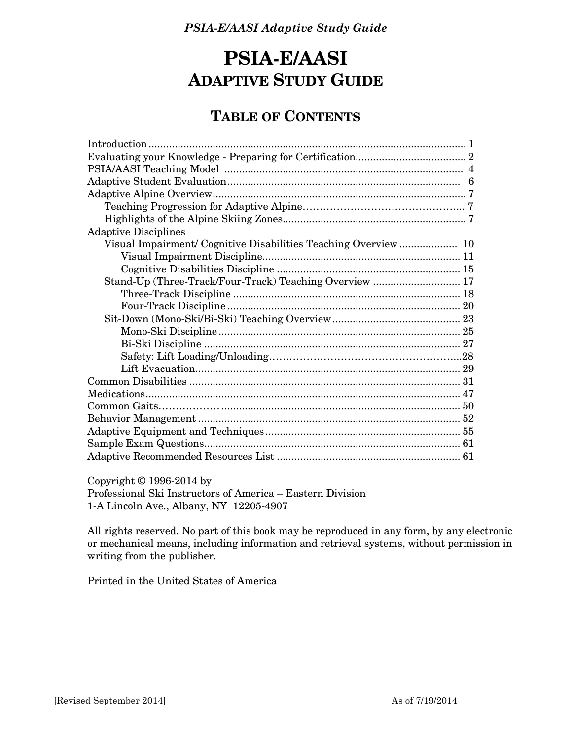# **PSIA-E/AASI ADAPTIVE STUDY GUIDE**

## **TABLE OF CONTENTS**

| <b>Adaptive Disciplines</b>                                   |  |
|---------------------------------------------------------------|--|
| Visual Impairment/Cognitive Disabilities Teaching Overview 10 |  |
|                                                               |  |
|                                                               |  |
| Stand-Up (Three-Track/Four-Track) Teaching Overview  17       |  |
|                                                               |  |
|                                                               |  |
|                                                               |  |
|                                                               |  |
|                                                               |  |
|                                                               |  |
|                                                               |  |
|                                                               |  |
|                                                               |  |
|                                                               |  |
|                                                               |  |
|                                                               |  |
|                                                               |  |
|                                                               |  |

Copyright © 1996-2014 by

 Professional Ski Instructors of America – Eastern Division 1-A Lincoln Ave., Albany, NY 12205-4907

 All rights reserved. No part of this book may be reproduced in any form, by any electronic or mechanical means, including information and retrieval systems, without permission in writing from the publisher.

Printed in the United States of America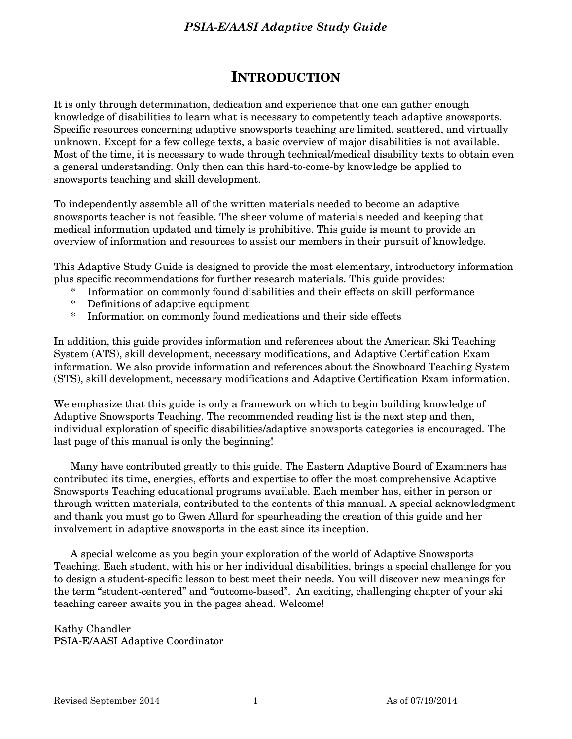## **INTRODUCTION**

It is only through determination, dedication and experience that one can gather enough knowledge of disabilities to learn what is necessary to competently teach adaptive snowsports. Specific resources concerning adaptive snowsports teaching are limited, scattered, and virtually unknown. Except for a few college texts, a basic overview of major disabilities is not available. Most of the time, it is necessary to wade through technical/medical disability texts to obtain even a general understanding. Only then can this hard-to-come-by knowledge be applied to snowsports teaching and skill development.

To independently assemble all of the written materials needed to become an adaptive snowsports teacher is not feasible. The sheer volume of materials needed and keeping that medical information updated and timely is prohibitive. This guide is meant to provide an overview of information and resources to assist our members in their pursuit of knowledge.

This Adaptive Study Guide is designed to provide the most elementary, introductory information plus specific recommendations for further research materials. This guide provides:

- \* Information on commonly found disabilities and their effects on skill performance
- \* Definitions of adaptive equipment
- \* Information on commonly found medications and their side effects

In addition, this guide provides information and references about the American Ski Teaching System (ATS), skill development, necessary modifications, and Adaptive Certification Exam information. We also provide information and references about the Snowboard Teaching System (STS), skill development, necessary modifications and Adaptive Certification Exam information.

We emphasize that this guide is only a framework on which to begin building knowledge of Adaptive Snowsports Teaching. The recommended reading list is the next step and then, individual exploration of specific disabilities/adaptive snowsports categories is encouraged. The last page of this manual is only the beginning!

 Many have contributed greatly to this guide. The Eastern Adaptive Board of Examiners has contributed its time, energies, efforts and expertise to offer the most comprehensive Adaptive Snowsports Teaching educational programs available. Each member has, either in person or through written materials, contributed to the contents of this manual. A special acknowledgment and thank you must go to Gwen Allard for spearheading the creation of this guide and her involvement in adaptive snowsports in the east since its inception.

 A special welcome as you begin your exploration of the world of Adaptive Snowsports Teaching. Each student, with his or her individual disabilities, brings a special challenge for you to design a student-specific lesson to best meet their needs. You will discover new meanings for the term "student-centered" and "outcome-based". An exciting, challenging chapter of your ski teaching career awaits you in the pages ahead. Welcome!

Kathy Chandler PSIA-E/AASI Adaptive Coordinator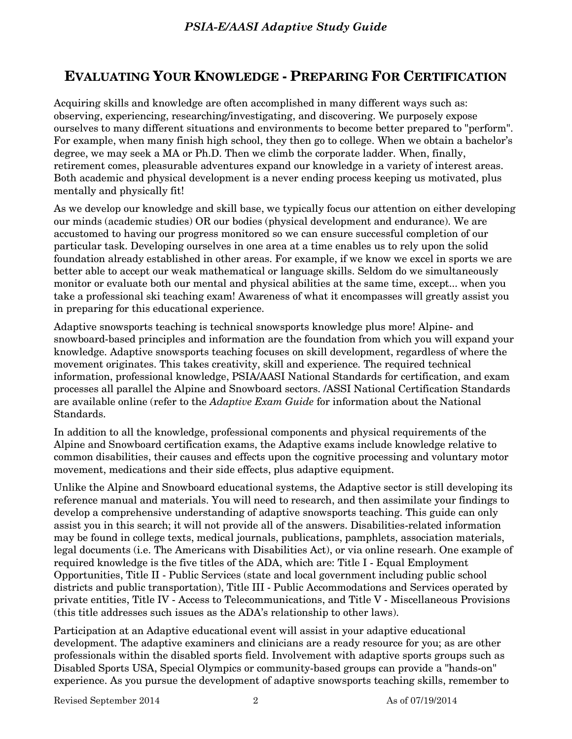# **EVALUATING YOUR KNOWLEDGE - PREPARING FOR CERTIFICATION**

Acquiring skills and knowledge are often accomplished in many different ways such as: observing, experiencing, researching/investigating, and discovering. We purposely expose ourselves to many different situations and environments to become better prepared to "perform". For example, when many finish high school, they then go to college. When we obtain a bachelor's degree, we may seek a MA or Ph.D. Then we climb the corporate ladder. When, finally, retirement comes, pleasurable adventures expand our knowledge in a variety of interest areas. Both academic and physical development is a never ending process keeping us motivated, plus mentally and physically fit!

As we develop our knowledge and skill base, we typically focus our attention on either developing our minds (academic studies) OR our bodies (physical development and endurance). We are accustomed to having our progress monitored so we can ensure successful completion of our particular task. Developing ourselves in one area at a time enables us to rely upon the solid foundation already established in other areas. For example, if we know we excel in sports we are better able to accept our weak mathematical or language skills. Seldom do we simultaneously monitor or evaluate both our mental and physical abilities at the same time, except... when you take a professional ski teaching exam! Awareness of what it encompasses will greatly assist you in preparing for this educational experience.

Adaptive snowsports teaching is technical snowsports knowledge plus more! Alpine- and snowboard-based principles and information are the foundation from which you will expand your knowledge. Adaptive snowsports teaching focuses on skill development, regardless of where the movement originates. This takes creativity, skill and experience. The required technical information, professional knowledge, PSIA/AASI National Standards for certification, and exam processes all parallel the Alpine and Snowboard sectors. /ASSI National Certification Standards are available online (refer to the *Adaptive Exam Guide* for information about the National Standards.

In addition to all the knowledge, professional components and physical requirements of the Alpine and Snowboard certification exams, the Adaptive exams include knowledge relative to common disabilities, their causes and effects upon the cognitive processing and voluntary motor movement, medications and their side effects, plus adaptive equipment.

Unlike the Alpine and Snowboard educational systems, the Adaptive sector is still developing its reference manual and materials. You will need to research, and then assimilate your findings to develop a comprehensive understanding of adaptive snowsports teaching. This guide can only assist you in this search; it will not provide all of the answers. Disabilities-related information may be found in college texts, medical journals, publications, pamphlets, association materials, legal documents (i.e. The Americans with Disabilities Act), or via online researh. One example of required knowledge is the five titles of the ADA, which are: Title I - Equal Employment Opportunities, Title II - Public Services (state and local government including public school districts and public transportation), Title III - Public Accommodations and Services operated by private entities, Title IV - Access to Telecommunications, and Title V - Miscellaneous Provisions (this title addresses such issues as the ADA's relationship to other laws).

Participation at an Adaptive educational event will assist in your adaptive educational development. The adaptive examiners and clinicians are a ready resource for you; as are other professionals within the disabled sports field. Involvement with adaptive sports groups such as Disabled Sports USA, Special Olympics or community-based groups can provide a "hands-on" experience. As you pursue the development of adaptive snowsports teaching skills, remember to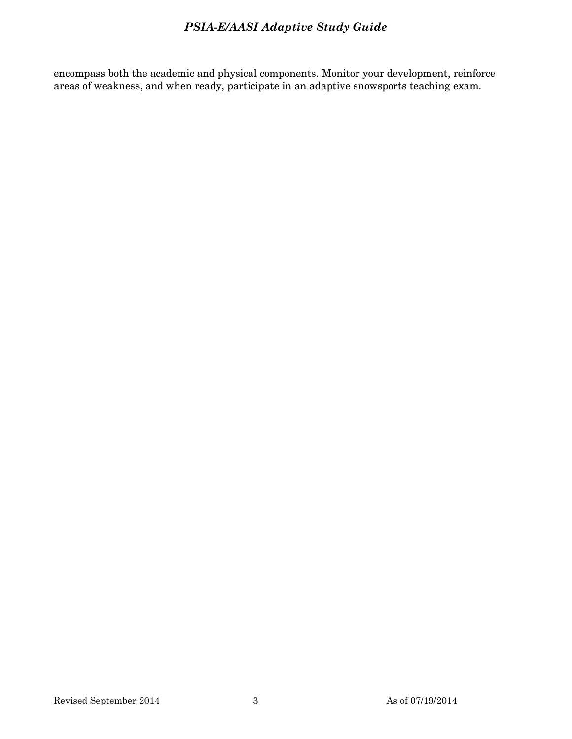encompass both the academic and physical components. Monitor your development, reinforce areas of weakness, and when ready, participate in an adaptive snowsports teaching exam.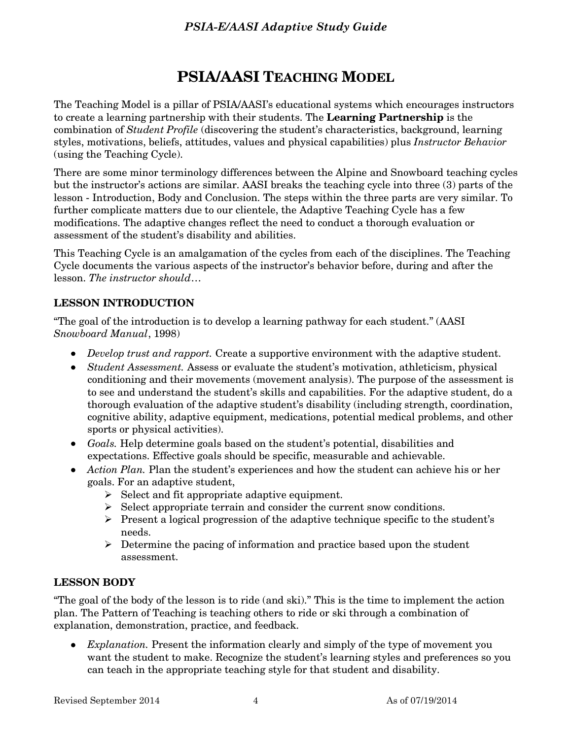# **PSIA/AASI TEACHING MODEL**

The Teaching Model is a pillar of PSIA/AASI's educational systems which encourages instructors to create a learning partnership with their students. The **Learning Partnership** is the combination of *Student Profile* (discovering the student's characteristics, background, learning styles, motivations, beliefs, attitudes, values and physical capabilities) plus *Instructor Behavior* (using the Teaching Cycle).

There are some minor terminology differences between the Alpine and Snowboard teaching cycles but the instructor's actions are similar. AASI breaks the teaching cycle into three (3) parts of the lesson - Introduction, Body and Conclusion. The steps within the three parts are very similar. To further complicate matters due to our clientele, the Adaptive Teaching Cycle has a few modifications. The adaptive changes reflect the need to conduct a thorough evaluation or assessment of the student's disability and abilities.

This Teaching Cycle is an amalgamation of the cycles from each of the disciplines. The Teaching Cycle documents the various aspects of the instructor's behavior before, during and after the lesson. *The instructor should*…

## **LESSON INTRODUCTION**

"The goal of the introduction is to develop a learning pathway for each student." (AASI *Snowboard Manual*, 1998)

- *Develop trust and rapport.* Create a supportive environment with the adaptive student.
- *Student Assessment.* Assess or evaluate the student's motivation, athleticism, physical conditioning and their movements (movement analysis). The purpose of the assessment is to see and understand the student's skills and capabilities. For the adaptive student, do a thorough evaluation of the adaptive student's disability (including strength, coordination, cognitive ability, adaptive equipment, medications, potential medical problems, and other sports or physical activities).
- *Goals.* Help determine goals based on the student's potential, disabilities and expectations. Effective goals should be specific, measurable and achievable.
- Action Plan. Plan the student's experiences and how the student can achieve his or her goals. For an adaptive student,
	- $\triangleright$  Select and fit appropriate adaptive equipment.
	- $\triangleright$  Select appropriate terrain and consider the current snow conditions.
	- $\triangleright$  Present a logical progression of the adaptive technique specific to the student's needs.
	- $\triangleright$  Determine the pacing of information and practice based upon the student assessment.

#### **LESSON BODY**

"The goal of the body of the lesson is to ride (and ski)." This is the time to implement the action plan. The Pattern of Teaching is teaching others to ride or ski through a combination of explanation, demonstration, practice, and feedback.

 *Explanation.* Present the information clearly and simply of the type of movement you want the student to make. Recognize the student's learning styles and preferences so you can teach in the appropriate teaching style for that student and disability.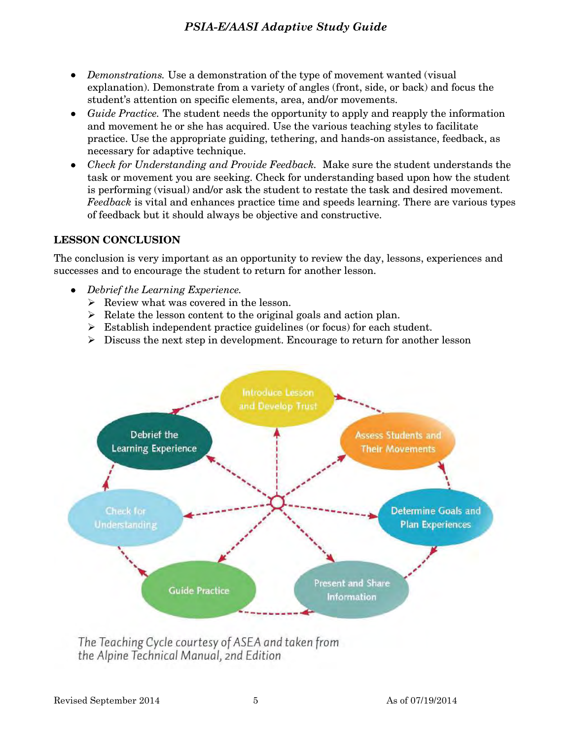- *Demonstrations.* Use a demonstration of the type of movement wanted (visual explanation). Demonstrate from a variety of angles (front, side, or back) and focus the student's attention on specific elements, area, and/or movements.
- *Guide Practice.* The student needs the opportunity to apply and reapply the information and movement he or she has acquired. Use the various teaching styles to facilitate practice. Use the appropriate guiding, tethering, and hands-on assistance, feedback, as necessary for adaptive technique.
- *Check for Understanding and Provide Feedback.* Make sure the student understands the task or movement you are seeking. Check for understanding based upon how the student is performing (visual) and/or ask the student to restate the task and desired movement. *Feedback* is vital and enhances practice time and speeds learning. There are various types of feedback but it should always be objective and constructive.

## **LESSON CONCLUSION**

The conclusion is very important as an opportunity to review the day, lessons, experiences and successes and to encourage the student to return for another lesson.

- *Debrief the Learning Experience.* 
	- $\triangleright$  Review what was covered in the lesson.
	- $\triangleright$  Relate the lesson content to the original goals and action plan.
	- $\triangleright$  Establish independent practice guidelines (or focus) for each student.
	- $\triangleright$  Discuss the next step in development. Encourage to return for another lesson



The Teaching Cycle courtesy of ASEA and taken from the Alpine Technical Manual, 2nd Edition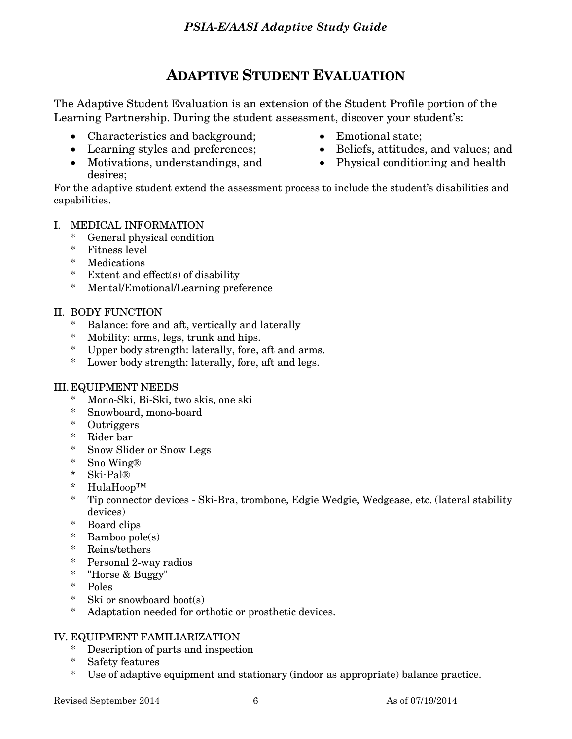# **ADAPTIVE STUDENT EVALUATION**

The Adaptive Student Evaluation is an extension of the Student Profile portion of the Learning Partnership. During the student assessment, discover your student's:

- Characteristics and background;
- Learning styles and preferences;
- Motivations, understandings, and desires;
- Emotional state;
- Beliefs, attitudes, and values; and
- Physical conditioning and health

For the adaptive student extend the assessment process to include the student's disabilities and capabilities.

## I. MEDICAL INFORMATION

- \* General physical condition
- \* Fitness level
- \* Medications
- \* Extent and effect(s) of disability
- \* Mental/Emotional/Learning preference

## II. BODY FUNCTION

- \* Balance: fore and aft, vertically and laterally
- \* Mobility: arms, legs, trunk and hips.
- \* Upper body strength: laterally, fore, aft and arms.
- \* Lower body strength: laterally, fore, aft and legs.

#### III. EQUIPMENT NEEDS

- \* Mono-Ski, Bi-Ski, two skis, one ski
- \* Snowboard, mono-board
- \* Outriggers
- \* Rider bar
- \* Snow Slider or Snow Legs
- \* Sno Wing®
- \* Ski-Pal®
- \* HulaHoop™
- \* Tip connector devices Ski-Bra, trombone, Edgie Wedgie, Wedgease, etc. (lateral stability devices)
- \* Board clips
- \* Bamboo pole(s)
- \* Reins/tethers
- \* Personal 2-way radios
- \* "Horse & Buggy"
- \* Poles
- \* Ski or snowboard boot(s)
- \* Adaptation needed for orthotic or prosthetic devices.

#### IV. EQUIPMENT FAMILIARIZATION

- \* Description of parts and inspection
- \* Safety features
- \* Use of adaptive equipment and stationary (indoor as appropriate) balance practice.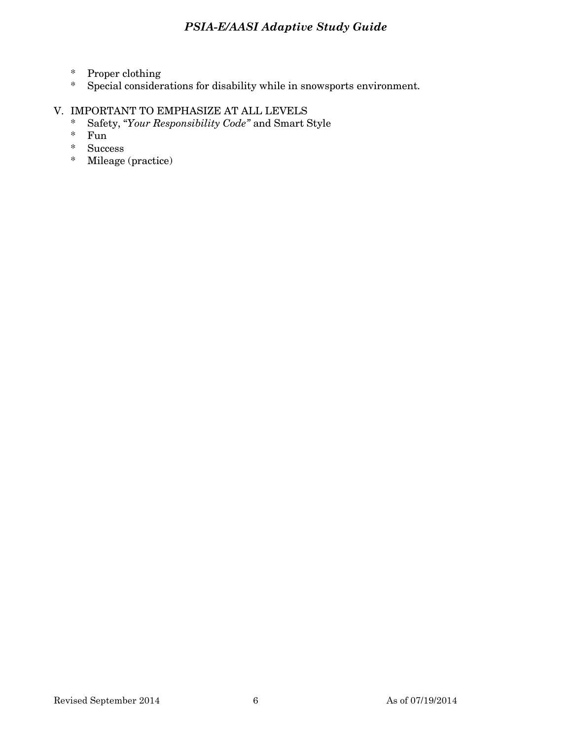- \* Proper clothing
- Special considerations for disability while in snowsports environment.

## V. IMPORTANT TO EMPHASIZE AT ALL LEVELS

- \* Safety, "*Your Responsibility Code"* and Smart Style
- \* Fun
- \* Success
- \* Mileage (practice)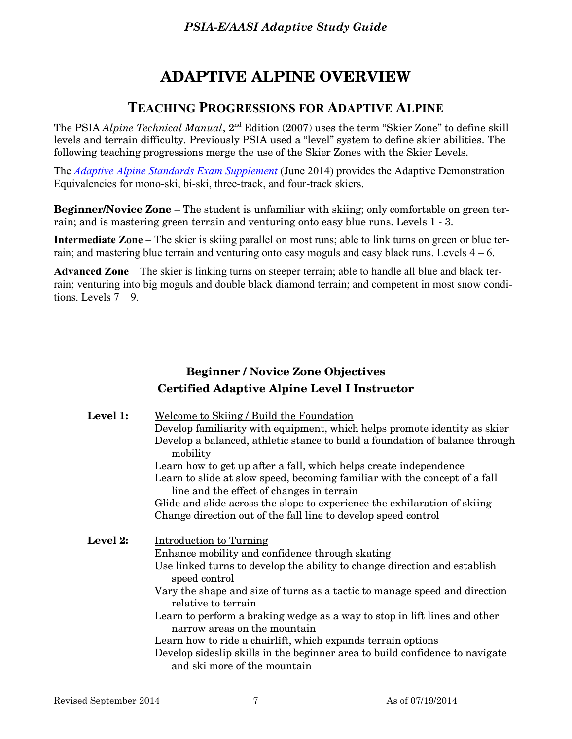# **ADAPTIVE ALPINE OVERVIEW**

## **TEACHING PROGRESSIONS FOR ADAPTIVE ALPINE**

The PSIA *Alpine Technical Manual*, 2nd Edition (2007) uses the term "Skier Zone" to define skill levels and terrain difficulty. Previously PSIA used a "level" system to define skier abilities. The following teaching progressions merge the use of the Skier Zones with the Skier Levels.

The *[Adaptive Alpine Standards Exam Supplement](https://www.thesnowpros.org/Portals/0/Cache/Pages/PSIA%20Adapative%20Alpine%20Exam%20Supplement%20Final%206.4.14.pdf)* (June 2014) provides the Adaptive Demonstration Equivalencies for mono-ski, bi-ski, three-track, and four-track skiers.

**Beginner/Novice Zone** – The student is unfamiliar with skiing; only comfortable on green terrain; and is mastering green terrain and venturing onto easy blue runs. Levels 1 - 3.

**Intermediate Zone** – The skier is skiing parallel on most runs; able to link turns on green or blue terrain; and mastering blue terrain and venturing onto easy moguls and easy black runs. Levels  $4 - 6$ .

**Advanced Zone** – The skier is linking turns on steeper terrain; able to handle all blue and black terrain; venturing into big moguls and double black diamond terrain; and competent in most snow conditions. Levels  $7 - 9$ .

## **Beginner / Novice Zone Objectives Certified Adaptive Alpine Level I Instructor**

| Level 1: | Welcome to Skiing / Build the Foundation<br>Develop familiarity with equipment, which helps promote identity as skier<br>Develop a balanced, athletic stance to build a foundation of balance through<br>mobility<br>Learn how to get up after a fall, which helps create independence<br>Learn to slide at slow speed, becoming familiar with the concept of a fall<br>line and the effect of changes in terrain<br>Glide and slide across the slope to experience the exhilaration of skiing                                                                             |
|----------|----------------------------------------------------------------------------------------------------------------------------------------------------------------------------------------------------------------------------------------------------------------------------------------------------------------------------------------------------------------------------------------------------------------------------------------------------------------------------------------------------------------------------------------------------------------------------|
|          | Change direction out of the fall line to develop speed control                                                                                                                                                                                                                                                                                                                                                                                                                                                                                                             |
| Level 2: | Introduction to Turning<br>Enhance mobility and confidence through skating<br>Use linked turns to develop the ability to change direction and establish<br>speed control<br>Vary the shape and size of turns as a tactic to manage speed and direction<br>relative to terrain<br>Learn to perform a braking wedge as a way to stop in lift lines and other<br>narrow areas on the mountain<br>Learn how to ride a chairlift, which expands terrain options<br>Develop sideslip skills in the beginner area to build confidence to navigate<br>and ski more of the mountain |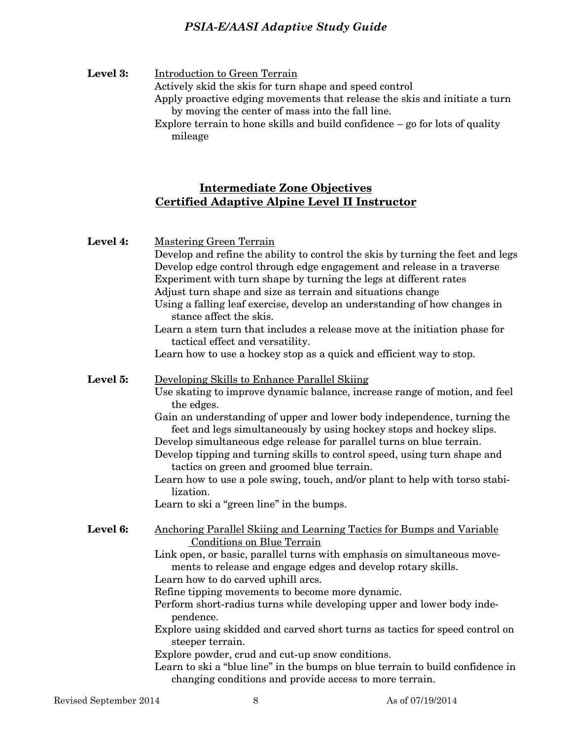**Level 3:** Introduction to Green Terrain Actively skid the skis for turn shape and speed control Apply proactive edging movements that release the skis and initiate a turn by moving the center of mass into the fall line. Explore terrain to hone skills and build confidence – go for lots of quality mileage

## **Intermediate Zone Objectives Certified Adaptive Alpine Level II Instructor**

| Level 4: | <b>Mastering Green Terrain</b><br>Develop and refine the ability to control the skis by turning the feet and legs<br>Develop edge control through edge engagement and release in a traverse<br>Experiment with turn shape by turning the legs at different rates<br>Adjust turn shape and size as terrain and situations change<br>Using a falling leaf exercise, develop an understanding of how changes in<br>stance affect the skis.<br>Learn a stem turn that includes a release move at the initiation phase for<br>tactical effect and versatility.<br>Learn how to use a hockey stop as a quick and efficient way to stop.                                                                                                            |
|----------|----------------------------------------------------------------------------------------------------------------------------------------------------------------------------------------------------------------------------------------------------------------------------------------------------------------------------------------------------------------------------------------------------------------------------------------------------------------------------------------------------------------------------------------------------------------------------------------------------------------------------------------------------------------------------------------------------------------------------------------------|
| Level 5: | Developing Skills to Enhance Parallel Skiing<br>Use skating to improve dynamic balance, increase range of motion, and feel<br>the edges.<br>Gain an understanding of upper and lower body independence, turning the<br>feet and legs simultaneously by using hockey stops and hockey slips.<br>Develop simultaneous edge release for parallel turns on blue terrain.<br>Develop tipping and turning skills to control speed, using turn shape and<br>tactics on green and groomed blue terrain.<br>Learn how to use a pole swing, touch, and/or plant to help with torso stabi-<br>lization.<br>Learn to ski a "green line" in the bumps.                                                                                                    |
| Level 6: | Anchoring Parallel Skiing and Learning Tactics for Bumps and Variable<br><b>Conditions on Blue Terrain</b><br>Link open, or basic, parallel turns with emphasis on simultaneous move-<br>ments to release and engage edges and develop rotary skills.<br>Learn how to do carved uphill arcs.<br>Refine tipping movements to become more dynamic.<br>Perform short-radius turns while developing upper and lower body inde-<br>pendence.<br>Explore using skidded and carved short turns as tactics for speed control on<br>steeper terrain.<br>Explore powder, crud and cut-up snow conditions.<br>Learn to ski a "blue line" in the bumps on blue terrain to build confidence in<br>changing conditions and provide access to more terrain. |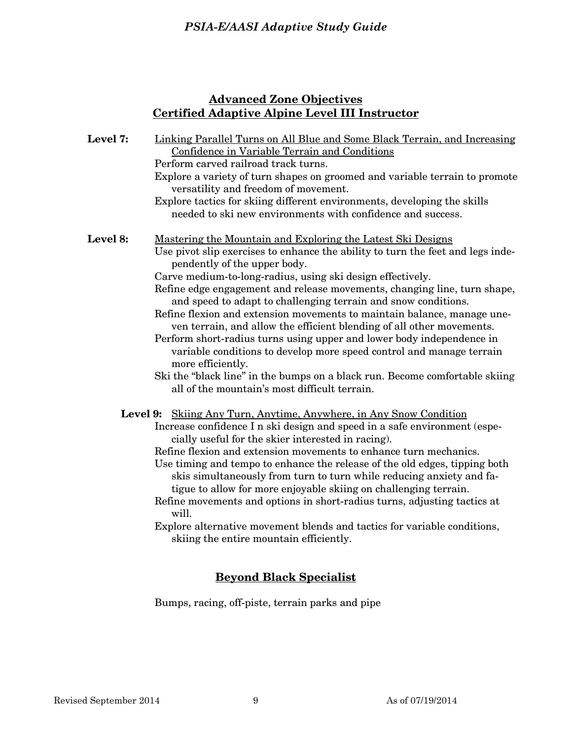## **Advanced Zone Objectives Certified Adaptive Alpine Level III Instructor**

| Level 7: | Linking Parallel Turns on All Blue and Some Black Terrain, and Increasing<br>Confidence in Variable Terrain and Conditions                                         |
|----------|--------------------------------------------------------------------------------------------------------------------------------------------------------------------|
|          | Perform carved railroad track turns.                                                                                                                               |
|          | Explore a variety of turn shapes on groomed and variable terrain to promote                                                                                        |
|          | versatility and freedom of movement.                                                                                                                               |
|          | Explore tactics for skiing different environments, developing the skills                                                                                           |
|          | needed to ski new environments with confidence and success.                                                                                                        |
| Level 8: | Mastering the Mountain and Exploring the Latest Ski Designs                                                                                                        |
|          | Use pivot slip exercises to enhance the ability to turn the feet and legs inde-<br>pendently of the upper body.                                                    |
|          | Carve medium-to-long-radius, using ski design effectively.                                                                                                         |
|          | Refine edge engagement and release movements, changing line, turn shape,<br>and speed to adapt to challenging terrain and snow conditions.                         |
|          | Refine flexion and extension movements to maintain balance, manage une-<br>ven terrain, and allow the efficient blending of all other movements.                   |
|          | Perform short-radius turns using upper and lower body independence in<br>variable conditions to develop more speed control and manage terrain<br>more efficiently. |
|          | Ski the "black line" in the bumps on a black run. Become comfortable skiing<br>all of the mountain's most difficult terrain.                                       |
|          | Level 9: Skiing Any Turn, Anytime, Anywhere, in Any Snow Condition                                                                                                 |
|          | Increase confidence I n ski design and speed in a safe environment (espe-                                                                                          |
|          | cially useful for the skier interested in racing).<br>Refine flexion and extension movements to enhance turn mechanics.                                            |
|          | Use timing and tempo to enhance the release of the old edges, tipping both                                                                                         |
|          | skis simultaneously from turn to turn while reducing anxiety and fa-<br>tigue to allow for more enjoyable skiing on challenging terrain.                           |
|          | Refine movements and options in short-radius turns, adjusting tactics at<br>will.                                                                                  |
|          | Explore alternative movement blends and tactics for variable conditions,<br>skiing the entire mountain efficiently.                                                |

## **Beyond Black Specialist**

Bumps, racing, off-piste, terrain parks and pipe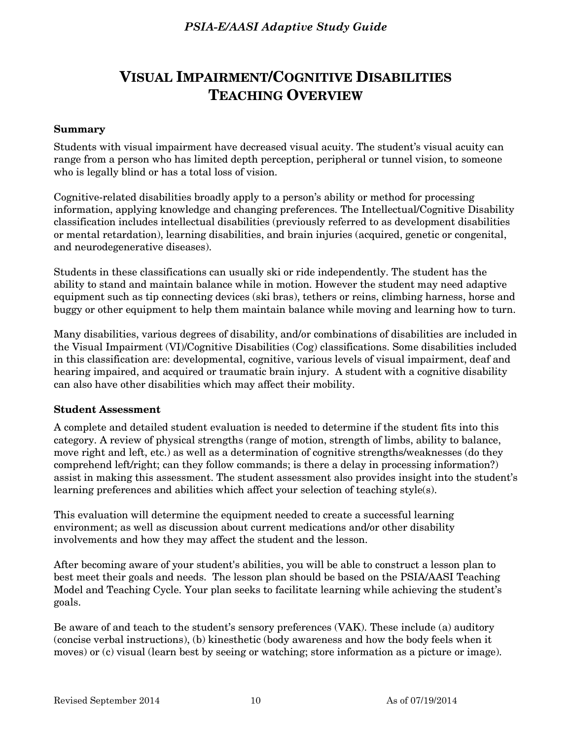# **VISUAL IMPAIRMENT/COGNITIVE DISABILITIES TEACHING OVERVIEW**

#### **Summary**

Students with visual impairment have decreased visual acuity. The student's visual acuity can range from a person who has limited depth perception, peripheral or tunnel vision, to someone who is legally blind or has a total loss of vision.

Cognitive-related disabilities broadly apply to a person's ability or method for processing information, applying knowledge and changing preferences. The Intellectual/Cognitive Disability classification includes intellectual disabilities (previously referred to as development disabilities or mental retardation), learning disabilities, and brain injuries (acquired, genetic or congenital, and neurodegenerative diseases).

Students in these classifications can usually ski or ride independently. The student has the ability to stand and maintain balance while in motion. However the student may need adaptive equipment such as tip connecting devices (ski bras), tethers or reins, climbing harness, horse and buggy or other equipment to help them maintain balance while moving and learning how to turn.

Many disabilities, various degrees of disability, and/or combinations of disabilities are included in the Visual Impairment (VI)/Cognitive Disabilities (Cog) classifications. Some disabilities included in this classification are: developmental, cognitive, various levels of visual impairment, deaf and hearing impaired, and acquired or traumatic brain injury. A student with a cognitive disability can also have other disabilities which may affect their mobility.

#### **Student Assessment**

A complete and detailed student evaluation is needed to determine if the student fits into this category. A review of physical strengths (range of motion, strength of limbs, ability to balance, move right and left, etc.) as well as a determination of cognitive strengths/weaknesses (do they comprehend left/right; can they follow commands; is there a delay in processing information?) assist in making this assessment. The student assessment also provides insight into the student's learning preferences and abilities which affect your selection of teaching style(s).

This evaluation will determine the equipment needed to create a successful learning environment; as well as discussion about current medications and/or other disability involvements and how they may affect the student and the lesson.

After becoming aware of your student's abilities, you will be able to construct a lesson plan to best meet their goals and needs. The lesson plan should be based on the PSIA/AASI Teaching Model and Teaching Cycle. Your plan seeks to facilitate learning while achieving the student's goals.

Be aware of and teach to the student's sensory preferences (VAK). These include (a) auditory (concise verbal instructions), (b) kinesthetic (body awareness and how the body feels when it moves) or (c) visual (learn best by seeing or watching; store information as a picture or image).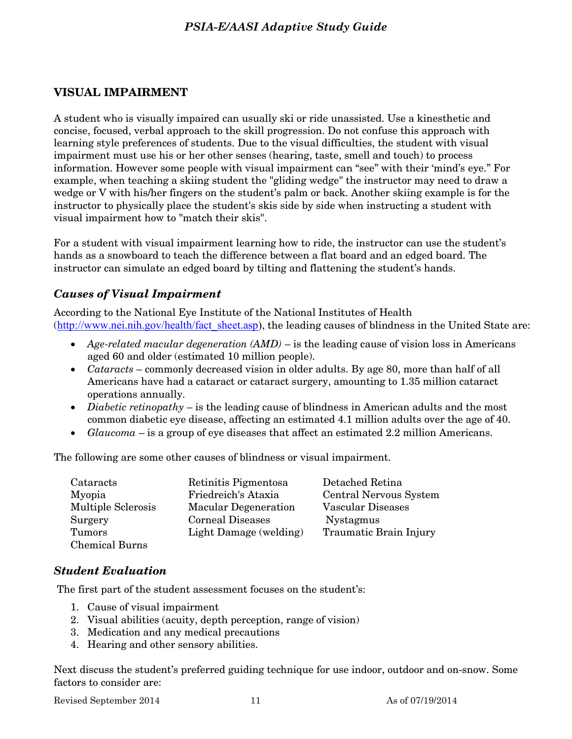## **VISUAL IMPAIRMENT**

A student who is visually impaired can usually ski or ride unassisted. Use a kinesthetic and concise, focused, verbal approach to the skill progression. Do not confuse this approach with learning style preferences of students. Due to the visual difficulties, the student with visual impairment must use his or her other senses (hearing, taste, smell and touch) to process information. However some people with visual impairment can "see" with their 'mind's eye." For example, when teaching a skiing student the "gliding wedge" the instructor may need to draw a wedge or V with his/her fingers on the student's palm or back. Another skiing example is for the instructor to physically place the student's skis side by side when instructing a student with visual impairment how to "match their skis".

For a student with visual impairment learning how to ride, the instructor can use the student's hands as a snowboard to teach the difference between a flat board and an edged board. The instructor can simulate an edged board by tilting and flattening the student's hands.

#### *Causes of Visual Impairment*

According to the National Eye Institute of the National Institutes of Health ([http://www.nei.nih.gov/health/fact\\_sheet.asp\)](http://www.nei.nih.gov/health/fact_sheet.asp), the leading causes of blindness in the United State are:

- *Age-related macular degeneration (AMD)* is the leading cause of vision loss in Americans aged 60 and older (estimated 10 million people).
- *Cataracts* commonly decreased vision in older adults. By age 80, more than half of all Americans have had a cataract or cataract surgery, amounting to 1.35 million cataract operations annually.
- *Diabetic retinopathy* is the leading cause of blindness in American adults and the most common diabetic eye disease, affecting an estimated 4.1 million adults over the age of 40.
- *Glaucoma* is a group of eye diseases that affect an estimated 2.2 million Americans.

The following are some other causes of blindness or visual impairment.

| Cataracts                 | Retinitis Pigmentosa        | Detached Retina               |
|---------------------------|-----------------------------|-------------------------------|
| Myopia                    | Friedreich's Ataxia         | Central Nervous System        |
| <b>Multiple Sclerosis</b> | <b>Macular Degeneration</b> | Vascular Diseases             |
| Surgery                   | <b>Corneal Diseases</b>     | <b>Nystagmus</b>              |
| Tumors                    | Light Damage (welding)      | <b>Traumatic Brain Injury</b> |
| <b>Chemical Burns</b>     |                             |                               |

#### *Student Evaluation*

The first part of the student assessment focuses on the student's:

- 1. Cause of visual impairment
- 2. Visual abilities (acuity, depth perception, range of vision)
- 3. Medication and any medical precautions
- 4. Hearing and other sensory abilities.

Next discuss the student's preferred guiding technique for use indoor, outdoor and on-snow. Some factors to consider are:

Revised September 2014 11 As of 07/19/2014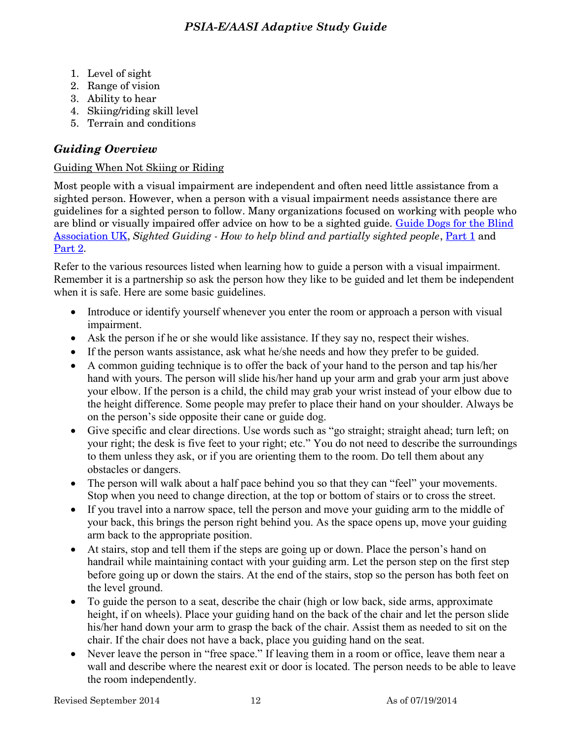- 1. Level of sight
- 2. Range of vision
- 3. Ability to hear
- 4. Skiing/riding skill level
- 5. Terrain and conditions

## *Guiding Overview*

## Guiding When Not Skiing or Riding

Most people with a visual impairment are independent and often need little assistance from a sighted person. However, when a person with a visual impairment needs assistance there are guidelines for a sighted person to follow. Many organizations focused on working with people who are blind or visually impaired offer advice on how to be a sighted guide. [Guide Dogs for the Blind](http://www.guidedogs.org.uk/)  [Association UK,](http://www.guidedogs.org.uk/) Sighted Guiding - How to help blind and partially sighted people, [Part 1](http://www.youtube.com/watch?v=yEoY6NeISs4) and [Part 2.](http://www.youtube.com/watch?v=K_tvyxIfPJ0)

Refer to the various resources listed when learning how to guide a person with a visual impairment. Remember it is a partnership so ask the person how they like to be guided and let them be independent when it is safe. Here are some basic guidelines.

- Introduce or identify yourself whenever you enter the room or approach a person with visual impairment.
- Ask the person if he or she would like assistance. If they say no, respect their wishes.
- If the person wants assistance, ask what he/she needs and how they prefer to be guided.
- A common guiding technique is to offer the back of your hand to the person and tap his/her hand with yours. The person will slide his/her hand up your arm and grab your arm just above your elbow. If the person is a child, the child may grab your wrist instead of your elbow due to the height difference. Some people may prefer to place their hand on your shoulder. Always be on the person's side opposite their cane or guide dog.
- Give specific and clear directions. Use words such as "go straight; straight ahead; turn left; on your right; the desk is five feet to your right; etc." You do not need to describe the surroundings to them unless they ask, or if you are orienting them to the room. Do tell them about any obstacles or dangers.
- The person will walk about a half pace behind you so that they can "feel" your movements. Stop when you need to change direction, at the top or bottom of stairs or to cross the street.
- If you travel into a narrow space, tell the person and move your guiding arm to the middle of your back, this brings the person right behind you. As the space opens up, move your guiding arm back to the appropriate position.
- At stairs, stop and tell them if the steps are going up or down. Place the person's hand on handrail while maintaining contact with your guiding arm. Let the person step on the first step before going up or down the stairs. At the end of the stairs, stop so the person has both feet on the level ground.
- To guide the person to a seat, describe the chair (high or low back, side arms, approximate height, if on wheels). Place your guiding hand on the back of the chair and let the person slide his/her hand down your arm to grasp the back of the chair. Assist them as needed to sit on the chair. If the chair does not have a back, place you guiding hand on the seat.
- Never leave the person in "free space." If leaving them in a room or office, leave them near a wall and describe where the nearest exit or door is located. The person needs to be able to leave the room independently.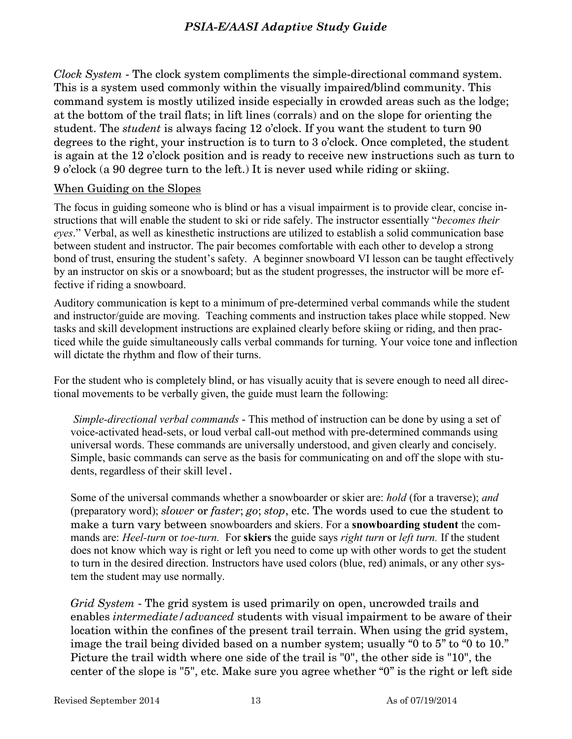*Clock System* - The clock system compliments the simple-directional command system. This is a system used commonly within the visually impaired/blind community. This command system is mostly utilized inside especially in crowded areas such as the lodge; at the bottom of the trail flats; in lift lines (corrals) and on the slope for orienting the student. The *student* is always facing 12 o'clock. If you want the student to turn 90 degrees to the right, your instruction is to turn to 3 o'clock. Once completed, the student is again at the 12 o'clock position and is ready to receive new instructions such as turn to 9 o'clock (a 90 degree turn to the left.) It is never used while riding or skiing.

## When Guiding on the Slopes

The focus in guiding someone who is blind or has a visual impairment is to provide clear, concise instructions that will enable the student to ski or ride safely. The instructor essentially "*becomes their eyes*." Verbal, as well as kinesthetic instructions are utilized to establish a solid communication base between student and instructor. The pair becomes comfortable with each other to develop a strong bond of trust, ensuring the student's safety. A beginner snowboard VI lesson can be taught effectively by an instructor on skis or a snowboard; but as the student progresses, the instructor will be more effective if riding a snowboard.

Auditory communication is kept to a minimum of pre-determined verbal commands while the student and instructor/guide are moving. Teaching comments and instruction takes place while stopped. New tasks and skill development instructions are explained clearly before skiing or riding, and then practiced while the guide simultaneously calls verbal commands for turning. Your voice tone and inflection will dictate the rhythm and flow of their turns.

For the student who is completely blind, or has visually acuity that is severe enough to need all directional movements to be verbally given, the guide must learn the following:

*Simple-directional verbal commands* - This method of instruction can be done by using a set of voice-activated head-sets, or loud verbal call-out method with pre-determined commands using universal words. These commands are universally understood, and given clearly and concisely. Simple, basic commands can serve as the basis for communicating on and off the slope with students, regardless of their skill level.

Some of the universal commands whether a snowboarder or skier are: *hold* (for a traverse); *and* (preparatory word); *slower* or *faster*; *go*; *stop*, etc. The words used to cue the student to make a turn vary between snowboarders and skiers. For a **snowboarding student** the commands are: *Heel-turn* or *toe-turn.* For **skiers** the guide says *right turn* or *left turn.* If the student does not know which way is right or left you need to come up with other words to get the student to turn in the desired direction. Instructors have used colors (blue, red) animals, or any other system the student may use normally.

*Grid System* - The grid system is used primarily on open, uncrowded trails and enables *intermediate/advanced* students with visual impairment to be aware of their location within the confines of the present trail terrain. When using the grid system, image the trail being divided based on a number system; usually "0 to 5" to "0 to 10." Picture the trail width where one side of the trail is "0", the other side is "10", the center of the slope is "5", etc. Make sure you agree whether "0" is the right or left side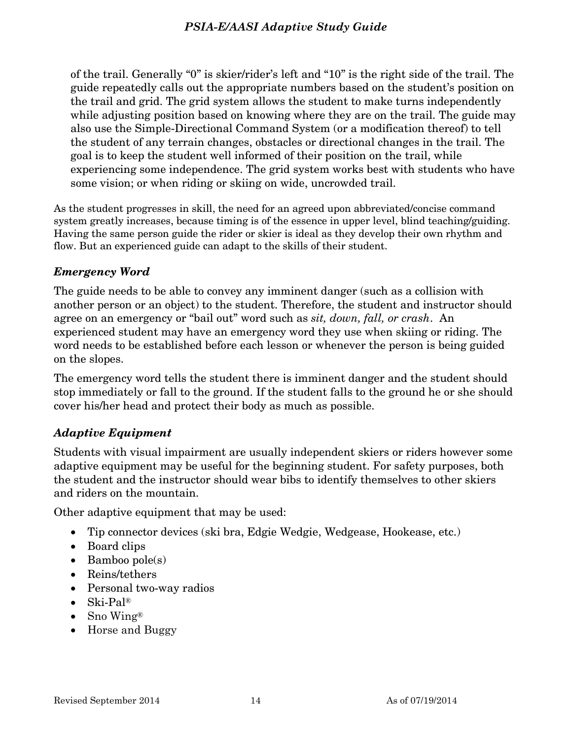of the trail. Generally "0" is skier/rider's left and "10" is the right side of the trail. The guide repeatedly calls out the appropriate numbers based on the student's position on the trail and grid. The grid system allows the student to make turns independently while adjusting position based on knowing where they are on the trail. The guide may also use the Simple-Directional Command System (or a modification thereof) to tell the student of any terrain changes, obstacles or directional changes in the trail. The goal is to keep the student well informed of their position on the trail, while experiencing some independence. The grid system works best with students who have some vision; or when riding or skiing on wide, uncrowded trail.

As the student progresses in skill, the need for an agreed upon abbreviated/concise command system greatly increases, because timing is of the essence in upper level, blind teaching/guiding. Having the same person guide the rider or skier is ideal as they develop their own rhythm and flow. But an experienced guide can adapt to the skills of their student.

## *Emergency Word*

The guide needs to be able to convey any imminent danger (such as a collision with another person or an object) to the student. Therefore, the student and instructor should agree on an emergency or "bail out" word such as *sit, down, fall, or crash*. An experienced student may have an emergency word they use when skiing or riding. The word needs to be established before each lesson or whenever the person is being guided on the slopes.

The emergency word tells the student there is imminent danger and the student should stop immediately or fall to the ground. If the student falls to the ground he or she should cover his/her head and protect their body as much as possible.

## *Adaptive Equipment*

Students with visual impairment are usually independent skiers or riders however some adaptive equipment may be useful for the beginning student. For safety purposes, both the student and the instructor should wear bibs to identify themselves to other skiers and riders on the mountain.

Other adaptive equipment that may be used:

- Tip connector devices (ski bra, Edgie Wedgie, Wedgease, Hookease, etc.)
- Board clips
- $\bullet$  Bamboo pole(s)
- Reins/tethers
- Personal two-way radios
- Ski-Pal®
- Sno Wing®
- Horse and Buggy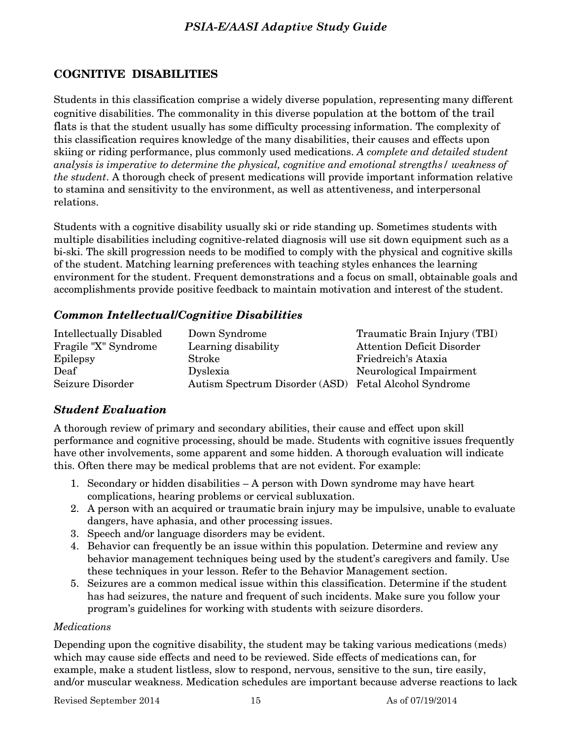## **COGNITIVE DISABILITIES**

Students in this classification comprise a widely diverse population, representing many different cognitive disabilities. The commonality in this diverse population at the bottom of the trail flats is that the student usually has some difficulty processing information. The complexity of this classification requires knowledge of the many disabilities, their causes and effects upon skiing or riding performance, plus commonly used medications. *A complete and detailed student analysis is imperative to determine the physical, cognitive and emotional strengths/ weakness of the student*. A thorough check of present medications will provide important information relative to stamina and sensitivity to the environment, as well as attentiveness, and interpersonal relations.

Students with a cognitive disability usually ski or ride standing up. Sometimes students with multiple disabilities including cognitive-related diagnosis will use sit down equipment such as a bi-ski. The skill progression needs to be modified to comply with the physical and cognitive skills of the student. Matching learning preferences with teaching styles enhances the learning environment for the student. Frequent demonstrations and a focus on small, obtainable goals and accomplishments provide positive feedback to maintain motivation and interest of the student.

## *Common Intellectual/Cognitive Disabilities*

| Intellectually Disabled | Down Syndrome                  | Traumatic Brain Injury (TBI)      |
|-------------------------|--------------------------------|-----------------------------------|
| Fragile "X" Syndrome    | Learning disability            | <b>Attention Deficit Disorder</b> |
| Epilepsy                | Stroke                         | Friedreich's Ataxia               |
| Deaf                    | Dyslexia                       | Neurological Impairment           |
| Seizure Disorder        | Autism Spectrum Disorder (ASD) | Fetal Alcohol Syndrome            |

## *Student Evaluation*

A thorough review of primary and secondary abilities, their cause and effect upon skill performance and cognitive processing, should be made. Students with cognitive issues frequently have other involvements, some apparent and some hidden. A thorough evaluation will indicate this. Often there may be medical problems that are not evident. For example:

- 1. Secondary or hidden disabilities A person with Down syndrome may have heart complications, hearing problems or cervical subluxation.
- 2. A person with an acquired or traumatic brain injury may be impulsive, unable to evaluate dangers, have aphasia, and other processing issues.
- 3. Speech and/or language disorders may be evident.
- 4. Behavior can frequently be an issue within this population. Determine and review any behavior management techniques being used by the student's caregivers and family. Use these techniques in your lesson. Refer to the Behavior Management section.
- 5. Seizures are a common medical issue within this classification. Determine if the student has had seizures, the nature and frequent of such incidents. Make sure you follow your program's guidelines for working with students with seizure disorders.

#### *Medications*

Depending upon the cognitive disability, the student may be taking various medications (meds) which may cause side effects and need to be reviewed. Side effects of medications can, for example, make a student listless, slow to respond, nervous, sensitive to the sun, tire easily, and/or muscular weakness. Medication schedules are important because adverse reactions to lack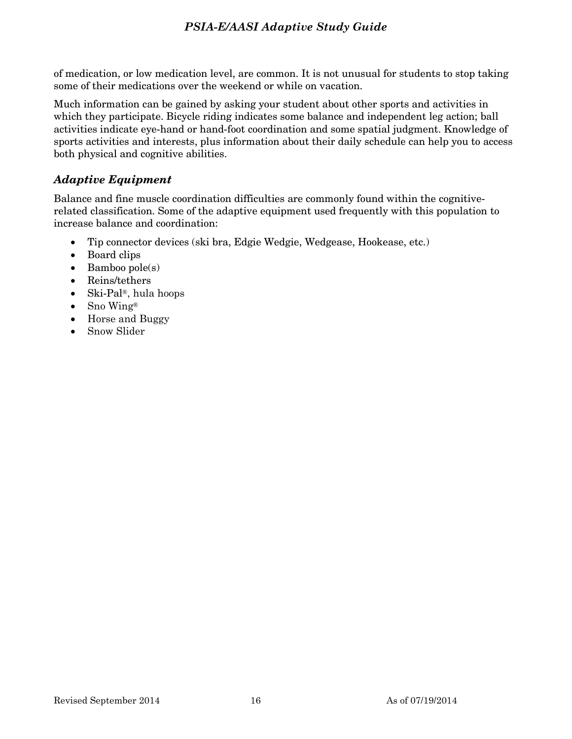of medication, or low medication level, are common. It is not unusual for students to stop taking some of their medications over the weekend or while on vacation.

Much information can be gained by asking your student about other sports and activities in which they participate. Bicycle riding indicates some balance and independent leg action; ball activities indicate eye-hand or hand-foot coordination and some spatial judgment. Knowledge of sports activities and interests, plus information about their daily schedule can help you to access both physical and cognitive abilities.

## *Adaptive Equipment*

Balance and fine muscle coordination difficulties are commonly found within the cognitiverelated classification. Some of the adaptive equipment used frequently with this population to increase balance and coordination:

- Tip connector devices (ski bra, Edgie Wedgie, Wedgease, Hookease, etc.)
- Board clips
- $\bullet$  Bamboo pole(s)
- Reins/tethers
- Ski-Pal®, hula hoops
- Sno Wing®
- Horse and Buggy
- Snow Slider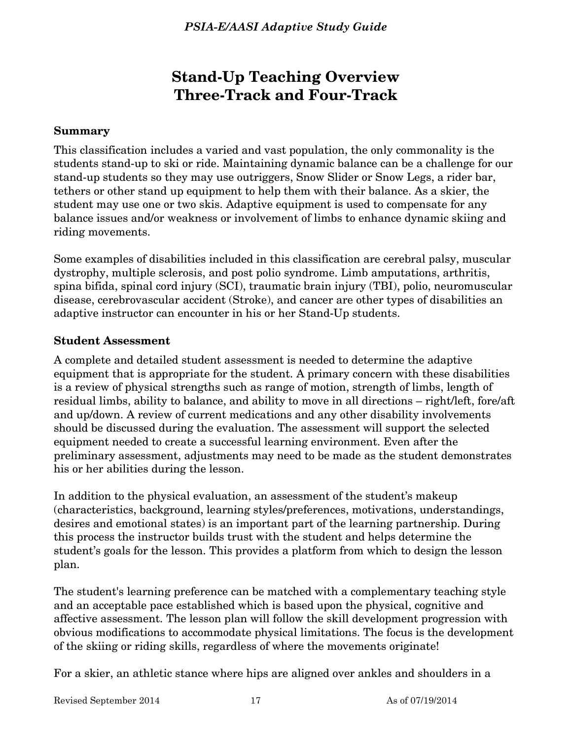# **Stand-Up Teaching Overview Three-Track and Four-Track**

## **Summary**

This classification includes a varied and vast population, the only commonality is the students stand-up to ski or ride. Maintaining dynamic balance can be a challenge for our stand-up students so they may use outriggers, Snow Slider or Snow Legs, a rider bar, tethers or other stand up equipment to help them with their balance. As a skier, the student may use one or two skis. Adaptive equipment is used to compensate for any balance issues and/or weakness or involvement of limbs to enhance dynamic skiing and riding movements.

Some examples of disabilities included in this classification are cerebral palsy, muscular dystrophy, multiple sclerosis, and post polio syndrome. Limb amputations, arthritis, spina bifida, spinal cord injury (SCI), traumatic brain injury (TBI), polio, neuromuscular disease, cerebrovascular accident (Stroke), and cancer are other types of disabilities an adaptive instructor can encounter in his or her Stand-Up students.

## **Student Assessment**

A complete and detailed student assessment is needed to determine the adaptive equipment that is appropriate for the student. A primary concern with these disabilities is a review of physical strengths such as range of motion, strength of limbs, length of residual limbs, ability to balance, and ability to move in all directions – right/left, fore/aft and up/down. A review of current medications and any other disability involvements should be discussed during the evaluation. The assessment will support the selected equipment needed to create a successful learning environment. Even after the preliminary assessment, adjustments may need to be made as the student demonstrates his or her abilities during the lesson.

In addition to the physical evaluation, an assessment of the student's makeup (characteristics, background, learning styles/preferences, motivations, understandings, desires and emotional states) is an important part of the learning partnership. During this process the instructor builds trust with the student and helps determine the student's goals for the lesson. This provides a platform from which to design the lesson plan.

The student's learning preference can be matched with a complementary teaching style and an acceptable pace established which is based upon the physical, cognitive and affective assessment. The lesson plan will follow the skill development progression with obvious modifications to accommodate physical limitations. The focus is the development of the skiing or riding skills, regardless of where the movements originate!

For a skier, an athletic stance where hips are aligned over ankles and shoulders in a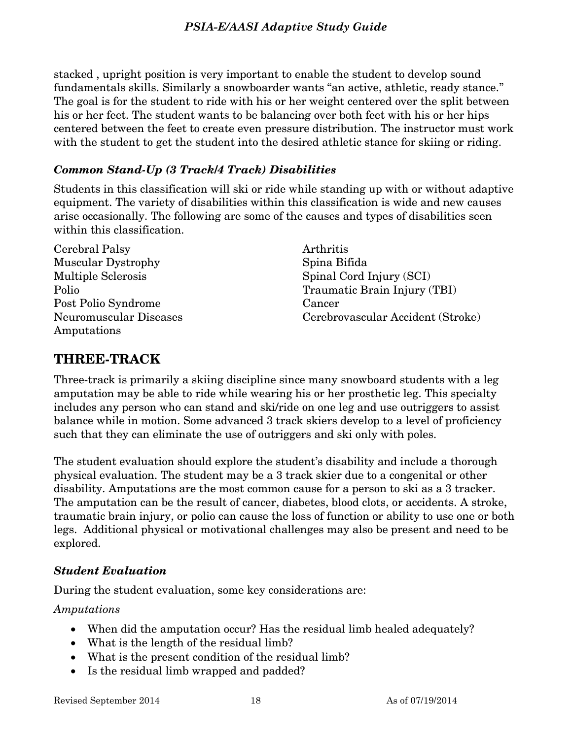stacked , upright position is very important to enable the student to develop sound fundamentals skills. Similarly a snowboarder wants "an active, athletic, ready stance." The goal is for the student to ride with his or her weight centered over the split between his or her feet. The student wants to be balancing over both feet with his or her hips centered between the feet to create even pressure distribution. The instructor must work with the student to get the student into the desired athletic stance for skiing or riding.

## *Common Stand-Up (3 Track/4 Track) Disabilities*

Students in this classification will ski or ride while standing up with or without adaptive equipment. The variety of disabilities within this classification is wide and new causes arise occasionally. The following are some of the causes and types of disabilities seen within this classification.

Cerebral Palsy Muscular Dystrophy Multiple Sclerosis Polio Post Polio Syndrome Neuromuscular Diseases Amputations

Arthritis Spina Bifida Spinal Cord Injury (SCI) Traumatic Brain Injury (TBI) Cancer Cerebrovascular Accident (Stroke)

## **THREE-TRACK**

Three-track is primarily a skiing discipline since many snowboard students with a leg amputation may be able to ride while wearing his or her prosthetic leg. This specialty includes any person who can stand and ski/ride on one leg and use outriggers to assist balance while in motion. Some advanced 3 track skiers develop to a level of proficiency such that they can eliminate the use of outriggers and ski only with poles.

The student evaluation should explore the student's disability and include a thorough physical evaluation. The student may be a 3 track skier due to a congenital or other disability. Amputations are the most common cause for a person to ski as a 3 tracker. The amputation can be the result of cancer, diabetes, blood clots, or accidents. A stroke, traumatic brain injury, or polio can cause the loss of function or ability to use one or both legs. Additional physical or motivational challenges may also be present and need to be explored.

## *Student Evaluation*

During the student evaluation, some key considerations are:

## *Amputations*

- When did the amputation occur? Has the residual limb healed adequately?
- What is the length of the residual limb?
- What is the present condition of the residual limb?
- Is the residual limb wrapped and padded?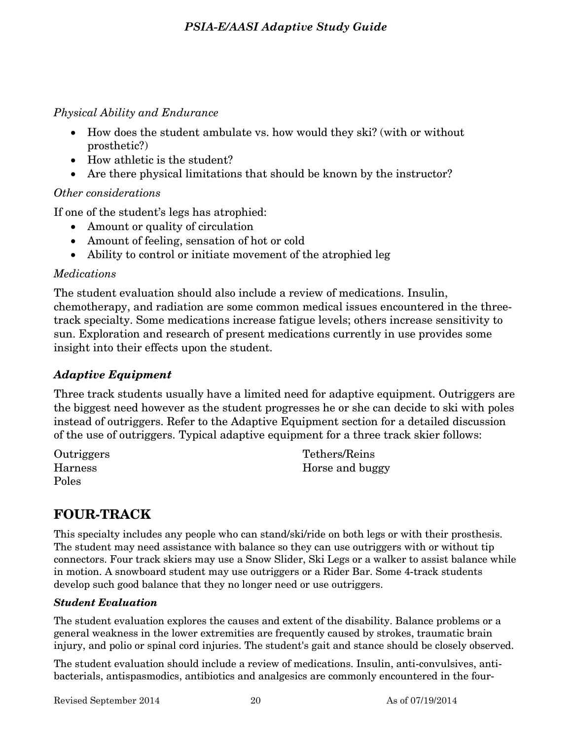## *Physical Ability and Endurance*

- How does the student ambulate vs. how would they ski? (with or without prosthetic?)
- How athletic is the student?
- Are there physical limitations that should be known by the instructor?

## *Other considerations*

If one of the student's legs has atrophied:

- Amount or quality of circulation
- Amount of feeling, sensation of hot or cold
- Ability to control or initiate movement of the atrophied leg

## *Medications*

The student evaluation should also include a review of medications. Insulin, chemotherapy, and radiation are some common medical issues encountered in the threetrack specialty. Some medications increase fatigue levels; others increase sensitivity to sun. Exploration and research of present medications currently in use provides some insight into their effects upon the student.

## *Adaptive Equipment*

Three track students usually have a limited need for adaptive equipment. Outriggers are the biggest need however as the student progresses he or she can decide to ski with poles instead of outriggers. Refer to the Adaptive Equipment section for a detailed discussion of the use of outriggers. Typical adaptive equipment for a three track skier follows:

**Outriggers** Harness Poles

Tethers/Reins Horse and buggy

# **FOUR-TRACK**

This specialty includes any people who can stand/ski/ride on both legs or with their prosthesis. The student may need assistance with balance so they can use outriggers with or without tip connectors. Four track skiers may use a Snow Slider, Ski Legs or a walker to assist balance while in motion. A snowboard student may use outriggers or a Rider Bar. Some 4-track students develop such good balance that they no longer need or use outriggers.

## *Student Evaluation*

The student evaluation explores the causes and extent of the disability. Balance problems or a general weakness in the lower extremities are frequently caused by strokes, traumatic brain injury, and polio or spinal cord injuries. The student's gait and stance should be closely observed.

The student evaluation should include a review of medications. Insulin, anti-convulsives, antibacterials, antispasmodics, antibiotics and analgesics are commonly encountered in the four-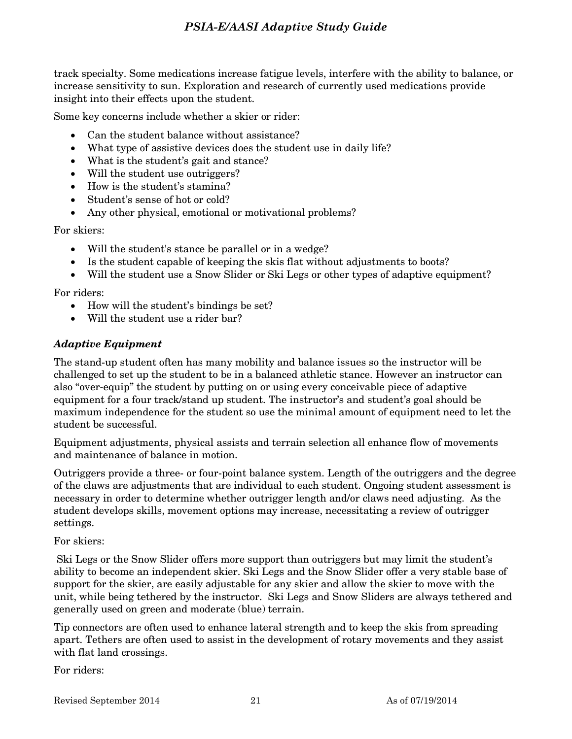track specialty. Some medications increase fatigue levels, interfere with the ability to balance, or increase sensitivity to sun. Exploration and research of currently used medications provide insight into their effects upon the student.

Some key concerns include whether a skier or rider:

- Can the student balance without assistance?
- What type of assistive devices does the student use in daily life?
- What is the student's gait and stance?
- Will the student use outriggers?
- How is the student's stamina?
- Student's sense of hot or cold?
- Any other physical, emotional or motivational problems?

For skiers:

- Will the student's stance be parallel or in a wedge?
- Is the student capable of keeping the skis flat without adjustments to boots?
- Will the student use a Snow Slider or Ski Legs or other types of adaptive equipment?

For riders:

- How will the student's bindings be set?
- Will the student use a rider bar?

#### *Adaptive Equipment*

The stand-up student often has many mobility and balance issues so the instructor will be challenged to set up the student to be in a balanced athletic stance. However an instructor can also "over-equip" the student by putting on or using every conceivable piece of adaptive equipment for a four track/stand up student. The instructor's and student's goal should be maximum independence for the student so use the minimal amount of equipment need to let the student be successful.

Equipment adjustments, physical assists and terrain selection all enhance flow of movements and maintenance of balance in motion.

Outriggers provide a three- or four-point balance system. Length of the outriggers and the degree of the claws are adjustments that are individual to each student. Ongoing student assessment is necessary in order to determine whether outrigger length and/or claws need adjusting. As the student develops skills, movement options may increase, necessitating a review of outrigger settings.

For skiers:

 Ski Legs or the Snow Slider offers more support than outriggers but may limit the student's ability to become an independent skier. Ski Legs and the Snow Slider offer a very stable base of support for the skier, are easily adjustable for any skier and allow the skier to move with the unit, while being tethered by the instructor. Ski Legs and Snow Sliders are always tethered and generally used on green and moderate (blue) terrain.

Tip connectors are often used to enhance lateral strength and to keep the skis from spreading apart. Tethers are often used to assist in the development of rotary movements and they assist with flat land crossings.

For riders: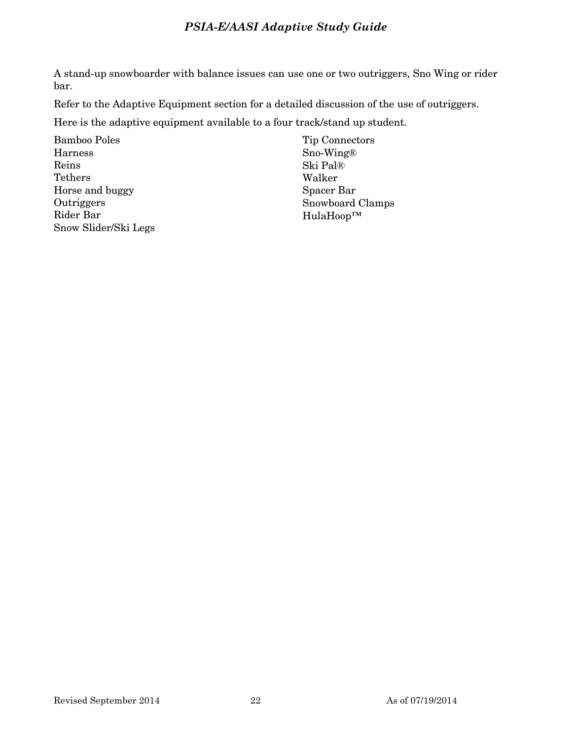A stand-up snowboarder with balance issues can use one or two outriggers, Sno Wing or rider bar.

Refer to the Adaptive Equipment section for a detailed discussion of the use of outriggers.

Here is the adaptive equipment available to a four track/stand up student.

Bamboo Poles Harness Reins Tethers Horse and buggy **Outriggers** Rider Bar Snow Slider/Ski Legs Tip Connectors Sno-Wing® Ski Pal® Walker Spacer Bar Snowboard Clamps HulaHoop™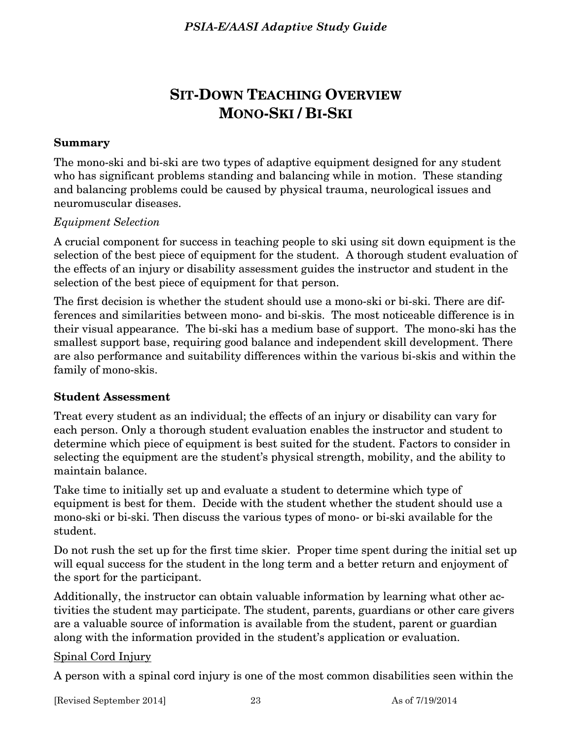# **SIT-DOWN TEACHING OVERVIEW MONO-SKI / BI-SKI**

## **Summary**

The mono-ski and bi-ski are two types of adaptive equipment designed for any student who has significant problems standing and balancing while in motion. These standing and balancing problems could be caused by physical trauma, neurological issues and neuromuscular diseases.

## *Equipment Selection*

A crucial component for success in teaching people to ski using sit down equipment is the selection of the best piece of equipment for the student. A thorough student evaluation of the effects of an injury or disability assessment guides the instructor and student in the selection of the best piece of equipment for that person.

The first decision is whether the student should use a mono-ski or bi-ski. There are differences and similarities between mono- and bi-skis. The most noticeable difference is in their visual appearance. The bi-ski has a medium base of support. The mono-ski has the smallest support base, requiring good balance and independent skill development. There are also performance and suitability differences within the various bi-skis and within the family of mono-skis.

## **Student Assessment**

Treat every student as an individual; the effects of an injury or disability can vary for each person. Only a thorough student evaluation enables the instructor and student to determine which piece of equipment is best suited for the student. Factors to consider in selecting the equipment are the student's physical strength, mobility, and the ability to maintain balance.

Take time to initially set up and evaluate a student to determine which type of equipment is best for them. Decide with the student whether the student should use a mono-ski or bi-ski. Then discuss the various types of mono- or bi-ski available for the student.

Do not rush the set up for the first time skier. Proper time spent during the initial set up will equal success for the student in the long term and a better return and enjoyment of the sport for the participant.

Additionally, the instructor can obtain valuable information by learning what other activities the student may participate. The student, parents, guardians or other care givers are a valuable source of information is available from the student, parent or guardian along with the information provided in the student's application or evaluation.

## Spinal Cord Injury

A person with a spinal cord injury is one of the most common disabilities seen within the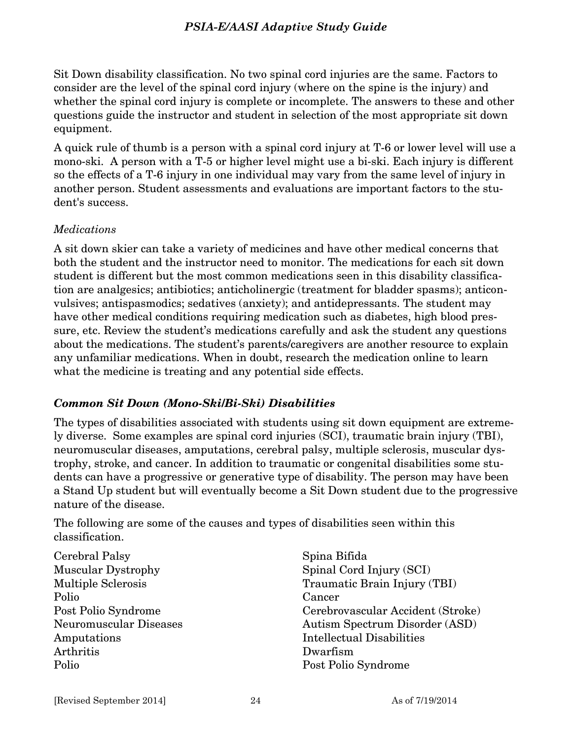Sit Down disability classification. No two spinal cord injuries are the same. Factors to consider are the level of the spinal cord injury (where on the spine is the injury) and whether the spinal cord injury is complete or incomplete. The answers to these and other questions guide the instructor and student in selection of the most appropriate sit down equipment.

A quick rule of thumb is a person with a spinal cord injury at T-6 or lower level will use a mono-ski. A person with a T-5 or higher level might use a bi-ski. Each injury is different so the effects of a T-6 injury in one individual may vary from the same level of injury in another person. Student assessments and evaluations are important factors to the student's success.

## *Medications*

A sit down skier can take a variety of medicines and have other medical concerns that both the student and the instructor need to monitor. The medications for each sit down student is different but the most common medications seen in this disability classification are analgesics; antibiotics; anticholinergic (treatment for bladder spasms); anticonvulsives; antispasmodics; sedatives (anxiety); and antidepressants. The student may have other medical conditions requiring medication such as diabetes, high blood pressure, etc. Review the student's medications carefully and ask the student any questions about the medications. The student's parents/caregivers are another resource to explain any unfamiliar medications. When in doubt, research the medication online to learn what the medicine is treating and any potential side effects.

## *Common Sit Down (Mono-Ski/Bi-Ski) Disabilities*

The types of disabilities associated with students using sit down equipment are extremely diverse. Some examples are spinal cord injuries (SCI), traumatic brain injury (TBI), neuromuscular diseases, amputations, cerebral palsy, multiple sclerosis, muscular dystrophy, stroke, and cancer. In addition to traumatic or congenital disabilities some students can have a progressive or generative type of disability. The person may have been a Stand Up student but will eventually become a Sit Down student due to the progressive nature of the disease.

The following are some of the causes and types of disabilities seen within this classification.

Cerebral Palsy Muscular Dystrophy Multiple Sclerosis Polio Post Polio Syndrome Neuromuscular Diseases Amputations Arthritis Polio

Spina Bifida Spinal Cord Injury (SCI) Traumatic Brain Injury (TBI) Cancer Cerebrovascular Accident (Stroke) Autism Spectrum Disorder (ASD) Intellectual Disabilities Dwarfism Post Polio Syndrome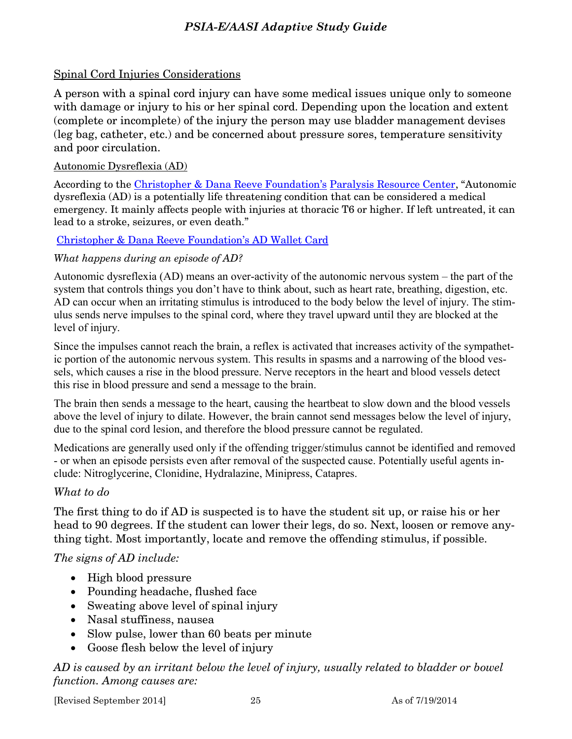## Spinal Cord Injuries Considerations

A person with a spinal cord injury can have some medical issues unique only to someone with damage or injury to his or her spinal cord. Depending upon the location and extent (complete or incomplete) of the injury the person may use bladder management devises (leg bag, catheter, etc.) and be concerned about pressure sores, temperature sensitivity and poor circulation.

## Autonomic Dysreflexia (AD)

According to the [Christopher & Dana Reeve Foundation's](http://www.christopherreeve.org/site/c.ddJFKRNoFiG/b.4048063/k.C5D5/Christopher_Reeve_Spinal_Cord_Injury_and_Paralysis_Foundation.htm) [Paralysis Resource Center](http://www.christopherreeve.org/site/c.mtKZKgMWKwG/b.4453413/k.5E2A/Autonomic_Dysreflexia.htm), "Autonomic dysreflexia (AD) is a potentially life threatening condition that can be considered a medical emergency. It mainly affects people with injuries at thoracic T6 or higher. If left untreated, it can lead to a stroke, seizures, or even death."

## [Christopher & Dana Reeve Foundation's AD Wallet Card](http://www.christopherreeve.org/site/c.mtKZKgMWKwG/b.7745873/k.4E76/AD_Wallet_Card_Request/apps/ka/ct/contactus.asp?c=mtKZKgMWKwG&b=7745873&en=4nLxEFMfH3KGKPOiF2LCKRNzGmLRLWMpHeIRLZNAKrG)

## *What happens during an episode of AD?*

Autonomic dysreflexia (AD) means an over-activity of the autonomic nervous system – the part of the system that controls things you don't have to think about, such as heart rate, breathing, digestion, etc. AD can occur when an irritating stimulus is introduced to the body below the level of injury. The stimulus sends nerve impulses to the spinal cord, where they travel upward until they are blocked at the level of injury.

Since the impulses cannot reach the brain, a reflex is activated that increases activity of the sympathetic portion of the autonomic nervous system. This results in spasms and a narrowing of the blood vessels, which causes a rise in the blood pressure. Nerve receptors in the heart and blood vessels detect this rise in blood pressure and send a message to the brain.

The brain then sends a message to the heart, causing the heartbeat to slow down and the blood vessels above the level of injury to dilate. However, the brain cannot send messages below the level of injury, due to the spinal cord lesion, and therefore the blood pressure cannot be regulated.

Medications are generally used only if the offending trigger/stimulus cannot be identified and removed - or when an episode persists even after removal of the suspected cause. Potentially useful agents include: Nitroglycerine, Clonidine, Hydralazine, Minipress, Catapres.

## *What to do*

The first thing to do if AD is suspected is to have the student sit up, or raise his or her head to 90 degrees. If the student can lower their legs, do so. Next, loosen or remove anything tight. Most importantly, locate and remove the offending stimulus, if possible.

## *The signs of AD include:*

- High blood pressure
- Pounding headache, flushed face
- Sweating above level of spinal injury
- Nasal stuffiness, nausea
- Slow pulse, lower than 60 beats per minute
- Goose flesh below the level of injury

*AD is caused by an irritant below the level of injury, usually related to bladder or bowel function. Among causes are:*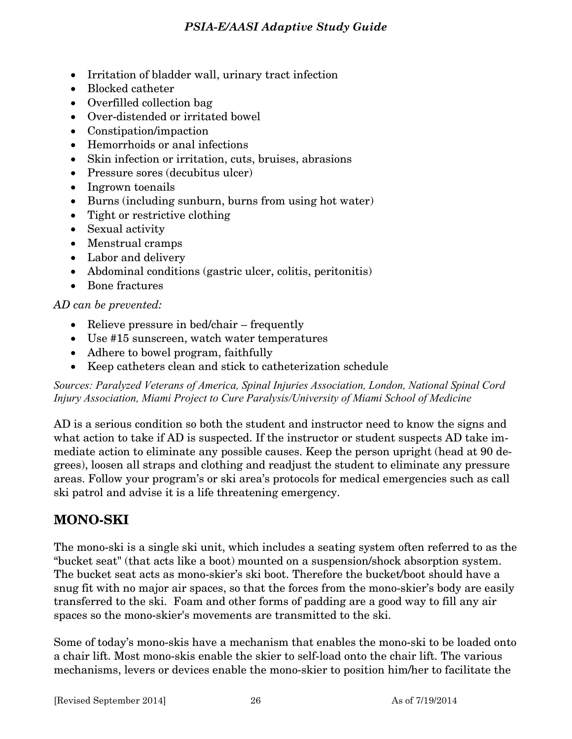- Irritation of bladder wall, urinary tract infection
- Blocked catheter
- Overfilled collection bag
- Over-distended or irritated bowel
- Constipation/impaction
- Hemorrhoids or anal infections
- Skin infection or irritation, cuts, bruises, abrasions
- Pressure sores (decubitus ulcer)
- Ingrown toenails
- Burns (including sunburn, burns from using hot water)
- Tight or restrictive clothing
- Sexual activity
- Menstrual cramps
- Labor and delivery
- Abdominal conditions (gastric ulcer, colitis, peritonitis)
- Bone fractures

## *AD can be prevented:*

- Relieve pressure in bed/chair frequently
- Use #15 sunscreen, watch water temperatures
- Adhere to bowel program, faithfully
- Keep catheters clean and stick to catheterization schedule

*Sources: Paralyzed Veterans of America, Spinal Injuries Association, London, National Spinal Cord Injury Association, Miami Project to Cure Paralysis/University of Miami School of Medicine* 

AD is a serious condition so both the student and instructor need to know the signs and what action to take if AD is suspected. If the instructor or student suspects AD take immediate action to eliminate any possible causes. Keep the person upright (head at 90 degrees), loosen all straps and clothing and readjust the student to eliminate any pressure areas. Follow your program's or ski area's protocols for medical emergencies such as call ski patrol and advise it is a life threatening emergency.

# **MONO-SKI**

The mono-ski is a single ski unit, which includes a seating system often referred to as the "bucket seat" (that acts like a boot) mounted on a suspension/shock absorption system. The bucket seat acts as mono-skier's ski boot. Therefore the bucket/boot should have a snug fit with no major air spaces, so that the forces from the mono-skier's body are easily transferred to the ski. Foam and other forms of padding are a good way to fill any air spaces so the mono-skier's movements are transmitted to the ski.

Some of today's mono-skis have a mechanism that enables the mono-ski to be loaded onto a chair lift. Most mono-skis enable the skier to self-load onto the chair lift. The various mechanisms, levers or devices enable the mono-skier to position him/her to facilitate the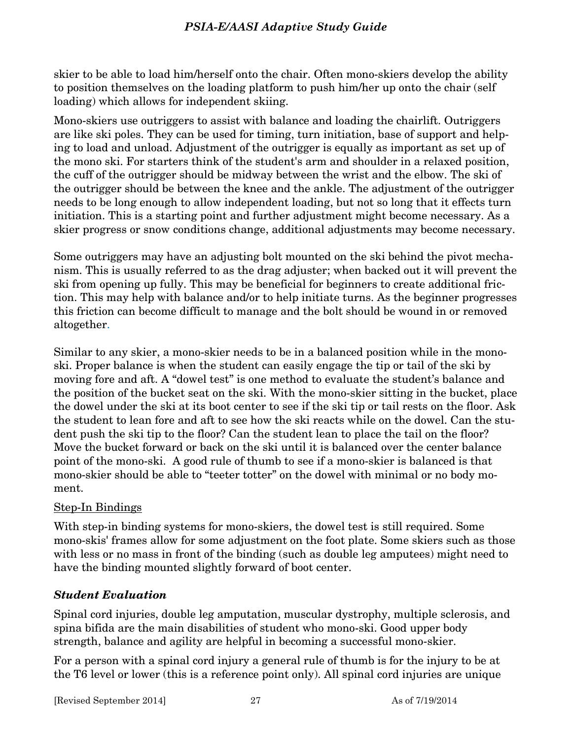skier to be able to load him/herself onto the chair. Often mono-skiers develop the ability to position themselves on the loading platform to push him/her up onto the chair (self loading) which allows for independent skiing.

Mono-skiers use outriggers to assist with balance and loading the chairlift. Outriggers are like ski poles. They can be used for timing, turn initiation, base of support and helping to load and unload. Adjustment of the outrigger is equally as important as set up of the mono ski. For starters think of the student's arm and shoulder in a relaxed position, the cuff of the outrigger should be midway between the wrist and the elbow. The ski of the outrigger should be between the knee and the ankle. The adjustment of the outrigger needs to be long enough to allow independent loading, but not so long that it effects turn initiation. This is a starting point and further adjustment might become necessary. As a skier progress or snow conditions change, additional adjustments may become necessary.

Some outriggers may have an adjusting bolt mounted on the ski behind the pivot mechanism. This is usually referred to as the drag adjuster; when backed out it will prevent the ski from opening up fully. This may be beneficial for beginners to create additional friction. This may help with balance and/or to help initiate turns. As the beginner progresses this friction can become difficult to manage and the bolt should be wound in or removed altogether.

Similar to any skier, a mono-skier needs to be in a balanced position while in the monoski. Proper balance is when the student can easily engage the tip or tail of the ski by moving fore and aft. A "dowel test" is one method to evaluate the student's balance and the position of the bucket seat on the ski. With the mono-skier sitting in the bucket, place the dowel under the ski at its boot center to see if the ski tip or tail rests on the floor. Ask the student to lean fore and aft to see how the ski reacts while on the dowel. Can the student push the ski tip to the floor? Can the student lean to place the tail on the floor? Move the bucket forward or back on the ski until it is balanced over the center balance point of the mono-ski. A good rule of thumb to see if a mono-skier is balanced is that mono-skier should be able to "teeter totter" on the dowel with minimal or no body moment.

## Step-In Bindings

With step-in binding systems for mono-skiers, the dowel test is still required. Some mono-skis' frames allow for some adjustment on the foot plate. Some skiers such as those with less or no mass in front of the binding (such as double leg amputees) might need to have the binding mounted slightly forward of boot center.

## *Student Evaluation*

Spinal cord injuries, double leg amputation, muscular dystrophy, multiple sclerosis, and spina bifida are the main disabilities of student who mono-ski. Good upper body strength, balance and agility are helpful in becoming a successful mono-skier.

For a person with a spinal cord injury a general rule of thumb is for the injury to be at the T6 level or lower (this is a reference point only). All spinal cord injuries are unique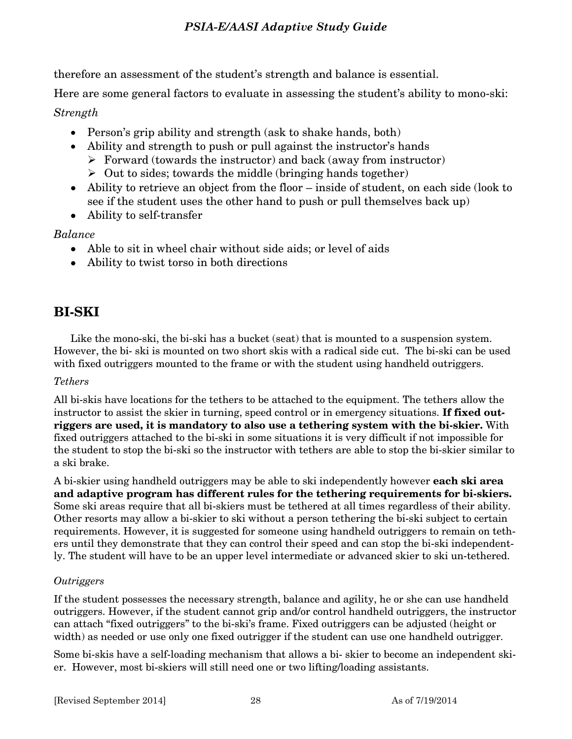therefore an assessment of the student's strength and balance is essential.

Here are some general factors to evaluate in assessing the student's ability to mono-ski:

## *Strength*

- Person's grip ability and strength (ask to shake hands, both)
- Ability and strength to push or pull against the instructor's hands
	- $\triangleright$  Forward (towards the instructor) and back (away from instructor)
	- $\triangleright$  Out to sides; towards the middle (bringing hands together)
- Ability to retrieve an object from the floor inside of student, on each side (look to see if the student uses the other hand to push or pull themselves back up)
- Ability to self-transfer

## *Balance*

- Able to sit in wheel chair without side aids; or level of aids
- Ability to twist torso in both directions

# **BI-SKI**

 Like the mono-ski, the bi-ski has a bucket (seat) that is mounted to a suspension system. However, the bi- ski is mounted on two short skis with a radical side cut. The bi-ski can be used with fixed outriggers mounted to the frame or with the student using handheld outriggers.

## *Tethers*

All bi-skis have locations for the tethers to be attached to the equipment. The tethers allow the instructor to assist the skier in turning, speed control or in emergency situations. **If fixed outriggers are used, it is mandatory to also use a tethering system with the bi-skier.** With fixed outriggers attached to the bi-ski in some situations it is very difficult if not impossible for the student to stop the bi-ski so the instructor with tethers are able to stop the bi-skier similar to a ski brake.

A bi-skier using handheld outriggers may be able to ski independently however **each ski area and adaptive program has different rules for the tethering requirements for bi-skiers.** Some ski areas require that all bi-skiers must be tethered at all times regardless of their ability. Other resorts may allow a bi-skier to ski without a person tethering the bi-ski subject to certain requirements. However, it is suggested for someone using handheld outriggers to remain on tethers until they demonstrate that they can control their speed and can stop the bi-ski independently. The student will have to be an upper level intermediate or advanced skier to ski un-tethered.

## *Outriggers*

If the student possesses the necessary strength, balance and agility, he or she can use handheld outriggers. However, if the student cannot grip and/or control handheld outriggers, the instructor can attach "fixed outriggers" to the bi-ski's frame. Fixed outriggers can be adjusted (height or width) as needed or use only one fixed outrigger if the student can use one handheld outrigger.

Some bi-skis have a self-loading mechanism that allows a bi- skier to become an independent skier. However, most bi-skiers will still need one or two lifting/loading assistants.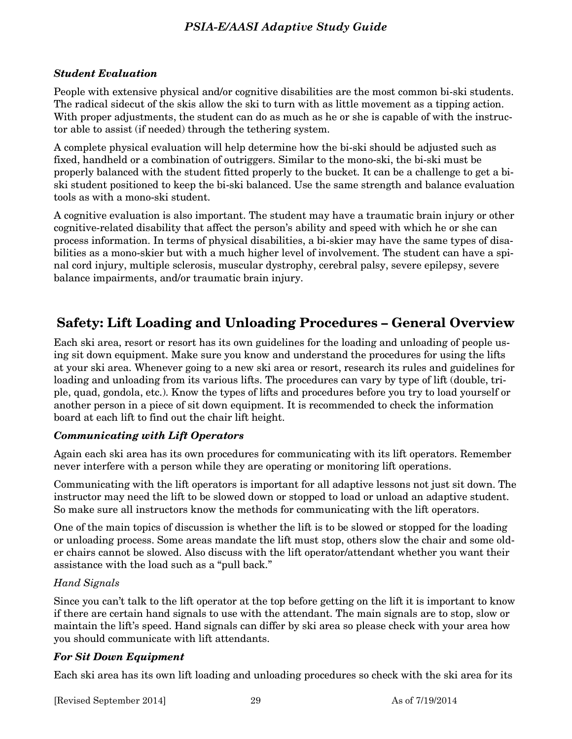#### *Student Evaluation*

People with extensive physical and/or cognitive disabilities are the most common bi-ski students. The radical sidecut of the skis allow the ski to turn with as little movement as a tipping action. With proper adjustments, the student can do as much as he or she is capable of with the instructor able to assist (if needed) through the tethering system.

A complete physical evaluation will help determine how the bi-ski should be adjusted such as fixed, handheld or a combination of outriggers. Similar to the mono-ski, the bi-ski must be properly balanced with the student fitted properly to the bucket. It can be a challenge to get a biski student positioned to keep the bi-ski balanced. Use the same strength and balance evaluation tools as with a mono-ski student.

A cognitive evaluation is also important. The student may have a traumatic brain injury or other cognitive-related disability that affect the person's ability and speed with which he or she can process information. In terms of physical disabilities, a bi-skier may have the same types of disabilities as a mono-skier but with a much higher level of involvement. The student can have a spinal cord injury, multiple sclerosis, muscular dystrophy, cerebral palsy, severe epilepsy, severe balance impairments, and/or traumatic brain injury.

## **Safety: Lift Loading and Unloading Procedures – General Overview**

Each ski area, resort or resort has its own guidelines for the loading and unloading of people using sit down equipment. Make sure you know and understand the procedures for using the lifts at your ski area. Whenever going to a new ski area or resort, research its rules and guidelines for loading and unloading from its various lifts. The procedures can vary by type of lift (double, triple, quad, gondola, etc.). Know the types of lifts and procedures before you try to load yourself or another person in a piece of sit down equipment. It is recommended to check the information board at each lift to find out the chair lift height.

#### *Communicating with Lift Operators*

Again each ski area has its own procedures for communicating with its lift operators. Remember never interfere with a person while they are operating or monitoring lift operations.

Communicating with the lift operators is important for all adaptive lessons not just sit down. The instructor may need the lift to be slowed down or stopped to load or unload an adaptive student. So make sure all instructors know the methods for communicating with the lift operators.

One of the main topics of discussion is whether the lift is to be slowed or stopped for the loading or unloading process. Some areas mandate the lift must stop, others slow the chair and some older chairs cannot be slowed. Also discuss with the lift operator/attendant whether you want their assistance with the load such as a "pull back."

#### *Hand Signals*

Since you can't talk to the lift operator at the top before getting on the lift it is important to know if there are certain hand signals to use with the attendant. The main signals are to stop, slow or maintain the lift's speed. Hand signals can differ by ski area so please check with your area how you should communicate with lift attendants.

## *For Sit Down Equipment*

Each ski area has its own lift loading and unloading procedures so check with the ski area for its

[Revised September 2014] 29 As of 7/19/2014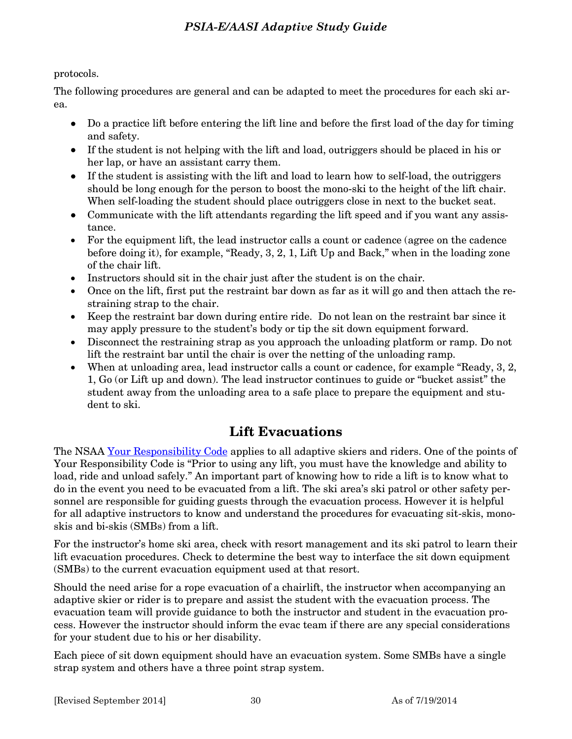protocols.

The following procedures are general and can be adapted to meet the procedures for each ski area.

- Do a practice lift before entering the lift line and before the first load of the day for timing and safety.
- If the student is not helping with the lift and load, outriggers should be placed in his or her lap, or have an assistant carry them.
- If the student is assisting with the lift and load to learn how to self-load, the outriggers should be long enough for the person to boost the mono-ski to the height of the lift chair. When self-loading the student should place outriggers close in next to the bucket seat.
- Communicate with the lift attendants regarding the lift speed and if you want any assistance.
- For the equipment lift, the lead instructor calls a count or cadence (agree on the cadence before doing it), for example, "Ready, 3, 2, 1, Lift Up and Back," when in the loading zone of the chair lift.
- Instructors should sit in the chair just after the student is on the chair.
- Once on the lift, first put the restraint bar down as far as it will go and then attach the restraining strap to the chair.
- Keep the restraint bar down during entire ride. Do not lean on the restraint bar since it may apply pressure to the student's body or tip the sit down equipment forward.
- Disconnect the restraining strap as you approach the unloading platform or ramp. Do not lift the restraint bar until the chair is over the netting of the unloading ramp.
- When at unloading area, lead instructor calls a count or cadence, for example "Ready, 3, 2, 1, Go (or Lift up and down). The lead instructor continues to guide or "bucket assist" the student away from the unloading area to a safe place to prepare the equipment and student to ski.

## **Lift Evacuations**

The NSAA [Your Responsibility Code](http://www.nsaa.org/safety-programs/responsibility-code/) applies to all adaptive skiers and riders. One of the points of Your Responsibility Code is "Prior to using any lift, you must have the knowledge and ability to load, ride and unload safely." An important part of knowing how to ride a lift is to know what to do in the event you need to be evacuated from a lift. The ski area's ski patrol or other safety personnel are responsible for guiding guests through the evacuation process. However it is helpful for all adaptive instructors to know and understand the procedures for evacuating sit-skis, monoskis and bi-skis (SMBs) from a lift.

For the instructor's home ski area, check with resort management and its ski patrol to learn their lift evacuation procedures. Check to determine the best way to interface the sit down equipment (SMBs) to the current evacuation equipment used at that resort.

Should the need arise for a rope evacuation of a chairlift, the instructor when accompanying an adaptive skier or rider is to prepare and assist the student with the evacuation process. The evacuation team will provide guidance to both the instructor and student in the evacuation process. However the instructor should inform the evac team if there are any special considerations for your student due to his or her disability.

Each piece of sit down equipment should have an evacuation system. Some SMBs have a single strap system and others have a three point strap system.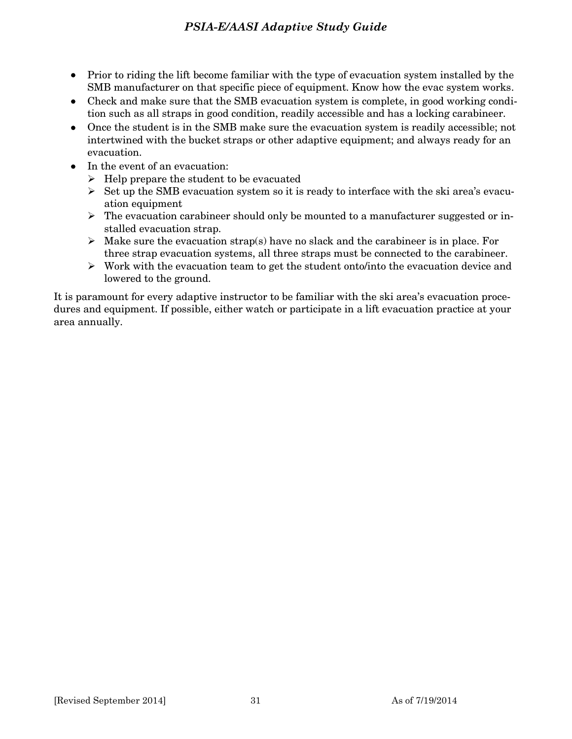- Prior to riding the lift become familiar with the type of evacuation system installed by the SMB manufacturer on that specific piece of equipment. Know how the evac system works.
- Check and make sure that the SMB evacuation system is complete, in good working condition such as all straps in good condition, readily accessible and has a locking carabineer.
- Once the student is in the SMB make sure the evacuation system is readily accessible; not intertwined with the bucket straps or other adaptive equipment; and always ready for an evacuation.
- In the event of an evacuation:
	- $\triangleright$  Help prepare the student to be evacuated
	- $\triangleright$  Set up the SMB evacuation system so it is ready to interface with the ski area's evacuation equipment
	- $\triangleright$  The evacuation carabineer should only be mounted to a manufacturer suggested or installed evacuation strap.
	- $\triangleright$  Make sure the evacuation strap(s) have no slack and the carabineer is in place. For three strap evacuation systems, all three straps must be connected to the carabineer.
	- $\triangleright$  Work with the evacuation team to get the student onto/into the evacuation device and lowered to the ground.

It is paramount for every adaptive instructor to be familiar with the ski area's evacuation procedures and equipment. If possible, either watch or participate in a lift evacuation practice at your area annually.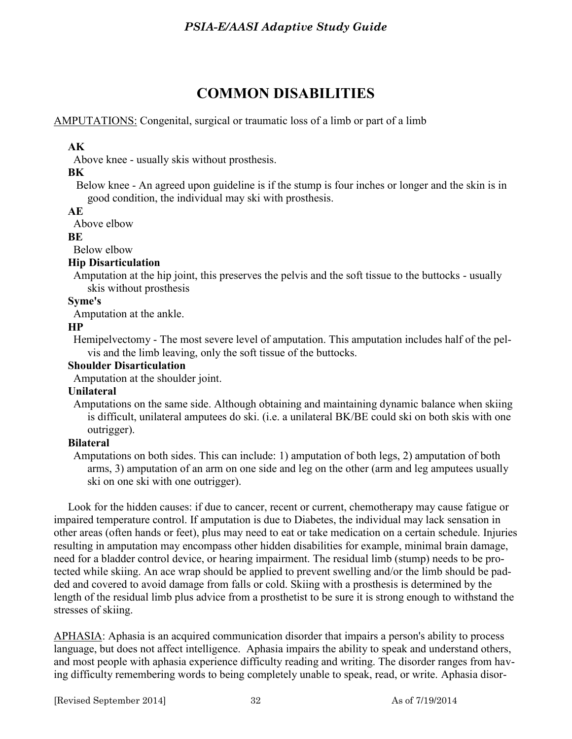# **COMMON DISABILITIES**

## AMPUTATIONS: Congenital, surgical or traumatic loss of a limb or part of a limb

## **AK**

Above knee - usually skis without prosthesis.

## **BK**

 Below knee - An agreed upon guideline is if the stump is four inches or longer and the skin is in good condition, the individual may ski with prosthesis.

## **AE**

Above elbow

## **BE**

Below elbow

## **Hip Disarticulation**

 Amputation at the hip joint, this preserves the pelvis and the soft tissue to the buttocks - usually skis without prosthesis

## **Syme's**

Amputation at the ankle.

## **HP**

 Hemipelvectomy - The most severe level of amputation. This amputation includes half of the pelvis and the limb leaving, only the soft tissue of the buttocks.

### **Shoulder Disarticulation**

Amputation at the shoulder joint.

#### **Unilateral**

 Amputations on the same side. Although obtaining and maintaining dynamic balance when skiing is difficult, unilateral amputees do ski. (i.e. a unilateral BK/BE could ski on both skis with one outrigger).

## **Bilateral**

 Amputations on both sides. This can include: 1) amputation of both legs, 2) amputation of both arms, 3) amputation of an arm on one side and leg on the other (arm and leg amputees usually ski on one ski with one outrigger).

 Look for the hidden causes: if due to cancer, recent or current, chemotherapy may cause fatigue or impaired temperature control. If amputation is due to Diabetes, the individual may lack sensation in other areas (often hands or feet), plus may need to eat or take medication on a certain schedule. Injuries resulting in amputation may encompass other hidden disabilities for example, minimal brain damage, need for a bladder control device, or hearing impairment. The residual limb (stump) needs to be protected while skiing. An ace wrap should be applied to prevent swelling and/or the limb should be padded and covered to avoid damage from falls or cold. Skiing with a prosthesis is determined by the length of the residual limb plus advice from a prosthetist to be sure it is strong enough to withstand the stresses of skiing.

APHASIA: Aphasia is an acquired communication disorder that impairs a person's ability to process language, but does not affect intelligence. Aphasia impairs the ability to speak and understand others, and most people with aphasia experience difficulty reading and writing. The disorder ranges from having difficulty remembering words to being completely unable to speak, read, or write. Aphasia disor-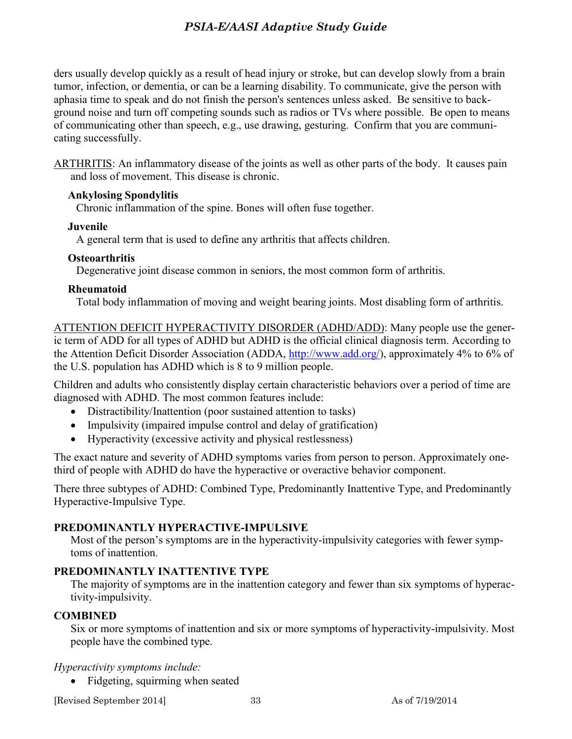ders usually develop quickly as a result of head injury or stroke, but can develop slowly from a brain tumor, infection, or dementia, or can be a learning disability. To communicate, give the person with aphasia time to speak and do not finish the person's sentences unless asked. Be sensitive to background noise and turn off competing sounds such as radios or TVs where possible. Be open to means of communicating other than speech, e.g., use drawing, gesturing. Confirm that you are communicating successfully.

ARTHRITIS: An inflammatory disease of the joints as well as other parts of the body. It causes pain and loss of movement. This disease is chronic.

#### **Ankylosing Spondylitis**

Chronic inflammation of the spine. Bones will often fuse together.

## **Juvenile**

A general term that is used to define any arthritis that affects children.

## **Osteoarthritis**

Degenerative joint disease common in seniors, the most common form of arthritis.

## **Rheumatoid**

Total body inflammation of moving and weight bearing joints. Most disabling form of arthritis.

ATTENTION DEFICIT HYPERACTIVITY DISORDER (ADHD/ADD): Many people use the generic term of ADD for all types of ADHD but ADHD is the official clinical diagnosis term. According to the Attention Deficit Disorder Association (ADDA, [http://www.add.org/\)](http://www.add.org/), approximately 4% to 6% of the U.S. population has ADHD which is 8 to 9 million people.

Children and adults who consistently display certain characteristic behaviors over a period of time are diagnosed with ADHD. The most common features include:

- Distractibility/Inattention (poor sustained attention to tasks)
- Impulsivity (impaired impulse control and delay of gratification)
- Hyperactivity (excessive activity and physical restlessness)

The exact nature and severity of ADHD symptoms varies from person to person. Approximately onethird of people with ADHD do have the hyperactive or overactive behavior component.

There three subtypes of ADHD: Combined Type, Predominantly Inattentive Type, and Predominantly Hyperactive-Impulsive Type.

## **PREDOMINANTLY HYPERACTIVE-IMPULSIVE**

Most of the person's symptoms are in the hyperactivity-impulsivity categories with fewer symptoms of inattention.

## **PREDOMINANTLY INATTENTIVE TYPE**

The majority of symptoms are in the inattention category and fewer than six symptoms of hyperactivity-impulsivity.

## **COMBINED**

Six or more symptoms of inattention and six or more symptoms of hyperactivity-impulsivity. Most people have the combined type.

#### *Hyperactivity symptoms include:*

• Fidgeting, squirming when seated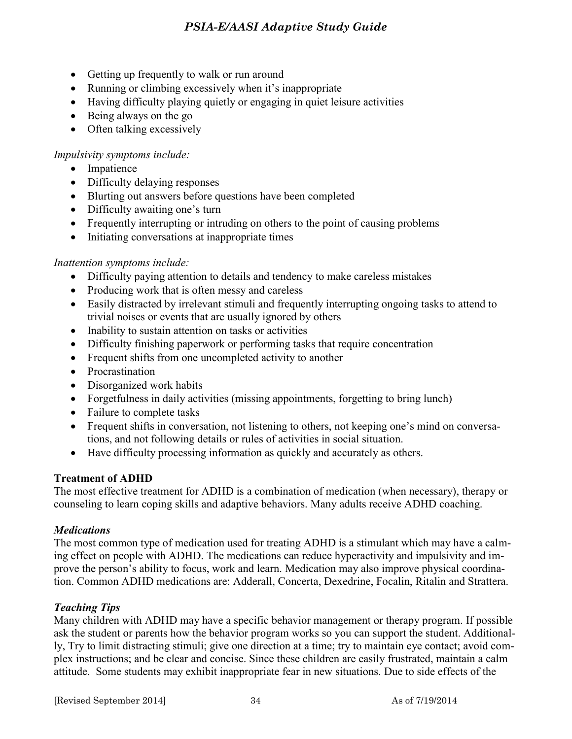- Getting up frequently to walk or run around
- Running or climbing excessively when it's inappropriate
- Having difficulty playing quietly or engaging in quiet leisure activities
- Being always on the go
- Often talking excessively

## *Impulsivity symptoms include:*

- Impatience
- Difficulty delaying responses
- Blurting out answers before questions have been completed
- Difficulty awaiting one's turn
- Frequently interrupting or intruding on others to the point of causing problems
- Initiating conversations at inappropriate times

#### *Inattention symptoms include:*

- Difficulty paying attention to details and tendency to make careless mistakes
- Producing work that is often messy and careless
- Easily distracted by irrelevant stimuli and frequently interrupting ongoing tasks to attend to trivial noises or events that are usually ignored by others
- Inability to sustain attention on tasks or activities
- Difficulty finishing paperwork or performing tasks that require concentration
- Frequent shifts from one uncompleted activity to another
- Procrastination
- Disorganized work habits
- Forgetfulness in daily activities (missing appointments, forgetting to bring lunch)
- Failure to complete tasks
- Frequent shifts in conversation, not listening to others, not keeping one's mind on conversations, and not following details or rules of activities in social situation.
- Have difficulty processing information as quickly and accurately as others.

#### **Treatment of ADHD**

The most effective treatment for ADHD is a combination of medication (when necessary), therapy or counseling to learn coping skills and adaptive behaviors. Many adults receive ADHD coaching.

#### *Medications*

The most common type of medication used for treating ADHD is a stimulant which may have a calming effect on people with ADHD. The medications can reduce hyperactivity and impulsivity and improve the person's ability to focus, work and learn. Medication may also improve physical coordination. Common ADHD medications are: Adderall, Concerta, Dexedrine, Focalin, Ritalin and Strattera.

## *Teaching Tips*

Many children with ADHD may have a specific behavior management or therapy program. If possible ask the student or parents how the behavior program works so you can support the student. Additionally, Try to limit distracting stimuli; give one direction at a time; try to maintain eye contact; avoid complex instructions; and be clear and concise. Since these children are easily frustrated, maintain a calm attitude. Some students may exhibit inappropriate fear in new situations. Due to side effects of the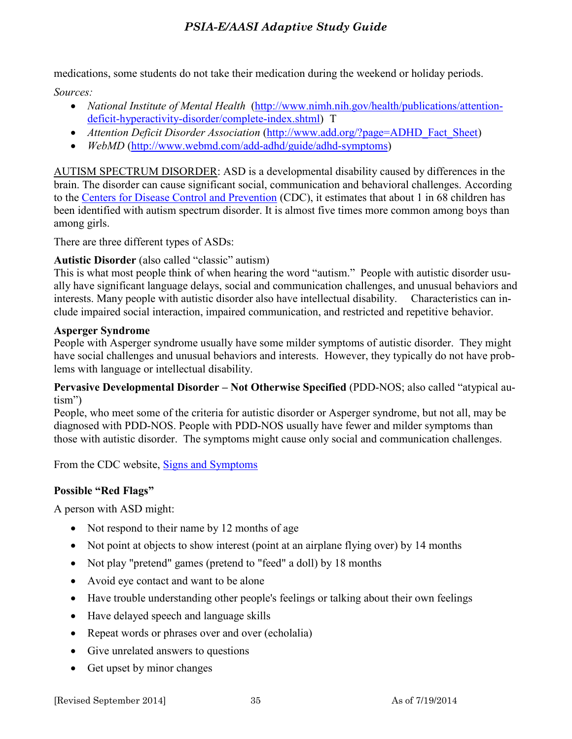medications, some students do not take their medication during the weekend or holiday periods.

*Sources:* 

- *National Institute of Mental Health* [\(http://www.nimh.nih.gov/health/publications/attention](http://www.nimh.nih.gov/health/publications/attention-deficit-hyperactivity-disorder/complete-index.shtml)[deficit-hyperactivity-disorder/complete-index.shtml\)](http://www.nimh.nih.gov/health/publications/attention-deficit-hyperactivity-disorder/complete-index.shtml) T
- *Attention Deficit Disorder Association [\(http://www.add.org/?page=ADHD\\_Fact\\_Sheet\)](http://www.add.org/?page=ADHD_Fact_Sheet)*
- WebMD [\(http://www.webmd.com/add-adhd/guide/adhd-symptoms\)](http://www.webmd.com/add-adhd/guide/adhd-symptoms)

AUTISM SPECTRUM DISORDER: ASD is a developmental disability caused by differences in the brain. The disorder can cause significant social, communication and behavioral challenges. According to the [Centers for Disease Control and Prevention](http://www.cdc.gov/ncbddd/autism/index.html) (CDC), it estimates that about 1 in 68 children has been identified with autism spectrum disorder. It is almost five times more common among boys than among girls.

There are three different types of ASDs:

## **Autistic Disorder** (also called "classic" autism)

This is what most people think of when hearing the word "autism." People with autistic disorder usually have significant language delays, social and communication challenges, and unusual behaviors and interests. Many people with autistic disorder also have intellectual disability. Characteristics can include impaired social interaction, impaired communication, and restricted and repetitive behavior.

## **Asperger Syndrome**

People with Asperger syndrome usually have some milder symptoms of autistic disorder. They might have social challenges and unusual behaviors and interests. However, they typically do not have problems with language or intellectual disability.

**Pervasive Developmental Disorder – Not Otherwise Specified** (PDD-NOS; also called "atypical autism")

People, who meet some of the criteria for autistic disorder or Asperger syndrome, but not all, may be diagnosed with PDD-NOS. People with PDD-NOS usually have fewer and milder symptoms than those with autistic disorder. The symptoms might cause only social and communication challenges.

From the CDC website, **Signs and Symptoms** 

## **Possible "Red Flags"**

A person with ASD might:

- Not respond to their name by 12 months of age
- Not point at objects to show interest (point at an airplane flying over) by 14 months
- Not play "pretend" games (pretend to "feed" a doll) by 18 months
- Avoid eye contact and want to be alone
- Have trouble understanding other people's feelings or talking about their own feelings
- Have delayed speech and language skills
- Repeat words or phrases over and over (echolalia)
- Give unrelated answers to questions
- Get upset by minor changes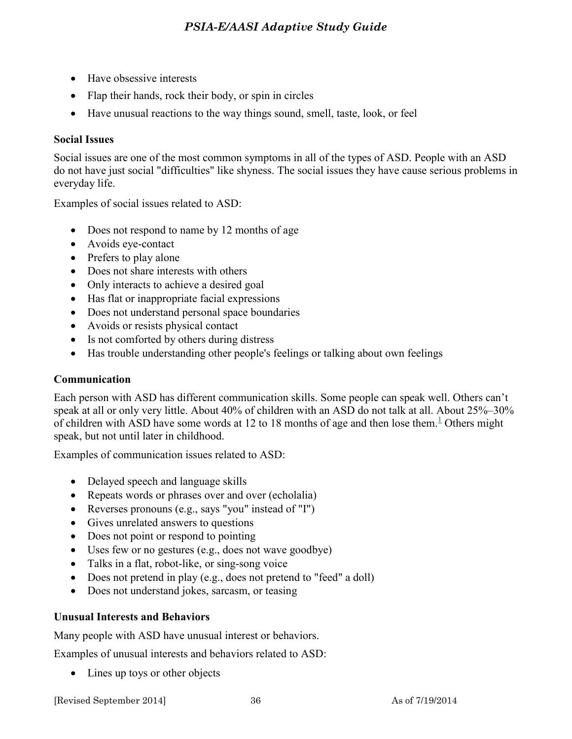- Have obsessive interests
- Flap their hands, rock their body, or spin in circles
- Have unusual reactions to the way things sound, smell, taste, look, or feel

#### **Social Issues**

Social issues are one of the most common symptoms in all of the types of ASD. People with an ASD do not have just social "difficulties" like shyness. The social issues they have cause serious problems in everyday life.

Examples of social issues related to ASD:

- Does not respond to name by 12 months of age
- Avoids eye-contact
- Prefers to play alone
- Does not share interests with others
- Only interacts to achieve a desired goal
- Has flat or inappropriate facial expressions
- Does not understand personal space boundaries
- Avoids or resists physical contact
- Is not comforted by others during distress
- Has trouble understanding other people's feelings or talking about own feelings

#### **Communication**

Each person with ASD has different communication skills. Some people can speak well. Others can't speak at all or only very little. About 40% of children with an ASD do not talk at all. About 25%–30% of children with ASD have some words at [1](http://www.cdc.gov/ncbddd/autism/signs.html#1)2 to 18 months of age and then lose them.<sup>1</sup> Others might speak, but not until later in childhood.

Examples of communication issues related to ASD:

- Delayed speech and language skills
- Repeats words or phrases over and over (echolalia)
- Reverses pronouns (e.g., says "you" instead of "I")
- Gives unrelated answers to questions
- Does not point or respond to pointing
- Uses few or no gestures (e.g., does not wave goodbye)
- Talks in a flat, robot-like, or sing-song voice
- Does not pretend in play (e.g., does not pretend to "feed" a doll)
- Does not understand jokes, sarcasm, or teasing

#### **Unusual Interests and Behaviors**

Many people with ASD have unusual interest or behaviors.

Examples of unusual interests and behaviors related to ASD:

• Lines up toys or other objects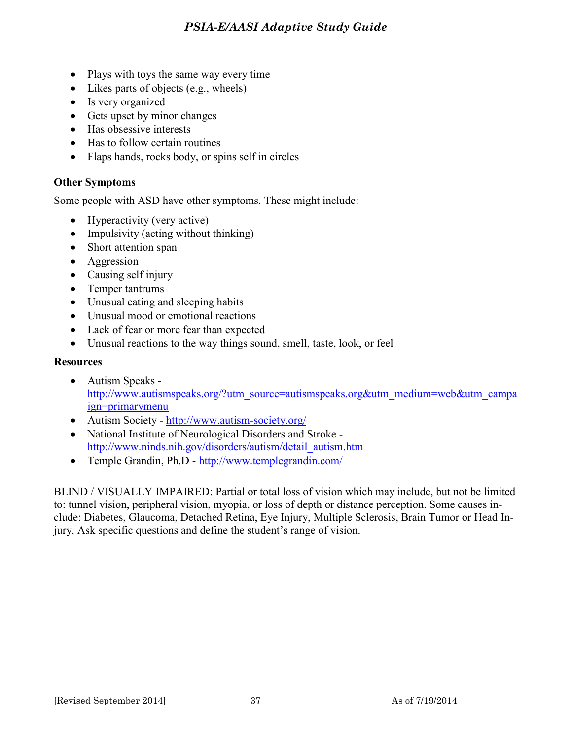- Plays with toys the same way every time
- $\bullet$  Likes parts of objects (e.g., wheels)
- Is very organized
- Gets upset by minor changes
- Has obsessive interests
- Has to follow certain routines
- Flaps hands, rocks body, or spins self in circles

## **Other Symptoms**

Some people with ASD have other symptoms. These might include:

- Hyperactivity (very active)
- Impulsivity (acting without thinking)
- Short attention span
- Aggression
- Causing self injury
- Temper tantrums
- Unusual eating and sleeping habits
- Unusual mood or emotional reactions
- Lack of fear or more fear than expected
- Unusual reactions to the way things sound, smell, taste, look, or feel

#### **Resources**

- Autism Speaks [http://www.autismspeaks.org/?utm\\_source=autismspeaks.org&utm\\_medium=web&utm\\_campa](http://www.autismspeaks.org/?utm_source=autismspeaks.org&utm_medium=web&utm_campaign=primarymenu) [ign=primarymenu](http://www.autismspeaks.org/?utm_source=autismspeaks.org&utm_medium=web&utm_campaign=primarymenu)
- Autism Society -<http://www.autism-society.org/>
- National Institute of Neurological Disorders and Stroke [http://www.ninds.nih.gov/disorders/autism/detail\\_autism.htm](http://www.ninds.nih.gov/disorders/autism/detail_autism.htm)
- Temple Grandin, Ph.D -<http://www.templegrandin.com/>

BLIND / VISUALLY IMPAIRED: Partial or total loss of vision which may include, but not be limited to: tunnel vision, peripheral vision, myopia, or loss of depth or distance perception. Some causes include: Diabetes, Glaucoma, Detached Retina, Eye Injury, Multiple Sclerosis, Brain Tumor or Head Injury. Ask specific questions and define the student's range of vision.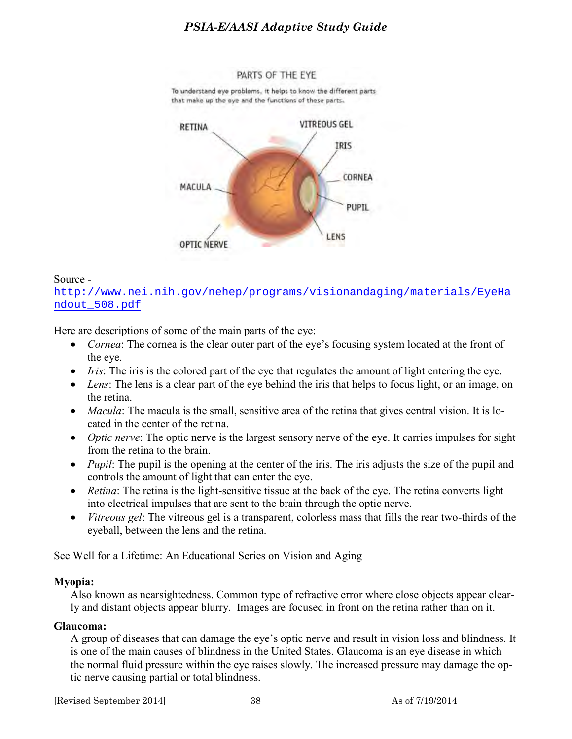PARTS OF THE EYE To understand eye problems, it helps to know the different parts that make up the eye and the functions of these parts.



#### Source -

[http://www.nei.nih.gov/nehep/programs/visionandaging/materials/EyeHa](http://www.nei.nih.gov/nehep/programs/visionandaging/materials/EyeHandout_508.pdf) [ndout\\_508.pdf](http://www.nei.nih.gov/nehep/programs/visionandaging/materials/EyeHandout_508.pdf)

Here are descriptions of some of the main parts of the eye:

- *Cornea*: The cornea is the clear outer part of the eye's focusing system located at the front of the eye.
- *Iris*: The iris is the colored part of the eye that regulates the amount of light entering the eye.
- *Lens*: The lens is a clear part of the eye behind the iris that helps to focus light, or an image, on the retina.
- *Macula*: The macula is the small, sensitive area of the retina that gives central vision. It is located in the center of the retina.
- *Optic nerve*: The optic nerve is the largest sensory nerve of the eye. It carries impulses for sight from the retina to the brain.
- *Pupil*: The pupil is the opening at the center of the iris. The iris adjusts the size of the pupil and controls the amount of light that can enter the eye.
- *Retina*: The retina is the light-sensitive tissue at the back of the eye. The retina converts light into electrical impulses that are sent to the brain through the optic nerve.
- *Vitreous gel*: The vitreous gel is a transparent, colorless mass that fills the rear two-thirds of the eyeball, between the lens and the retina.

See Well for a Lifetime: An Educational Series on Vision and Aging

#### **Myopia:**

Also known as nearsightedness. Common type of refractive error where close objects appear clearly and distant objects appear blurry. Images are focused in front on the retina rather than on it.

#### **Glaucoma:**

A group of diseases that can damage the eye's optic nerve and result in vision loss and blindness. It is one of the main causes of blindness in the United States. Glaucoma is an eye disease in which the normal fluid pressure within the eye raises slowly. The increased pressure may damage the optic nerve causing partial or total blindness.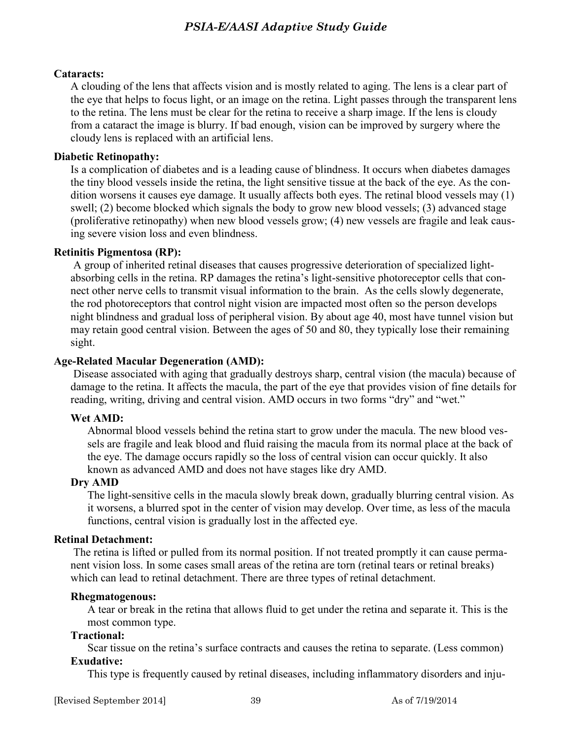#### **Cataracts:**

A clouding of the lens that affects vision and is mostly related to aging. The lens is a clear part of the eye that helps to focus light, or an image on the retina. Light passes through the transparent lens to the retina. The lens must be clear for the retina to receive a sharp image. If the lens is cloudy from a cataract the image is blurry. If bad enough, vision can be improved by surgery where the cloudy lens is replaced with an artificial lens.

#### **Diabetic Retinopathy:**

Is a complication of diabetes and is a leading cause of blindness. It occurs when diabetes damages the tiny blood vessels inside the retina, the light sensitive tissue at the back of the eye. As the condition worsens it causes eye damage. It usually affects both eyes. The retinal blood vessels may (1) swell; (2) become blocked which signals the body to grow new blood vessels; (3) advanced stage (proliferative retinopathy) when new blood vessels grow; (4) new vessels are fragile and leak causing severe vision loss and even blindness.

#### **Retinitis Pigmentosa (RP):**

A group of inherited retinal diseases that causes progressive deterioration of specialized lightabsorbing cells in the retina. RP damages the retina's light-sensitive photoreceptor cells that connect other nerve cells to transmit visual information to the brain. As the cells slowly degenerate, the rod photoreceptors that control night vision are impacted most often so the person develops night blindness and gradual loss of peripheral vision. By about age 40, most have tunnel vision but may retain good central vision. Between the ages of 50 and 80, they typically lose their remaining sight.

#### **Age-Related Macular Degeneration (AMD):**

Disease associated with aging that gradually destroys sharp, central vision (the macula) because of damage to the retina. It affects the macula, the part of the eye that provides vision of fine details for reading, writing, driving and central vision. AMD occurs in two forms "dry" and "wet."

#### **Wet AMD:**

Abnormal blood vessels behind the retina start to grow under the macula. The new blood vessels are fragile and leak blood and fluid raising the macula from its normal place at the back of the eye. The damage occurs rapidly so the loss of central vision can occur quickly. It also known as advanced AMD and does not have stages like dry AMD.

#### **Dry AMD**

The light-sensitive cells in the macula slowly break down, gradually blurring central vision. As it worsens, a blurred spot in the center of vision may develop. Over time, as less of the macula functions, central vision is gradually lost in the affected eye.

#### **Retinal Detachment:**

The retina is lifted or pulled from its normal position. If not treated promptly it can cause permanent vision loss. In some cases small areas of the retina are torn (retinal tears or retinal breaks) which can lead to retinal detachment. There are three types of retinal detachment.

#### **Rhegmatogenous:**

A tear or break in the retina that allows fluid to get under the retina and separate it. This is the most common type.

#### **Tractional:**

Scar tissue on the retina's surface contracts and causes the retina to separate. (Less common)

#### **Exudative:**

This type is frequently caused by retinal diseases, including inflammatory disorders and inju-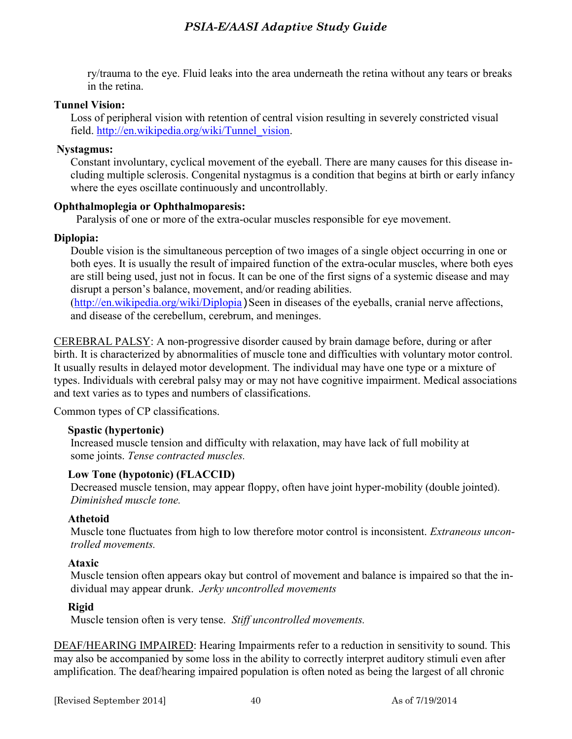ry/trauma to the eye. Fluid leaks into the area underneath the retina without any tears or breaks in the retina.

#### **Tunnel Vision:**

Loss of peripheral vision with retention of central vision resulting in severely constricted visual field. [http://en.wikipedia.org/wiki/Tunnel\\_vision.](http://en.wikipedia.org/wiki/Tunnel_vision)

#### **Nystagmus:**

Constant involuntary, cyclical movement of the eyeball. There are many causes for this disease including multiple sclerosis. Congenital nystagmus is a condition that begins at birth or early infancy where the eyes oscillate continuously and uncontrollably.

#### **Ophthalmoplegia or Ophthalmoparesis:**

Paralysis of one or more of the extra-ocular muscles responsible for eye movement.

#### **Diplopia:**

Double vision is the simultaneous perception of two images of a single object occurring in one or both eyes. It is usually the result of impaired function of the extra-ocular muscles, where both eyes are still being used, just not in focus. It can be one of the first signs of a systemic disease and may disrupt a person's balance, movement, and/or reading abilities.

 $(\text{http://en.wikipedia.org/wiki/Diplopia})$  Seen in diseases of the eyeballs, cranial nerve affections, and disease of the cerebellum, cerebrum, and meninges.

CEREBRAL PALSY: A non-progressive disorder caused by brain damage before, during or after birth. It is characterized by abnormalities of muscle tone and difficulties with voluntary motor control. It usually results in delayed motor development. The individual may have one type or a mixture of types. Individuals with cerebral palsy may or may not have cognitive impairment. Medical associations and text varies as to types and numbers of classifications.

Common types of CP classifications.

#### **Spastic (hypertonic)**

Increased muscle tension and difficulty with relaxation, may have lack of full mobility at some joints. *Tense contracted muscles.* 

#### **Low Tone (hypotonic) (FLACCID)**

Decreased muscle tension, may appear floppy, often have joint hyper-mobility (double jointed). *Diminished muscle tone.* 

#### **Athetoid**

Muscle tone fluctuates from high to low therefore motor control is inconsistent. *Extraneous uncontrolled movements.* 

#### **Ataxic**

Muscle tension often appears okay but control of movement and balance is impaired so that the individual may appear drunk. *Jerky uncontrolled movements* 

#### **Rigid**

Muscle tension often is very tense. *Stiff uncontrolled movements.* 

DEAF/HEARING IMPAIRED: Hearing Impairments refer to a reduction in sensitivity to sound. This may also be accompanied by some loss in the ability to correctly interpret auditory stimuli even after amplification. The deaf/hearing impaired population is often noted as being the largest of all chronic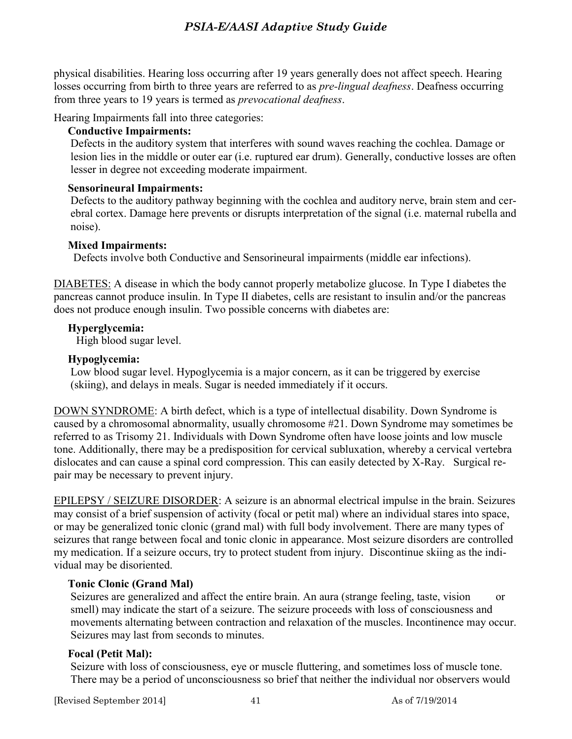physical disabilities. Hearing loss occurring after 19 years generally does not affect speech. Hearing losses occurring from birth to three years are referred to as *pre-lingual deafness*. Deafness occurring from three years to 19 years is termed as *prevocational deafness*.

Hearing Impairments fall into three categories:

### **Conductive Impairments:**

Defects in the auditory system that interferes with sound waves reaching the cochlea. Damage or lesion lies in the middle or outer ear (i.e. ruptured ear drum). Generally, conductive losses are often lesser in degree not exceeding moderate impairment.

## **Sensorineural Impairments:**

Defects to the auditory pathway beginning with the cochlea and auditory nerve, brain stem and cerebral cortex. Damage here prevents or disrupts interpretation of the signal (i.e. maternal rubella and noise).

## **Mixed Impairments:**

Defects involve both Conductive and Sensorineural impairments (middle ear infections).

DIABETES: A disease in which the body cannot properly metabolize glucose. In Type I diabetes the pancreas cannot produce insulin. In Type II diabetes, cells are resistant to insulin and/or the pancreas does not produce enough insulin. Two possible concerns with diabetes are:

## **Hyperglycemia:**

High blood sugar level.

## **Hypoglycemia:**

Low blood sugar level. Hypoglycemia is a major concern, as it can be triggered by exercise (skiing), and delays in meals. Sugar is needed immediately if it occurs.

DOWN SYNDROME: A birth defect, which is a type of intellectual disability. Down Syndrome is caused by a chromosomal abnormality, usually chromosome #21. Down Syndrome may sometimes be referred to as Trisomy 21. Individuals with Down Syndrome often have loose joints and low muscle tone. Additionally, there may be a predisposition for cervical subluxation, whereby a cervical vertebra dislocates and can cause a spinal cord compression. This can easily detected by X-Ray. Surgical repair may be necessary to prevent injury.

EPILEPSY / SEIZURE DISORDER: A seizure is an abnormal electrical impulse in the brain. Seizures may consist of a brief suspension of activity (focal or petit mal) where an individual stares into space, or may be generalized tonic clonic (grand mal) with full body involvement. There are many types of seizures that range between focal and tonic clonic in appearance. Most seizure disorders are controlled my medication. If a seizure occurs, try to protect student from injury. Discontinue skiing as the individual may be disoriented.

## **Tonic Clonic (Grand Mal)**

Seizures are generalized and affect the entire brain. An aura (strange feeling, taste, vision or smell) may indicate the start of a seizure. The seizure proceeds with loss of consciousness and movements alternating between contraction and relaxation of the muscles. Incontinence may occur. Seizures may last from seconds to minutes.

## **Focal (Petit Mal):**

Seizure with loss of consciousness, eye or muscle fluttering, and sometimes loss of muscle tone. There may be a period of unconsciousness so brief that neither the individual nor observers would

[Revised September 2014] 41 As of 7/19/2014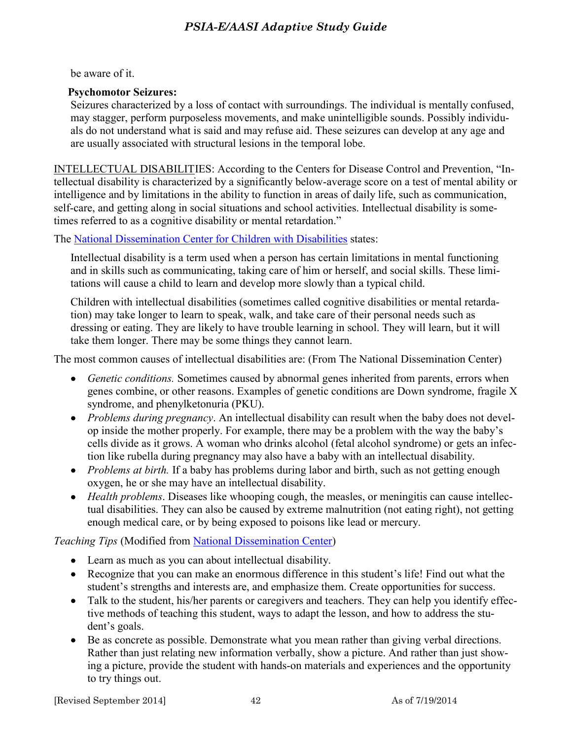be aware of it.

#### **Psychomotor Seizures:**

Seizures characterized by a loss of contact with surroundings. The individual is mentally confused, may stagger, perform purposeless movements, and make unintelligible sounds. Possibly individuals do not understand what is said and may refuse aid. These seizures can develop at any age and are usually associated with structural lesions in the temporal lobe.

INTELLECTUAL DISABILITIES: According to the Centers for Disease Control and Prevention, "Intellectual disability is characterized by a significantly below-average score on a test of mental ability or intelligence and by limitations in the ability to function in areas of daily life, such as communication, self-care, and getting along in social situations and school activities. Intellectual disability is sometimes referred to as a cognitive disability or mental retardation."

The [National Dissemination Center for Children with Disabilities](file:///C:/Users/Leslie/Documents/Documents/ABOE/EXAMGuideRevisions/NewAdaptGuides2013/ichcy.org/disability/specific/intellectual%23def) states:

Intellectual disability is a term used when a person has certain limitations in mental functioning and in skills such as communicating, taking care of him or herself, and social skills. These limitations will cause a child to learn and develop more slowly than a typical child.

Children with intellectual disabilities (sometimes called cognitive disabilities or mental retardation) may take longer to learn to speak, walk, and take care of their personal needs such as dressing or eating. They are likely to have trouble learning in school. They will learn, but it will take them longer. There may be some things they cannot learn.

The most common causes of intellectual disabilities are: (From The National Dissemination Center)

- *Genetic conditions.* Sometimes caused by abnormal genes inherited from parents, errors when genes combine, or other reasons. Examples of genetic conditions are Down syndrome, fragile X syndrome, and phenylketonuria (PKU).
- *Problems during pregnancy*. An intellectual disability can result when the baby does not develop inside the mother properly. For example, there may be a problem with the way the baby's cells divide as it grows. A woman who drinks alcohol (fetal alcohol syndrome) or gets an infection like rubella during pregnancy may also have a baby with an intellectual disability.
- *Problems at birth.* If a baby has problems during labor and birth, such as not getting enough oxygen, he or she may have an intellectual disability.
- *Health problems*. Diseases like whooping cough, the measles, or meningitis can cause intellectual disabilities. They can also be caused by extreme malnutrition (not eating right), not getting enough medical care, or by being exposed to poisons like lead or mercury.

*Teaching Tips* (Modified from [National Dissemination Center\)](http://nichcy.org/disability/specific/intellectual#def)

- Learn as much as you can about intellectual disability.
- Recognize that you can make an enormous difference in this student's life! Find out what the student's strengths and interests are, and emphasize them. Create opportunities for success.
- Talk to the student, his/her parents or caregivers and teachers. They can help you identify effective methods of teaching this student, ways to adapt the lesson, and how to address the student's goals.
- Be as concrete as possible. Demonstrate what you mean rather than giving verbal directions. Rather than just relating new information verbally, show a picture. And rather than just showing a picture, provide the student with hands-on materials and experiences and the opportunity to try things out.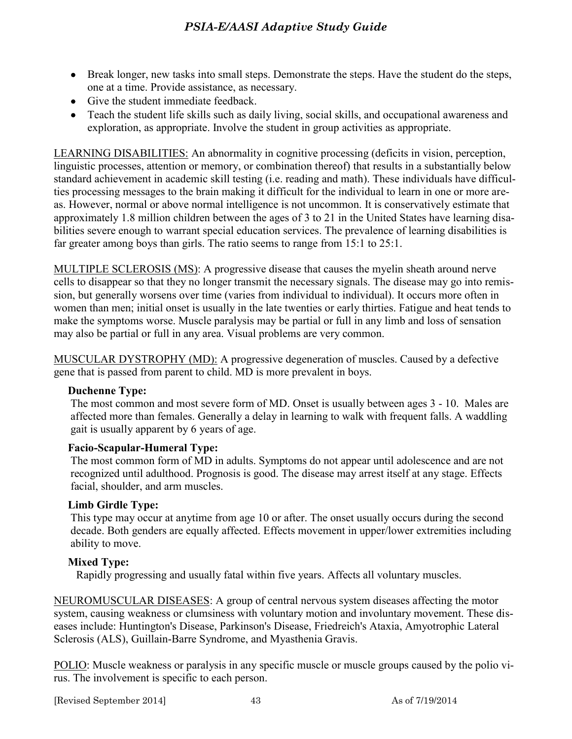- Break longer, new tasks into small steps. Demonstrate the steps. Have the student do the steps, one at a time. Provide assistance, as necessary.
- Give the student immediate feedback.
- Teach the student life skills such as daily living, social skills, and occupational awareness and exploration, as appropriate. Involve the student in group activities as appropriate.

LEARNING DISABILITIES: An abnormality in cognitive processing (deficits in vision, perception, linguistic processes, attention or memory, or combination thereof) that results in a substantially below standard achievement in academic skill testing (i.e. reading and math). These individuals have difficulties processing messages to the brain making it difficult for the individual to learn in one or more areas. However, normal or above normal intelligence is not uncommon. It is conservatively estimate that approximately 1.8 million children between the ages of 3 to 21 in the United States have learning disabilities severe enough to warrant special education services. The prevalence of learning disabilities is far greater among boys than girls. The ratio seems to range from 15:1 to 25:1.

MULTIPLE SCLEROSIS (MS): A progressive disease that causes the myelin sheath around nerve cells to disappear so that they no longer transmit the necessary signals. The disease may go into remission, but generally worsens over time (varies from individual to individual). It occurs more often in women than men; initial onset is usually in the late twenties or early thirties. Fatigue and heat tends to make the symptoms worse. Muscle paralysis may be partial or full in any limb and loss of sensation may also be partial or full in any area. Visual problems are very common.

MUSCULAR DYSTROPHY (MD): A progressive degeneration of muscles. Caused by a defective gene that is passed from parent to child. MD is more prevalent in boys.

#### **Duchenne Type:**

The most common and most severe form of MD. Onset is usually between ages 3 - 10. Males are affected more than females. Generally a delay in learning to walk with frequent falls. A waddling gait is usually apparent by 6 years of age.

#### **Facio-Scapular-Humeral Type:**

The most common form of MD in adults. Symptoms do not appear until adolescence and are not recognized until adulthood. Prognosis is good. The disease may arrest itself at any stage. Effects facial, shoulder, and arm muscles.

#### **Limb Girdle Type:**

This type may occur at anytime from age 10 or after. The onset usually occurs during the second decade. Both genders are equally affected. Effects movement in upper/lower extremities including ability to move.

#### **Mixed Type:**

Rapidly progressing and usually fatal within five years. Affects all voluntary muscles.

NEUROMUSCULAR DISEASES: A group of central nervous system diseases affecting the motor system, causing weakness or clumsiness with voluntary motion and involuntary movement. These diseases include: Huntington's Disease, Parkinson's Disease, Friedreich's Ataxia, Amyotrophic Lateral Sclerosis (ALS), Guillain-Barre Syndrome, and Myasthenia Gravis.

POLIO: Muscle weakness or paralysis in any specific muscle or muscle groups caused by the polio virus. The involvement is specific to each person.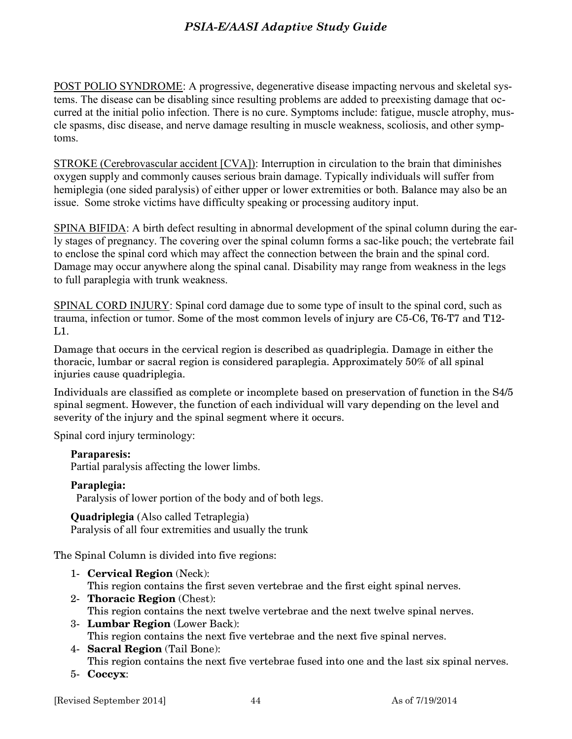POST POLIO SYNDROME: A progressive, degenerative disease impacting nervous and skeletal systems. The disease can be disabling since resulting problems are added to preexisting damage that occurred at the initial polio infection. There is no cure. Symptoms include: fatigue, muscle atrophy, muscle spasms, disc disease, and nerve damage resulting in muscle weakness, scoliosis, and other symptoms.

STROKE (Cerebrovascular accident [CVA]): Interruption in circulation to the brain that diminishes oxygen supply and commonly causes serious brain damage. Typically individuals will suffer from hemiplegia (one sided paralysis) of either upper or lower extremities or both. Balance may also be an issue. Some stroke victims have difficulty speaking or processing auditory input.

SPINA BIFIDA: A birth defect resulting in abnormal development of the spinal column during the early stages of pregnancy. The covering over the spinal column forms a sac-like pouch; the vertebrate fail to enclose the spinal cord which may affect the connection between the brain and the spinal cord. Damage may occur anywhere along the spinal canal. Disability may range from weakness in the legs to full paraplegia with trunk weakness.

SPINAL CORD INJURY: Spinal cord damage due to some type of insult to the spinal cord, such as trauma, infection or tumor. Some of the most common levels of injury are C5-C6, T6-T7 and T12-  $L1$ .

Damage that occurs in the cervical region is described as quadriplegia. Damage in either the thoracic, lumbar or sacral region is considered paraplegia. Approximately 50% of all spinal injuries cause quadriplegia.

Individuals are classified as complete or incomplete based on preservation of function in the S4/5 spinal segment. However, the function of each individual will vary depending on the level and severity of the injury and the spinal segment where it occurs.

Spinal cord injury terminology:

#### **Paraparesis:**

Partial paralysis affecting the lower limbs.

#### **Paraplegia:**

Paralysis of lower portion of the body and of both legs.

**Quadriplegia** (Also called Tetraplegia) Paralysis of all four extremities and usually the trunk

The Spinal Column is divided into five regions:

- 1- **Cervical Region** (Neck): This region contains the first seven vertebrae and the first eight spinal nerves.
- 2- **Thoracic Region** (Chest): This region contains the next twelve vertebrae and the next twelve spinal nerves. 3- **Lumbar Region** (Lower Back):
	- This region contains the next five vertebrae and the next five spinal nerves.
- 4- **Sacral Region** (Tail Bone): This region contains the next five vertebrae fused into one and the last six spinal nerves.
- 5- **Coccyx**: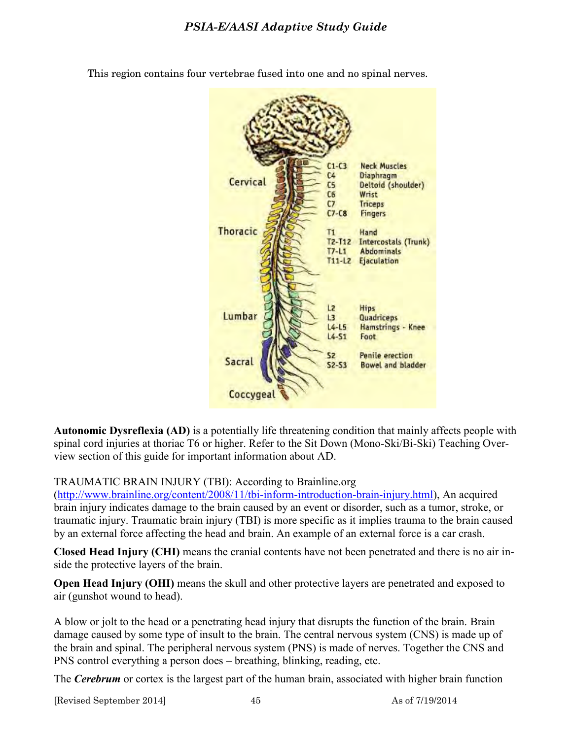

This region contains four vertebrae fused into one and no spinal nerves.

**Autonomic Dysreflexia (AD)** is a potentially life threatening condition that mainly affects people with spinal cord injuries at thoriac T6 or higher. Refer to the Sit Down (Mono-Ski/Bi-Ski) Teaching Overview section of this guide for important information about AD.

TRAUMATIC BRAIN INJURY (TBI): According to Brainline.org

[\(http://www.brainline.org/content/2008/11/tbi-inform-introduction-brain-injury.html\)](http://www.brainline.org/content/2008/11/tbi-inform-introduction-brain-injury.html), An acquired brain injury indicates damage to the brain caused by an event or disorder, such as a tumor, stroke, or traumatic injury. Traumatic brain injury (TBI) is more specific as it implies trauma to the brain caused by an external force affecting the head and brain. An example of an external force is a car crash.

**Closed Head Injury (CHI)** means the cranial contents have not been penetrated and there is no air inside the protective layers of the brain.

**Open Head Injury (OHI)** means the skull and other protective layers are penetrated and exposed to air (gunshot wound to head).

A blow or jolt to the head or a penetrating head injury that disrupts the function of the brain. Brain damage caused by some type of insult to the brain. The central nervous system (CNS) is made up of the brain and spinal. The peripheral nervous system (PNS) is made of nerves. Together the CNS and PNS control everything a person does – breathing, blinking, reading, etc.

The *Cerebrum* or cortex is the largest part of the human brain, associated with higher brain function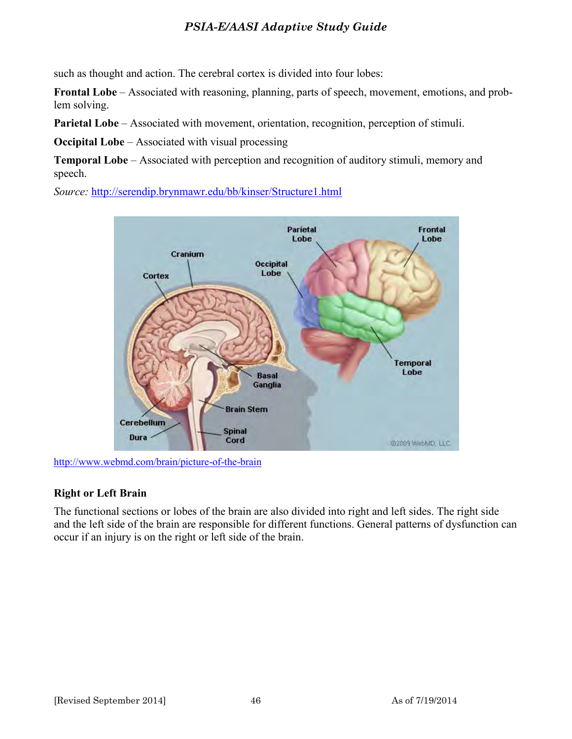such as thought and action. The cerebral cortex is divided into four lobes:

**Frontal Lobe** – Associated with reasoning, planning, parts of speech, movement, emotions, and problem solving.

**Parietal Lobe** – Associated with movement, orientation, recognition, perception of stimuli.

**Occipital Lobe** – Associated with visual processing

**Temporal Lobe** – Associated with perception and recognition of auditory stimuli, memory and speech.

*Source:* <http://serendip.brynmawr.edu/bb/kinser/Structure1.html>



<http://www.webmd.com/brain/picture-of-the-brain>

#### **Right or Left Brain**

The functional sections or lobes of the brain are also divided into right and left sides. The right side and the left side of the brain are responsible for different functions. General patterns of dysfunction can occur if an injury is on the right or left side of the brain.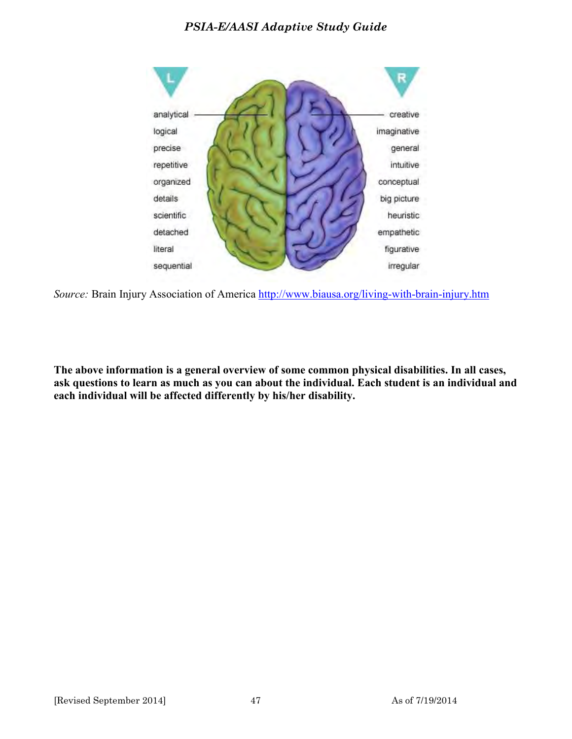

*Source:* Brain Injury Association of America<http://www.biausa.org/living-with-brain-injury.htm>

**The above information is a general overview of some common physical disabilities. In all cases, ask questions to learn as much as you can about the individual. Each student is an individual and each individual will be affected differently by his/her disability.**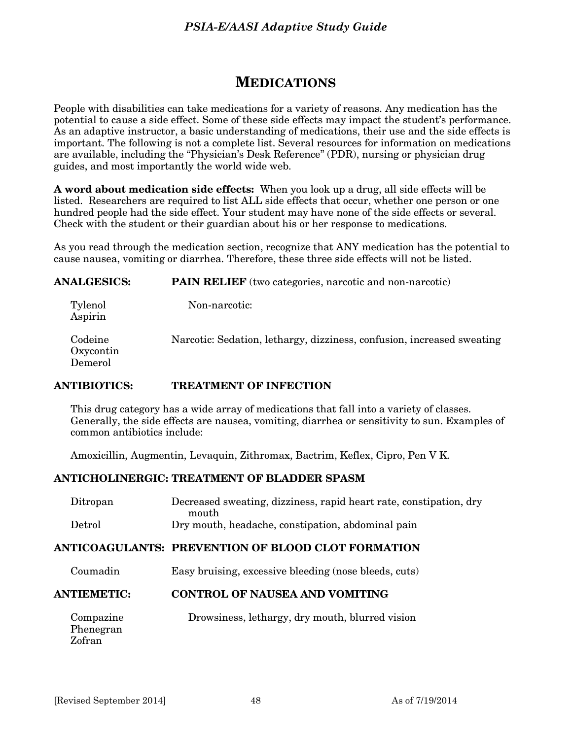## **MEDICATIONS**

People with disabilities can take medications for a variety of reasons. Any medication has the potential to cause a side effect. Some of these side effects may impact the student's performance. As an adaptive instructor, a basic understanding of medications, their use and the side effects is important. The following is not a complete list. Several resources for information on medications are available, including the "Physician's Desk Reference" (PDR), nursing or physician drug guides, and most importantly the world wide web.

**A word about medication side effects:** When you look up a drug, all side effects will be listed. Researchers are required to list ALL side effects that occur, whether one person or one hundred people had the side effect. Your student may have none of the side effects or several. Check with the student or their guardian about his or her response to medications.

As you read through the medication section, recognize that ANY medication has the potential to cause nausea, vomiting or diarrhea. Therefore, these three side effects will not be listed.

| <b>ANALGESICS:</b>              | <b>PAIN RELIEF</b> (two categories, narcotic and non-narcotic)         |
|---------------------------------|------------------------------------------------------------------------|
| Tylenol<br>Aspirin              | Non-narcotic:                                                          |
| Codeine<br>Oxycontin<br>Demerol | Narcotic: Sedation, lethargy, dizziness, confusion, increased sweating |

#### **ANTIBIOTICS: TREATMENT OF INFECTION**

This drug category has a wide array of medications that fall into a variety of classes. Generally, the side effects are nausea, vomiting, diarrhea or sensitivity to sun. Examples of common antibiotics include:

Amoxicillin, Augmentin, Levaquin, Zithromax, Bactrim, Keflex, Cipro, Pen V K.

#### **ANTICHOLINERGIC: TREATMENT OF BLADDER SPASM**

| Ditropan       | Decreased sweating, dizziness, rapid heart rate, constipation, dry |
|----------------|--------------------------------------------------------------------|
|                | mouth                                                              |
| ${\rm Detrol}$ | Dry mouth, headache, constipation, abdominal pain                  |

#### **ANTICOAGULANTS: PREVENTION OF BLOOD CLOT FORMATION**

Coumadin Easy bruising, excessive bleeding (nose bleeds, cuts)

#### **ANTIEMETIC: CONTROL OF NAUSEA AND VOMITING**

| Compazine<br>Phenegran | Drowsiness, lethargy, dry mouth, blurred vision |
|------------------------|-------------------------------------------------|
| Zofran                 |                                                 |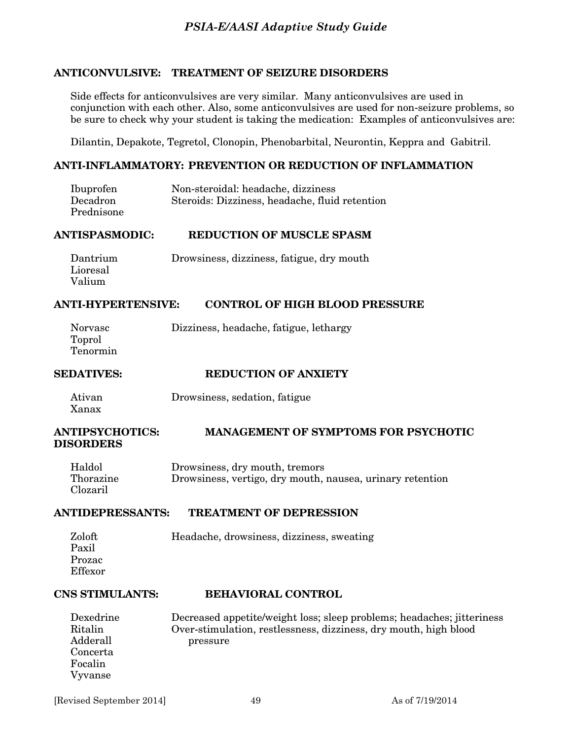#### **ANTICONVULSIVE: TREATMENT OF SEIZURE DISORDERS**

Side effects for anticonvulsives are very similar. Many anticonvulsives are used in conjunction with each other. Also, some anticonvulsives are used for non-seizure problems, so be sure to check why your student is taking the medication: Examples of anticonvulsives are:

Dilantin, Depakote, Tegretol, Clonopin, Phenobarbital, Neurontin, Keppra and Gabitril.

#### **ANTI-INFLAMMATORY: PREVENTION OR REDUCTION OF INFLAMMATION**

| Ibuprofen  | Non-steroidal: headache, dizziness             |
|------------|------------------------------------------------|
| Decadron   | Steroids: Dizziness, headache, fluid retention |
| Prednisone |                                                |

#### **ANTISPASMODIC: REDUCTION OF MUSCLE SPASM**

| Dantrium | Drowsiness, dizziness, fatigue, dry mouth |
|----------|-------------------------------------------|
| Lioresal |                                           |
| Valium   |                                           |

#### **ANTI-HYPERTENSIVE: CONTROL OF HIGH BLOOD PRESSURE**

| Norvasc  | Dizziness, headache, fatigue, lethargy |
|----------|----------------------------------------|
| Toprol   |                                        |
| Tenormin |                                        |

| <b>SEDATIVES:</b> | <b>REDUCTION OF ANXIETY</b> |
|-------------------|-----------------------------|
|                   |                             |

 Ativan Drowsiness, sedation, fatigue Xanax

#### **ANTIPSYCHOTICS: MANAGEMENT OF SYMPTOMS FOR PSYCHOTIC DISORDERS**

| Haldol    | Drowsiness, dry mouth, tremors                            |
|-----------|-----------------------------------------------------------|
| Thorazine | Drowsiness, vertigo, dry mouth, nausea, urinary retention |
| Clozaril  |                                                           |

#### **ANTIDEPRESSANTS: TREATMENT OF DEPRESSION**

| Zoloft  | Headache, drowsiness, dizziness, sweating |
|---------|-------------------------------------------|
| Paxil   |                                           |
| Prozac  |                                           |
| Effexor |                                           |

#### **CNS STIMULANTS: BEHAVIORAL CONTROL**

| Dexedrine | Decreased appetite/weight loss; sleep problems; headaches; jitteriness |
|-----------|------------------------------------------------------------------------|
| Ritalin   | Over-stimulation, restlessness, dizziness, dry mouth, high blood       |
| Adderall  | pressure                                                               |
| Concerta  |                                                                        |
| Focalin   |                                                                        |
| Vyvanse   |                                                                        |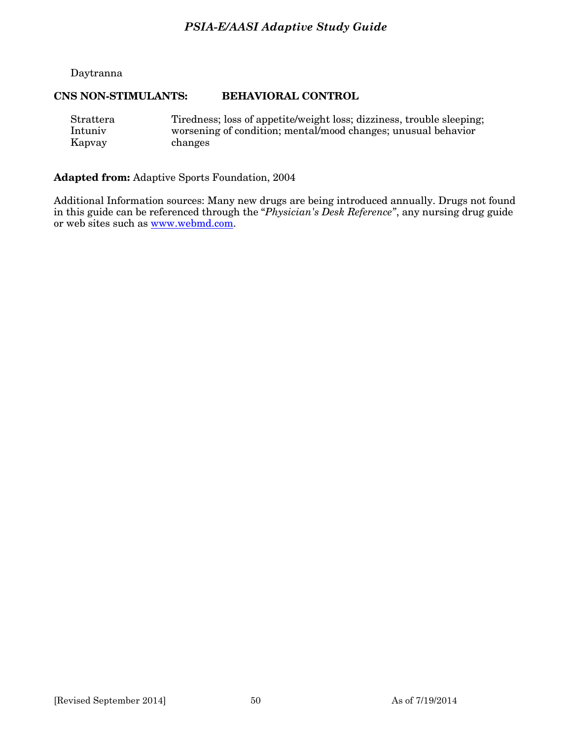#### Daytranna

#### **CNS NON-STIMULANTS: BEHAVIORAL CONTROL**

| Strattera | Tiredness; loss of appetite/weight loss; dizziness, trouble sleeping; |
|-----------|-----------------------------------------------------------------------|
| Intuniy   | worsening of condition; mental/mood changes; unusual behavior         |
| Kapvay    | changes                                                               |

#### **Adapted from:** Adaptive Sports Foundation, 2004

Additional Information sources: Many new drugs are being introduced annually. Drugs not found in this guide can be referenced through the "*Physician's Desk Reference"*, any nursing drug guide or web sites such as [www.webmd.com.](http://www.webmd.com/)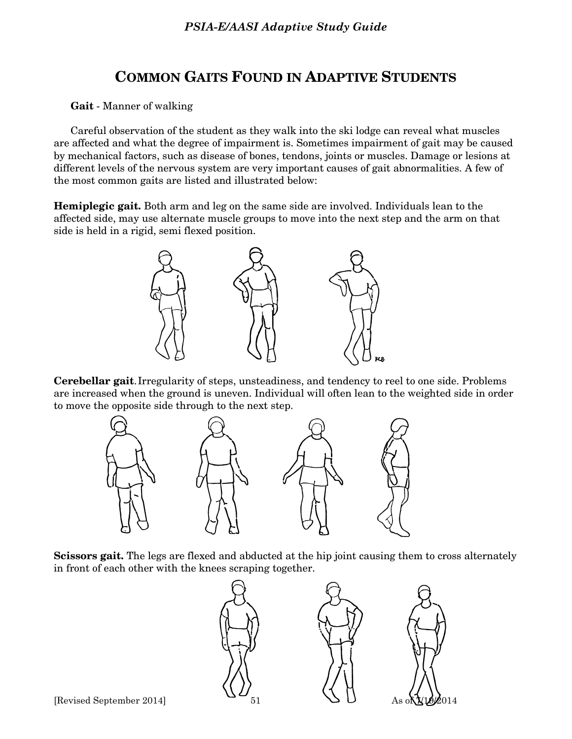# **COMMON GAITS FOUND IN ADAPTIVE STUDENTS**

 **Gait** - Manner of walking

 Careful observation of the student as they walk into the ski lodge can reveal what muscles are affected and what the degree of impairment is. Sometimes impairment of gait may be caused by mechanical factors, such as disease of bones, tendons, joints or muscles. Damage or lesions at different levels of the nervous system are very important causes of gait abnormalities. A few of the most common gaits are listed and illustrated below:

**Hemiplegic gait.** Both arm and leg on the same side are involved. Individuals lean to the affected side, may use alternate muscle groups to move into the next step and the arm on that side is held in a rigid, semi flexed position.



**Cerebellar gait**. Irregularity of steps, unsteadiness, and tendency to reel to one side. Problems are increased when the ground is uneven. Individual will often lean to the weighted side in order to move the opposite side through to the next step.



**Scissors gait.** The legs are flexed and abducted at the hip joint causing them to cross alternately in front of each other with the knees scraping together.

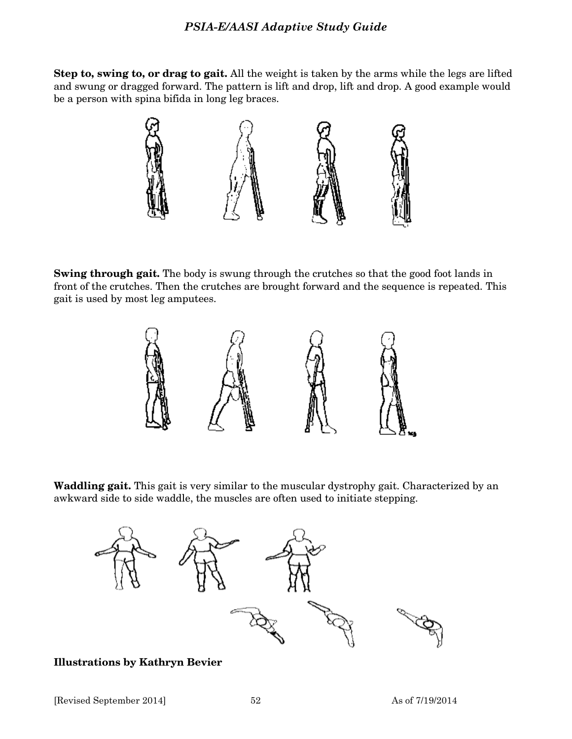**Step to, swing to, or drag to gait.** All the weight is taken by the arms while the legs are lifted and swung or dragged forward. The pattern is lift and drop, lift and drop. A good example would be a person with spina bifida in long leg braces.



**Swing through gait.** The body is swung through the crutches so that the good foot lands in front of the crutches. Then the crutches are brought forward and the sequence is repeated. This gait is used by most leg amputees.



**Waddling gait.** This gait is very similar to the muscular dystrophy gait. Characterized by an awkward side to side waddle, the muscles are often used to initiate stepping.



**Illustrations by Kathryn Bevier**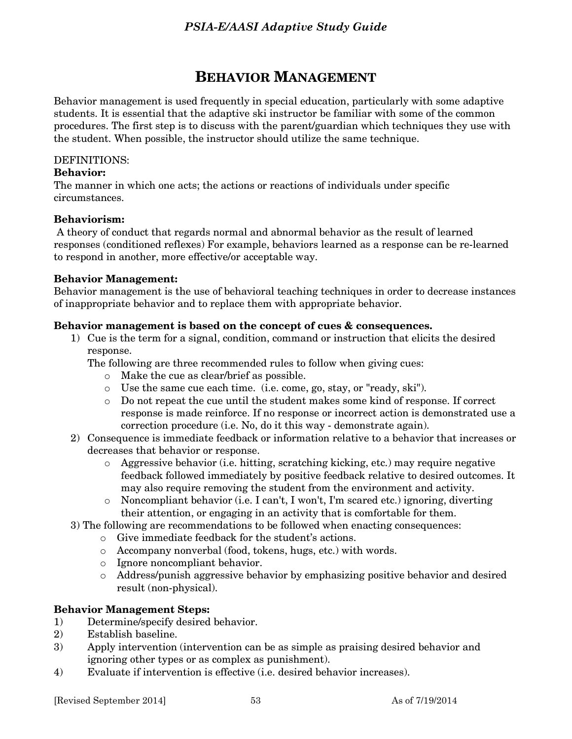# **BEHAVIOR MANAGEMENT**

Behavior management is used frequently in special education, particularly with some adaptive students. It is essential that the adaptive ski instructor be familiar with some of the common procedures. The first step is to discuss with the parent/guardian which techniques they use with the student. When possible, the instructor should utilize the same technique.

#### DEFINITIONS:

#### **Behavior:**

The manner in which one acts; the actions or reactions of individuals under specific circumstances.

#### **Behaviorism:**

 A theory of conduct that regards normal and abnormal behavior as the result of learned responses (conditioned reflexes) For example, behaviors learned as a response can be re-learned to respond in another, more effective/or acceptable way.

#### **Behavior Management:**

Behavior management is the use of behavioral teaching techniques in order to decrease instances of inappropriate behavior and to replace them with appropriate behavior.

#### **Behavior management is based on the concept of cues & consequences.**

1) Cue is the term for a signal, condition, command or instruction that elicits the desired response.

The following are three recommended rules to follow when giving cues:

- o Make the cue as clear/brief as possible.
- o Use the same cue each time. (i.e. come, go, stay, or "ready, ski").
- o Do not repeat the cue until the student makes some kind of response. If correct response is made reinforce. If no response or incorrect action is demonstrated use a correction procedure (i.e. No, do it this way - demonstrate again).
- 2) Consequence is immediate feedback or information relative to a behavior that increases or decreases that behavior or response.
	- o Aggressive behavior (i.e. hitting, scratching kicking, etc.) may require negative feedback followed immediately by positive feedback relative to desired outcomes. It may also require removing the student from the environment and activity.
	- $\circ$  Noncompliant behavior (i.e. I can't, I won't, I'm scared etc.) ignoring, diverting their attention, or engaging in an activity that is comfortable for them.
- 3) The following are recommendations to be followed when enacting consequences:
	- o Give immediate feedback for the student's actions.
	- o Accompany nonverbal (food, tokens, hugs, etc.) with words.
	- o Ignore noncompliant behavior.
	- o Address/punish aggressive behavior by emphasizing positive behavior and desired result (non-physical).

#### **Behavior Management Steps:**

- 1) Determine/specify desired behavior.
- 2) Establish baseline.
- 3) Apply intervention (intervention can be as simple as praising desired behavior and ignoring other types or as complex as punishment).
- 4) Evaluate if intervention is effective (i.e. desired behavior increases).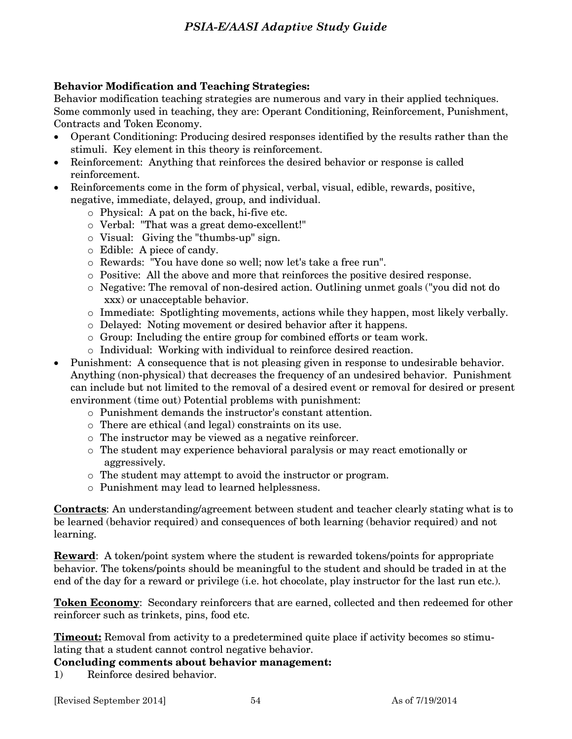## **Behavior Modification and Teaching Strategies:**

Behavior modification teaching strategies are numerous and vary in their applied techniques. Some commonly used in teaching, they are: Operant Conditioning, Reinforcement, Punishment, Contracts and Token Economy.

- Operant Conditioning: Producing desired responses identified by the results rather than the stimuli. Key element in this theory is reinforcement.
- Reinforcement: Anything that reinforces the desired behavior or response is called reinforcement.
- Reinforcements come in the form of physical, verbal, visual, edible, rewards, positive, negative, immediate, delayed, group, and individual.
	- o Physical: A pat on the back, hi-five etc.
	- o Verbal: "That was a great demo-excellent!"
	- o Visual: Giving the "thumbs-up" sign.
	- o Edible: A piece of candy.
	- o Rewards: "You have done so well; now let's take a free run".
	- o Positive: All the above and more that reinforces the positive desired response.
	- o Negative: The removal of non-desired action. Outlining unmet goals ("you did not do xxx) or unacceptable behavior.
	- o Immediate: Spotlighting movements, actions while they happen, most likely verbally.
	- o Delayed: Noting movement or desired behavior after it happens.
	- $\circ$  Group: Including the entire group for combined efforts or team work.
	- o Individual: Working with individual to reinforce desired reaction.
- Punishment: A consequence that is not pleasing given in response to undesirable behavior. Anything (non-physical) that decreases the frequency of an undesired behavior. Punishment can include but not limited to the removal of a desired event or removal for desired or present environment (time out) Potential problems with punishment:
	- o Punishment demands the instructor's constant attention.
	- o There are ethical (and legal) constraints on its use.
	- o The instructor may be viewed as a negative reinforcer.
	- o The student may experience behavioral paralysis or may react emotionally or aggressively.
	- o The student may attempt to avoid the instructor or program.
	- o Punishment may lead to learned helplessness.

**Contracts**: An understanding/agreement between student and teacher clearly stating what is to be learned (behavior required) and consequences of both learning (behavior required) and not learning.

**Reward**: A token/point system where the student is rewarded tokens/points for appropriate behavior. The tokens/points should be meaningful to the student and should be traded in at the end of the day for a reward or privilege (i.e. hot chocolate, play instructor for the last run etc.).

**Token Economy**: Secondary reinforcers that are earned, collected and then redeemed for other reinforcer such as trinkets, pins, food etc.

**Timeout:** Removal from activity to a predetermined quite place if activity becomes so stimulating that a student cannot control negative behavior.

#### **Concluding comments about behavior management:**

1) Reinforce desired behavior.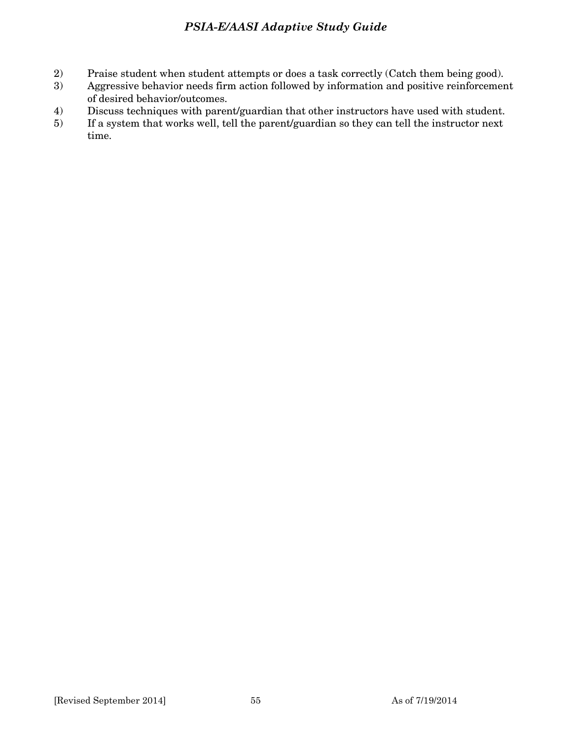- 2) Praise student when student attempts or does a task correctly (Catch them being good).
- 3) Aggressive behavior needs firm action followed by information and positive reinforcement of desired behavior/outcomes.
- 4) Discuss techniques with parent/guardian that other instructors have used with student.
- 5) If a system that works well, tell the parent/guardian so they can tell the instructor next time.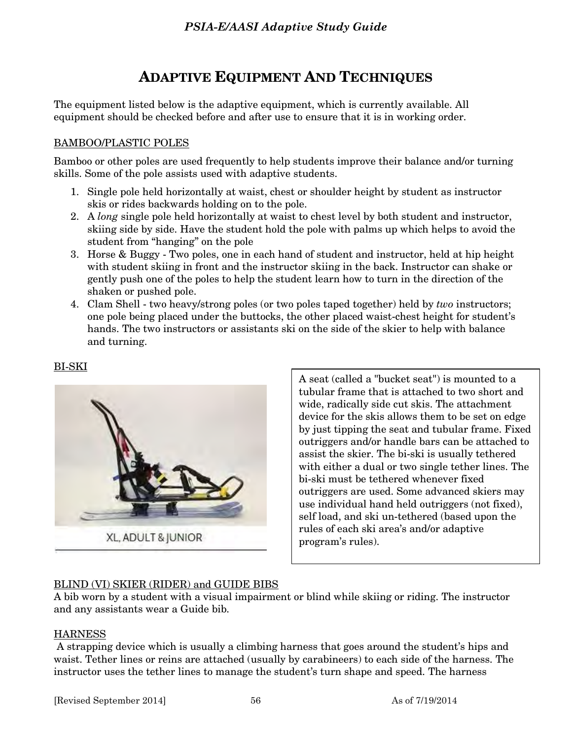# **ADAPTIVE EQUIPMENT AND TECHNIQUES**

The equipment listed below is the adaptive equipment, which is currently available. All equipment should be checked before and after use to ensure that it is in working order.

#### BAMBOO/PLASTIC POLES

Bamboo or other poles are used frequently to help students improve their balance and/or turning skills. Some of the pole assists used with adaptive students.

- 1. Single pole held horizontally at waist, chest or shoulder height by student as instructor skis or rides backwards holding on to the pole.
- 2. A *long* single pole held horizontally at waist to chest level by both student and instructor, skiing side by side. Have the student hold the pole with palms up which helps to avoid the student from "hanging" on the pole
- 3. Horse & Buggy Two poles, one in each hand of student and instructor, held at hip height with student skiing in front and the instructor skiing in the back. Instructor can shake or gently push one of the poles to help the student learn how to turn in the direction of the shaken or pushed pole.
- 4. Clam Shell two heavy/strong poles (or two poles taped together) held by *two* instructors; one pole being placed under the buttocks, the other placed waist-chest height for student's hands. The two instructors or assistants ski on the side of the skier to help with balance and turning.



BI-SKI



A seat (called a "bucket seat") is mounted to a tubular frame that is attached to two short and wide, radically side cut skis. The attachment device for the skis allows them to be set on edge by just tipping the seat and tubular frame. Fixed outriggers and/or handle bars can be attached to assist the skier. The bi-ski is usually tethered with either a dual or two single tether lines. The bi-ski must be tethered whenever fixed outriggers are used. Some advanced skiers may use individual hand held outriggers (not fixed), self load, and ski un-tethered (based upon the rules of each ski area's and/or adaptive program's rules).

#### BLIND (VI) SKIER (RIDER) and GUIDE BIBS

A bib worn by a student with a visual impairment or blind while skiing or riding. The instructor and any assistants wear a Guide bib.

#### **HARNESS**

 A strapping device which is usually a climbing harness that goes around the student's hips and waist. Tether lines or reins are attached (usually by carabineers) to each side of the harness. The instructor uses the tether lines to manage the student's turn shape and speed. The harness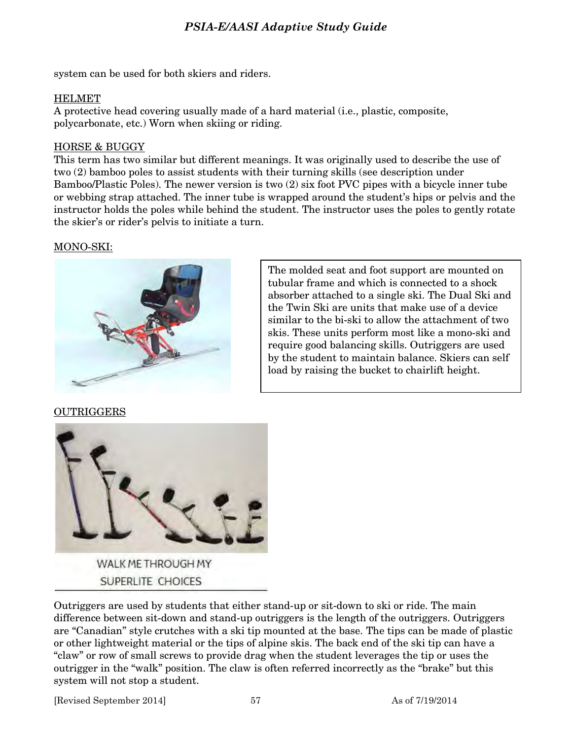system can be used for both skiers and riders.

#### HELMET

A protective head covering usually made of a hard material (i.e., plastic, composite, polycarbonate, etc.) Worn when skiing or riding.

#### HORSE & BUGGY

This term has two similar but different meanings. It was originally used to describe the use of two (2) bamboo poles to assist students with their turning skills (see description under Bamboo/Plastic Poles). The newer version is two (2) six foot PVC pipes with a bicycle inner tube or webbing strap attached. The inner tube is wrapped around the student's hips or pelvis and the instructor holds the poles while behind the student. The instructor uses the poles to gently rotate the skier's or rider's pelvis to initiate a turn.

#### MONO-SKI:



The molded seat and foot support are mounted on tubular frame and which is connected to a shock absorber attached to a single ski. The Dual Ski and the Twin Ski are units that make use of a device similar to the bi-ski to allow the attachment of two skis. These units perform most like a mono-ski and require good balancing skills. Outriggers are used by the student to maintain balance. Skiers can self load by raising the bucket to chairlift height.

OUTRIGGERS



Outriggers are used by students that either stand-up or sit-down to ski or ride. The main difference between sit-down and stand-up outriggers is the length of the outriggers. Outriggers are "Canadian" style crutches with a ski tip mounted at the base. The tips can be made of plastic or other lightweight material or the tips of alpine skis. The back end of the ski tip can have a "claw" or row of small screws to provide drag when the student leverages the tip or uses the outrigger in the "walk" position. The claw is often referred incorrectly as the "brake" but this system will not stop a student.

[Revised September 2014] 57 As of 7/19/2014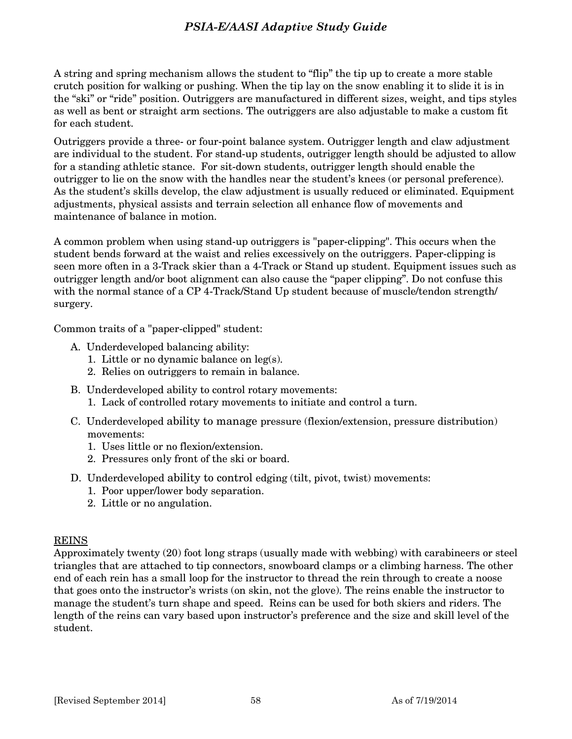A string and spring mechanism allows the student to "flip" the tip up to create a more stable crutch position for walking or pushing. When the tip lay on the snow enabling it to slide it is in the "ski" or "ride" position. Outriggers are manufactured in different sizes, weight, and tips styles as well as bent or straight arm sections. The outriggers are also adjustable to make a custom fit for each student.

Outriggers provide a three- or four-point balance system. Outrigger length and claw adjustment are individual to the student. For stand-up students, outrigger length should be adjusted to allow for a standing athletic stance. For sit-down students, outrigger length should enable the outrigger to lie on the snow with the handles near the student's knees (or personal preference). As the student's skills develop, the claw adjustment is usually reduced or eliminated. Equipment adjustments, physical assists and terrain selection all enhance flow of movements and maintenance of balance in motion.

A common problem when using stand-up outriggers is "paper-clipping". This occurs when the student bends forward at the waist and relies excessively on the outriggers. Paper-clipping is seen more often in a 3-Track skier than a 4-Track or Stand up student. Equipment issues such as outrigger length and/or boot alignment can also cause the "paper clipping". Do not confuse this with the normal stance of a CP 4-Track/Stand Up student because of muscle/tendon strength/ surgery.

Common traits of a "paper-clipped" student:

- A. Underdeveloped balancing ability:
	- 1. Little or no dynamic balance on leg(s).
	- 2. Relies on outriggers to remain in balance.
- B. Underdeveloped ability to control rotary movements:
	- 1. Lack of controlled rotary movements to initiate and control a turn.
- C. Underdeveloped ability to manage pressure (flexion/extension, pressure distribution) movements:
	- 1. Uses little or no flexion/extension.
	- 2. Pressures only front of the ski or board.
- D. Underdeveloped ability to control edging (tilt, pivot, twist) movements:
	- 1. Poor upper/lower body separation.
	- 2. Little or no angulation.

#### REINS

Approximately twenty (20) foot long straps (usually made with webbing) with carabineers or steel triangles that are attached to tip connectors, snowboard clamps or a climbing harness. The other end of each rein has a small loop for the instructor to thread the rein through to create a noose that goes onto the instructor's wrists (on skin, not the glove). The reins enable the instructor to manage the student's turn shape and speed. Reins can be used for both skiers and riders. The length of the reins can vary based upon instructor's preference and the size and skill level of the student.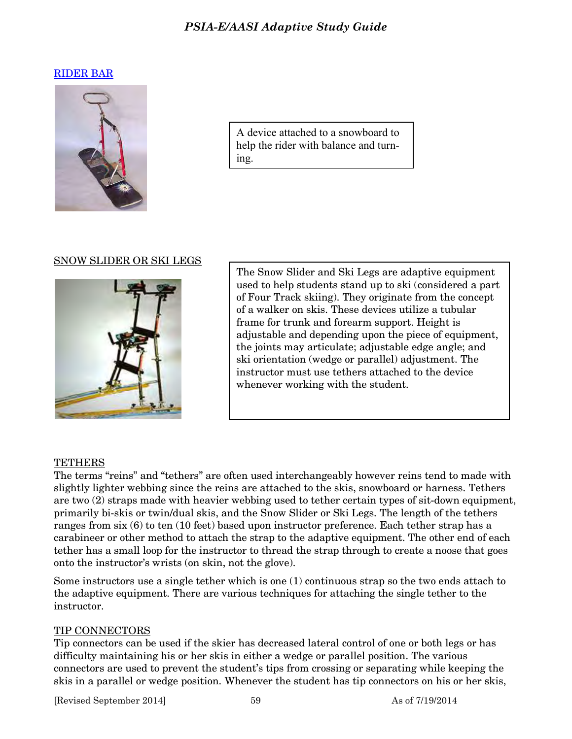#### [RIDER BAR](http://www.freedomfactory.org/pricing.htm)



A device attached to a snowboard to help the rider with balance and turning.

#### SNOW SLIDER OR SKI LEGS



The Snow Slider and Ski Legs are adaptive equipment used to help students stand up to ski (considered a part of Four Track skiing). They originate from the concept of a walker on skis. These devices utilize a tubular frame for trunk and forearm support. Height is adjustable and depending upon the piece of equipment, the joints may articulate; adjustable edge angle; and ski orientation (wedge or parallel) adjustment. The instructor must use tethers attached to the device whenever working with the student.

#### **TETHERS**

The terms "reins" and "tethers" are often used interchangeably however reins tend to made with slightly lighter webbing since the reins are attached to the skis, snowboard or harness. Tethers are two (2) straps made with heavier webbing used to tether certain types of sit-down equipment, primarily bi-skis or twin/dual skis, and the Snow Slider or Ski Legs. The length of the tethers ranges from six (6) to ten (10 feet) based upon instructor preference. Each tether strap has a carabineer or other method to attach the strap to the adaptive equipment. The other end of each tether has a small loop for the instructor to thread the strap through to create a noose that goes onto the instructor's wrists (on skin, not the glove).

Some instructors use a single tether which is one (1) continuous strap so the two ends attach to the adaptive equipment. There are various techniques for attaching the single tether to the instructor.

#### TIP CONNECTORS

Tip connectors can be used if the skier has decreased lateral control of one or both legs or has difficulty maintaining his or her skis in either a wedge or parallel position. The various connectors are used to prevent the student's tips from crossing or separating while keeping the skis in a parallel or wedge position. Whenever the student has tip connectors on his or her skis,

[Revised September 2014] 59 As of 7/19/2014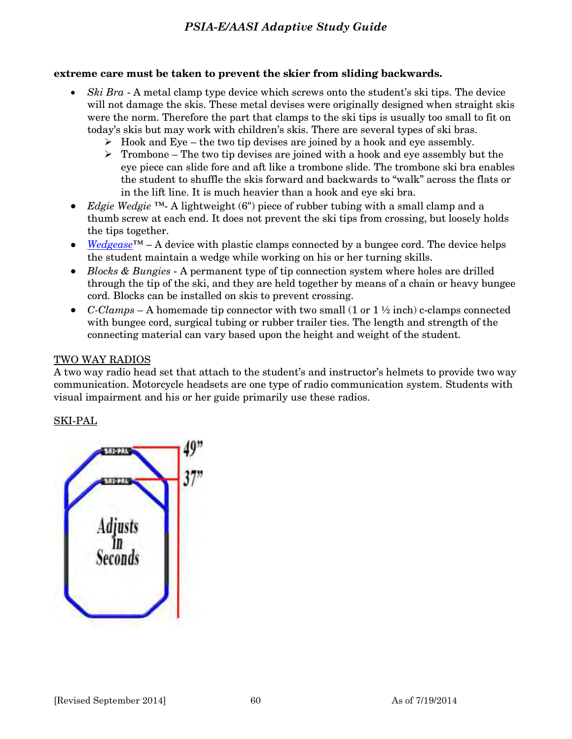#### **extreme care must be taken to prevent the skier from sliding backwards.**

- *Ski Bra* A metal clamp type device which screws onto the student's ski tips. The device will not damage the skis. These metal devises were originally designed when straight skis were the norm. Therefore the part that clamps to the ski tips is usually too small to fit on today's skis but may work with children's skis. There are several types of ski bras.
	- $\triangleright$  Hook and Eye the two tip devises are joined by a hook and eye assembly.
	- $\triangleright$  Trombone The two tip devises are joined with a hook and eye assembly but the eye piece can slide fore and aft like a trombone slide. The trombone ski bra enables the student to shuffle the skis forward and backwards to "walk" across the flats or in the lift line. It is much heavier than a hook and eye ski bra.
- *Edgie Wedgie* ™- A lightweight (6") piece of rubber tubing with a small clamp and a thumb screw at each end. It does not prevent the ski tips from crossing, but loosely holds the tips together.
- *[Wedgease](http://launchpadgear.com/wedgease.html)*™ A device with plastic clamps connected by a bungee cord. The device helps the student maintain a wedge while working on his or her turning skills.
- *Blocks & Bungies* A permanent type of tip connection system where holes are drilled through the tip of the ski, and they are held together by means of a chain or heavy bungee cord. Blocks can be installed on skis to prevent crossing.
- *C-Clamps* A homemade tip connector with two small (1 or  $1 \frac{1}{2}$  inch) c-clamps connected with bungee cord, surgical tubing or rubber trailer ties. The length and strength of the connecting material can vary based upon the height and weight of the student.

#### TWO WAY RADIOS

A two way radio head set that attach to the student's and instructor's helmets to provide two way communication. Motorcycle headsets are one type of radio communication system. Students with visual impairment and his or her guide primarily use these radios.

#### SKI-PAL

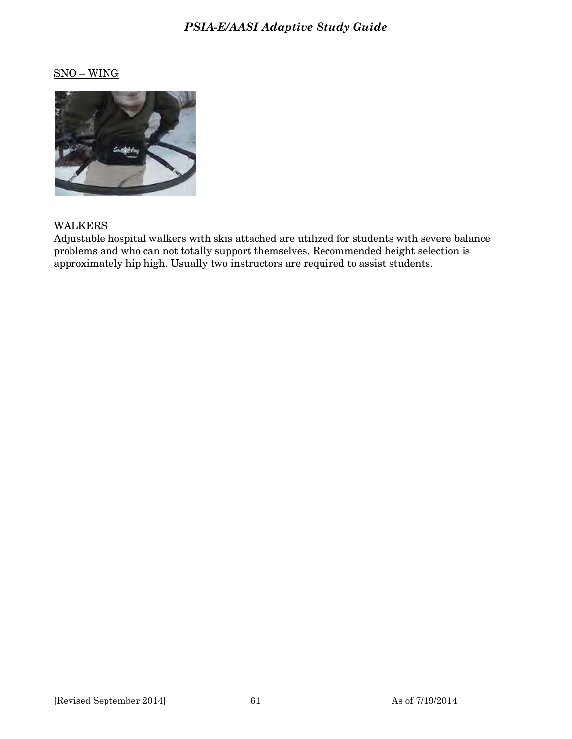## SNO – WING



#### **WALKERS**

Adjustable hospital walkers with skis attached are utilized for students with severe balance problems and who can not totally support themselves. Recommended height selection is approximately hip high. Usually two instructors are required to assist students.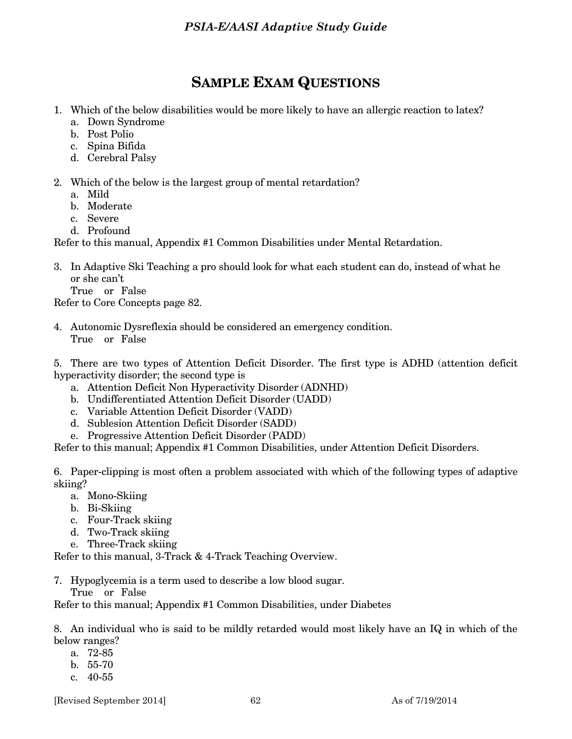## **SAMPLE EXAM QUESTIONS**

- 1. Which of the below disabilities would be more likely to have an allergic reaction to latex?
	- a. Down Syndrome
	- b. Post Polio
	- c. Spina Bifida
	- d. Cerebral Palsy
- 2. Which of the below is the largest group of mental retardation?
	- a. Mild
	- b. Moderate
	- c. Severe
	- d. Profound

Refer to this manual, Appendix #1 Common Disabilities under Mental Retardation.

3. In Adaptive Ski Teaching a pro should look for what each student can do, instead of what he or she can't

True or False

Refer to Core Concepts page 82.

4. Autonomic Dysreflexia should be considered an emergency condition. True or False

5. There are two types of Attention Deficit Disorder. The first type is ADHD (attention deficit hyperactivity disorder; the second type is

- a. Attention Deficit Non Hyperactivity Disorder (ADNHD)
- b. Undifferentiated Attention Deficit Disorder (UADD)
- c. Variable Attention Deficit Disorder (VADD)
- d. Sublesion Attention Deficit Disorder (SADD)
- e. Progressive Attention Deficit Disorder (PADD)

Refer to this manual; Appendix #1 Common Disabilities, under Attention Deficit Disorders.

6. Paper-clipping is most often a problem associated with which of the following types of adaptive skiing?

- a. Mono-Skiing
- b. Bi-Skiing
- c. Four-Track skiing
- d. Two-Track skiing
- e. Three-Track skiing

Refer to this manual, 3-Track & 4-Track Teaching Overview.

7. Hypoglycemia is a term used to describe a low blood sugar. True or False

Refer to this manual; Appendix #1 Common Disabilities, under Diabetes

8. An individual who is said to be mildly retarded would most likely have an IQ in which of the below ranges?

- a. 72-85
- b. 55-70
- c. 40-55

[Revised September 2014] 62 As of 7/19/2014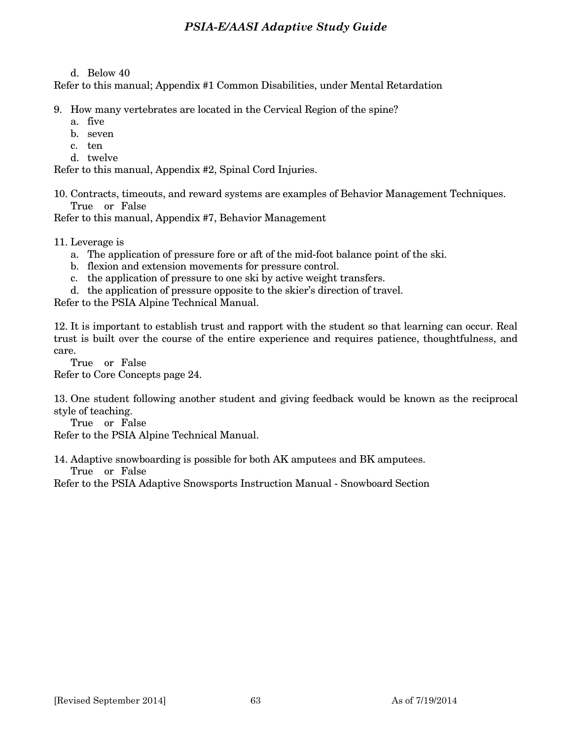#### d. Below 40

Refer to this manual; Appendix #1 Common Disabilities, under Mental Retardation

- 9. How many vertebrates are located in the Cervical Region of the spine?
	- a. five
	- b. seven
	- c. ten
	- d. twelve

Refer to this manual, Appendix #2, Spinal Cord Injuries.

10. Contracts, timeouts, and reward systems are examples of Behavior Management Techniques. True or False

Refer to this manual, Appendix #7, Behavior Management

11. Leverage is

- a. The application of pressure fore or aft of the mid-foot balance point of the ski.
- b. flexion and extension movements for pressure control.
- c. the application of pressure to one ski by active weight transfers.
- d. the application of pressure opposite to the skier's direction of travel.

Refer to the PSIA Alpine Technical Manual.

12. It is important to establish trust and rapport with the student so that learning can occur. Real trust is built over the course of the entire experience and requires patience, thoughtfulness, and care.

 True or False Refer to Core Concepts page 24.

13. One student following another student and giving feedback would be known as the reciprocal style of teaching.

True or False

Refer to the PSIA Alpine Technical Manual.

14. Adaptive snowboarding is possible for both AK amputees and BK amputees.

True or False

Refer to the PSIA Adaptive Snowsports Instruction Manual - Snowboard Section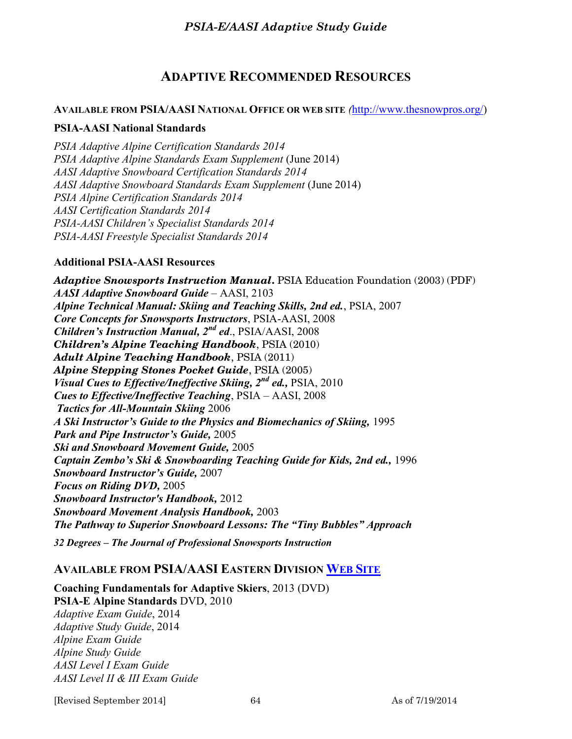## **ADAPTIVE RECOMMENDED RESOURCES**

#### **AVAILABLE FROM PSIA/AASI NATIONAL OFFICE OR WEB SITE** *(*[http://www.thesnowpros.org/\)](http://www.thesnowpros.org/)

#### **PSIA-AASI National Standards**

*PSIA Adaptive Alpine Certification Standards 2014 PSIA Adaptive Alpine Standards Exam Supplement* (June 2014) *AASI Adaptive Snowboard Certification Standards 2014 AASI Adaptive Snowboard Standards Exam Supplement* (June 2014) *PSIA Alpine Certification Standards 2014 AASI Certification Standards 2014 PSIA-AASI Children's Specialist Standards 2014 PSIA-AASI Freestyle Specialist Standards 2014* 

#### **Additional PSIA-AASI Resources**

*Adaptive Snowsports Instruction Manual***.** PSIA Education Foundation (2003) (PDF) *AASI Adaptive Snowboard Guide* – AASI, 2103 *Alpine Technical Manual: Skiing and Teaching Skills, 2nd ed.*, PSIA, 2007 *Core Concepts for Snowsports Instructors*, PSIA-AASI, 2008 *Children's Instruction Manual, 2nd ed*., PSIA/AASI, 2008 *Children's Alpine Teaching Handbook*, PSIA (2010) *Adult Alpine Teaching Handbook*, PSIA (2011) *Alpine Stepping Stones Pocket Guide*, PSIA (2005) *Visual Cues to Effective/Ineffective Skiing, 2nd ed.,* PSIA, 2010 *Cues to Effective/Ineffective Teaching*, PSIA – AASI, 2008 *Tactics for All-Mountain Skiing* 2006 *A Ski Instructor's Guide to the Physics and Biomechanics of Skiing,* 1995 *Park and Pipe Instructor's Guide,* 2005 *Ski and Snowboard Movement Guide,* 2005 *Captain Zembo's Ski & Snowboarding Teaching Guide for Kids, 2nd ed.,* 1996 *Snowboard Instructor's Guide,* 2007 *Focus on Riding DVD,* 2005 *Snowboard Instructor's Handbook,* 2012 *Snowboard Movement Analysis Handbook,* 2003 *The Pathway to Superior Snowboard Lessons: The "Tiny Bubbles" Approach 32 Degrees – The Journal of Professional Snowsports Instruction*

#### **AVAILABLE FROM PSIA/AASI EASTERN DIVISION WEB S[ITE](http://www.psia-e.org/)**

**Coaching Fundamentals for Adaptive Skiers**, 2013 (DVD) **PSIA-E Alpine Standards** DVD, 2010 *Adaptive Exam Guide*, 2014 *Adaptive Study Guide*, 2014 *Alpine Exam Guide Alpine Study Guide AASI Level I Exam Guide AASI Level II & III Exam Guide*

[Revised September 2014] 64 As of 7/19/2014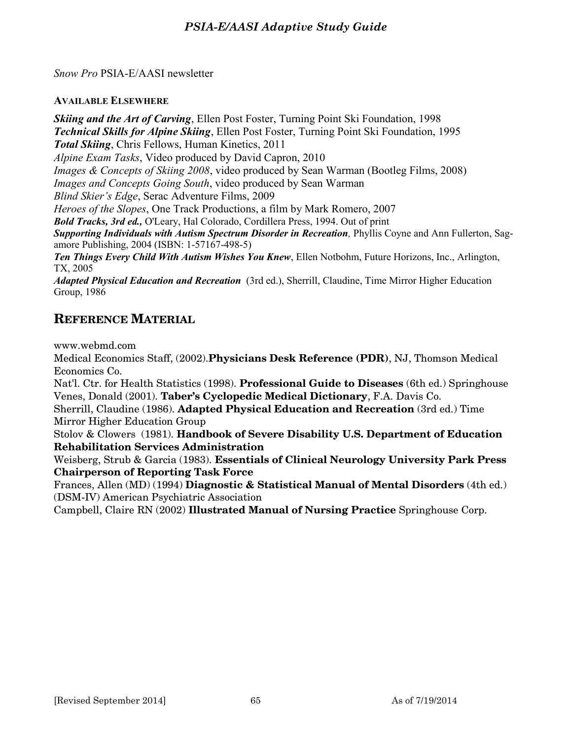*Snow Pro* PSIA-E/AASI newsletter

**AVAILABLE ELSEWHERE**

*Skiing and the Art of Carving*, Ellen Post Foster, Turning Point Ski Foundation, 1998 *Technical Skills for Alpine Skiing*, Ellen Post Foster, Turning Point Ski Foundation, 1995 *Total Skiing*, Chris Fellows, Human Kinetics, 2011 *Alpine Exam Tasks*, Video produced by David Capron, 2010 *Images & Concepts of Skiing 2008*, video produced by Sean Warman (Bootleg Films, 2008) *Images and Concepts Going South*, video produced by Sean Warman *Blind Skier's Edge*, Serac Adventure Films, 2009 *Heroes of the Slopes*, One Track Productions, a film by Mark Romero, 2007 *Bold Tracks, 3rd ed.,* O'Leary, Hal Colorado, Cordillera Press, 1994. Out of print *Supporting Individuals with Autism Spectrum Disorder in Recreation,* Phyllis Coyne and Ann Fullerton, Sagamore Publishing, 2004 (ISBN: 1-57167-498-5) *Ten Things Every Child With Autism Wishes You Knew*, Ellen Notbohm, Future Horizons, Inc., Arlington, TX, 2005 *Adapted Physical Education and Recreation* (3rd ed.), Sherrill, Claudine, Time Mirror Higher Education Group, 1986

## **REFERENCE MATERIAL**

www.webmd.com

Medical Economics Staff, (2002).**Physicians Desk Reference (PDR)**, NJ, Thomson Medical Economics Co.

Nat'l. Ctr. for Health Statistics (1998). **Professional Guide to Diseases** (6th ed.) Springhouse Venes, Donald (2001). **Taber's Cyclopedic Medical Dictionary**, F.A. Davis Co.

Sherrill, Claudine (1986). **Adapted Physical Education and Recreation** (3rd ed.) Time Mirror Higher Education Group

Stolov & Clowers (1981). **Handbook of Severe Disability U.S. Department of Education Rehabilitation Services Administration**

Weisberg, Strub & Garcia (1983). **Essentials of Clinical Neurology University Park Press Chairperson of Reporting Task Force**

Frances, Allen (MD) (1994) **Diagnostic & Statistical Manual of Mental Disorders** (4th ed.) (DSM-IV) American Psychiatric Association

Campbell, Claire RN (2002) **Illustrated Manual of Nursing Practice** Springhouse Corp.